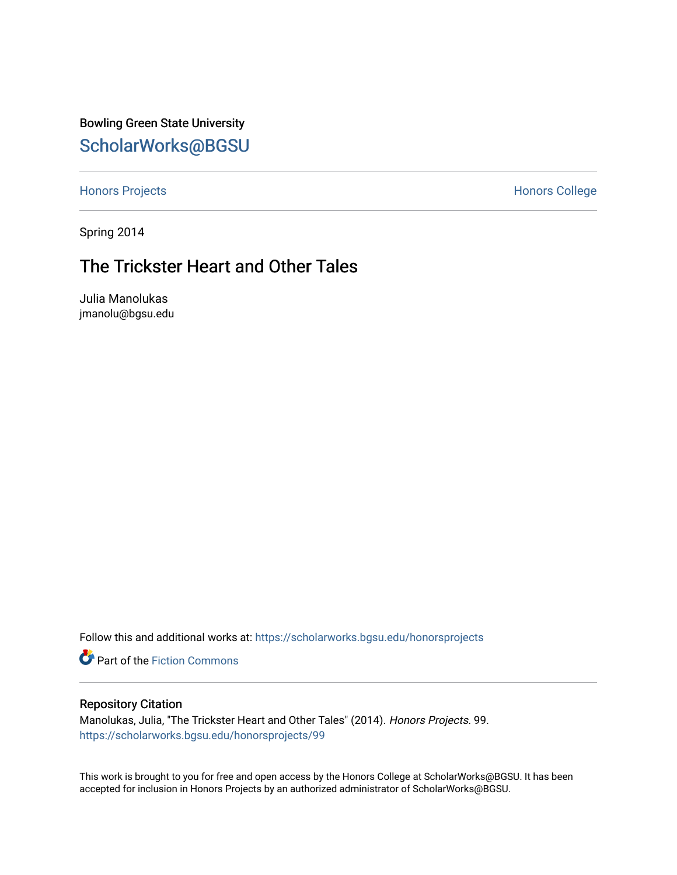Bowling Green State University [ScholarWorks@BGSU](https://scholarworks.bgsu.edu/) 

[Honors Projects](https://scholarworks.bgsu.edu/honorsprojects) **Honors** College

Spring 2014

## The Trickster Heart and Other Tales

Julia Manolukas jmanolu@bgsu.edu

Follow this and additional works at: [https://scholarworks.bgsu.edu/honorsprojects](https://scholarworks.bgsu.edu/honorsprojects?utm_source=scholarworks.bgsu.edu%2Fhonorsprojects%2F99&utm_medium=PDF&utm_campaign=PDFCoverPages) 

**P** Part of the Fiction Commons

#### Repository Citation

Manolukas, Julia, "The Trickster Heart and Other Tales" (2014). Honors Projects. 99. [https://scholarworks.bgsu.edu/honorsprojects/99](https://scholarworks.bgsu.edu/honorsprojects/99?utm_source=scholarworks.bgsu.edu%2Fhonorsprojects%2F99&utm_medium=PDF&utm_campaign=PDFCoverPages)

This work is brought to you for free and open access by the Honors College at ScholarWorks@BGSU. It has been accepted for inclusion in Honors Projects by an authorized administrator of ScholarWorks@BGSU.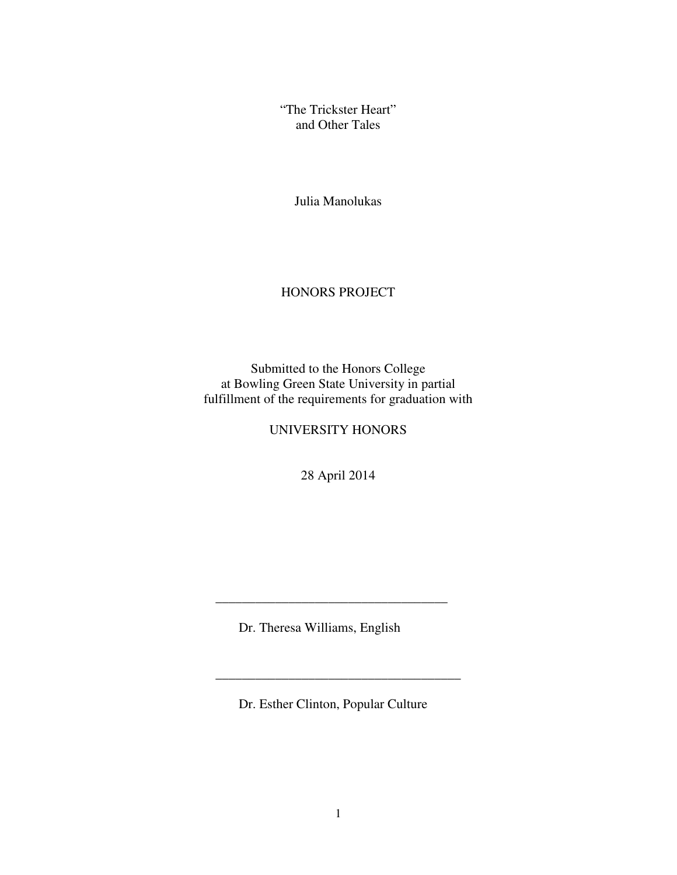"The Trickster Heart" and Other Tales

Julia Manolukas

#### HONORS PROJECT

Submitted to the Honors College at Bowling Green State University in partial fulfillment of the requirements for graduation with

#### UNIVERSITY HONORS

28 April 2014

Dr. Theresa Williams, English

 $\mathcal{L}_\text{max}$  , and the set of the set of the set of the set of the set of the set of the set of the set of the set of the set of the set of the set of the set of the set of the set of the set of the set of the set of the

 $\mathcal{L}_\text{max} = \frac{1}{2} \sum_{i=1}^{n} \frac{1}{2} \sum_{i=1}^{n} \frac{1}{2} \sum_{i=1}^{n} \frac{1}{2} \sum_{i=1}^{n} \frac{1}{2} \sum_{i=1}^{n} \frac{1}{2} \sum_{i=1}^{n} \frac{1}{2} \sum_{i=1}^{n} \frac{1}{2} \sum_{i=1}^{n} \frac{1}{2} \sum_{i=1}^{n} \frac{1}{2} \sum_{i=1}^{n} \frac{1}{2} \sum_{i=1}^{n} \frac{1}{2} \sum_{i=1}^{n} \frac{1$ 

Dr. Esther Clinton, Popular Culture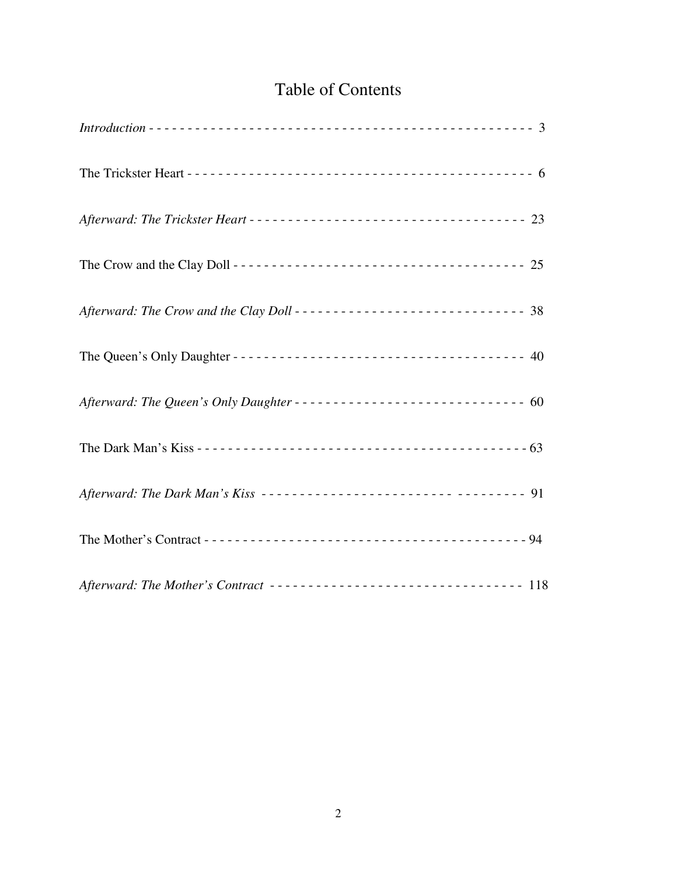# Table of Contents

| Afterward: The Trickster Heart ---------------------------------- 23 |
|----------------------------------------------------------------------|
|                                                                      |
| Afterward: The Crow and the Clay Doll --------------------------- 38 |
|                                                                      |
| Afterward: The Queen's Only Daughter ---------------------------- 60 |
|                                                                      |
| Afterward: The Dark Man's Kiss ------------------------- ------- 91  |
|                                                                      |
| Afterward: The Mother's Contract ------------------------------- 118 |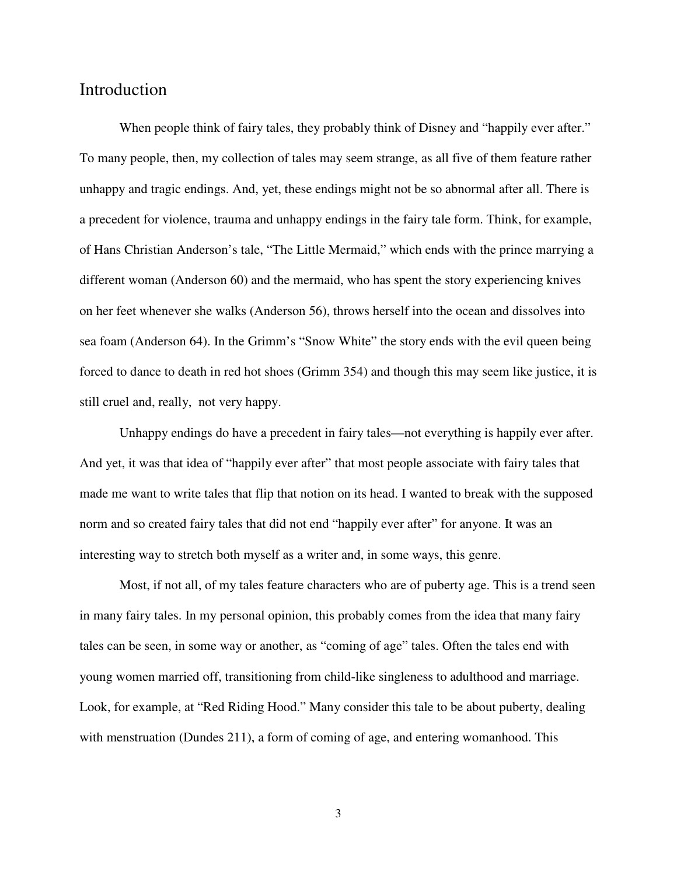## Introduction

When people think of fairy tales, they probably think of Disney and "happily ever after." To many people, then, my collection of tales may seem strange, as all five of them feature rather unhappy and tragic endings. And, yet, these endings might not be so abnormal after all. There is a precedent for violence, trauma and unhappy endings in the fairy tale form. Think, for example, of Hans Christian Anderson's tale, "The Little Mermaid," which ends with the prince marrying a different woman (Anderson 60) and the mermaid, who has spent the story experiencing knives on her feet whenever she walks (Anderson 56), throws herself into the ocean and dissolves into sea foam (Anderson 64). In the Grimm's "Snow White" the story ends with the evil queen being forced to dance to death in red hot shoes (Grimm 354) and though this may seem like justice, it is still cruel and, really, not very happy.

Unhappy endings do have a precedent in fairy tales—not everything is happily ever after. And yet, it was that idea of "happily ever after" that most people associate with fairy tales that made me want to write tales that flip that notion on its head. I wanted to break with the supposed norm and so created fairy tales that did not end "happily ever after" for anyone. It was an interesting way to stretch both myself as a writer and, in some ways, this genre.

Most, if not all, of my tales feature characters who are of puberty age. This is a trend seen in many fairy tales. In my personal opinion, this probably comes from the idea that many fairy tales can be seen, in some way or another, as "coming of age" tales. Often the tales end with young women married off, transitioning from child-like singleness to adulthood and marriage. Look, for example, at "Red Riding Hood." Many consider this tale to be about puberty, dealing with menstruation (Dundes 211), a form of coming of age, and entering womanhood. This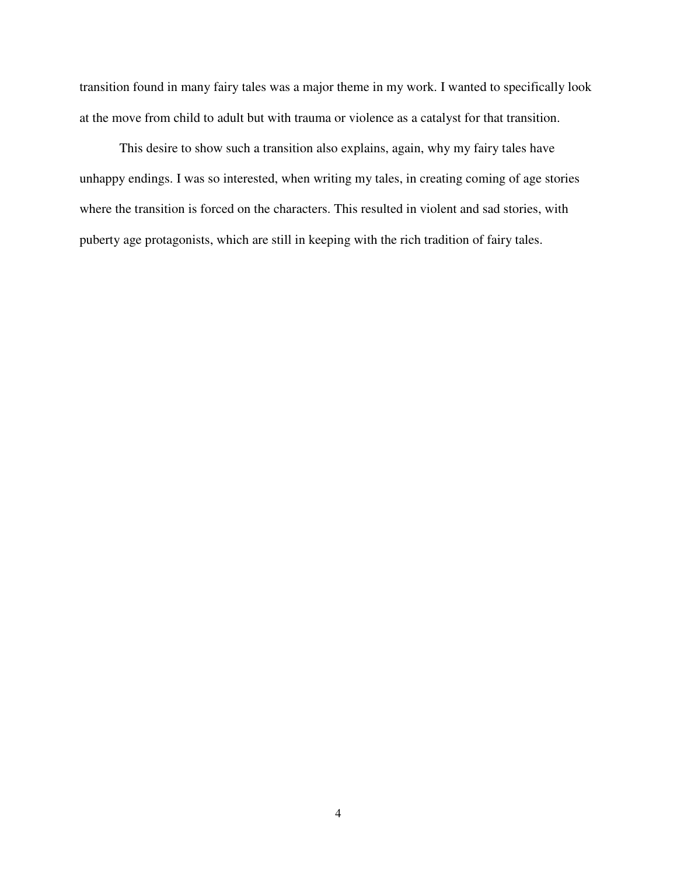transition found in many fairy tales was a major theme in my work. I wanted to specifically look at the move from child to adult but with trauma or violence as a catalyst for that transition.

This desire to show such a transition also explains, again, why my fairy tales have unhappy endings. I was so interested, when writing my tales, in creating coming of age stories where the transition is forced on the characters. This resulted in violent and sad stories, with puberty age protagonists, which are still in keeping with the rich tradition of fairy tales.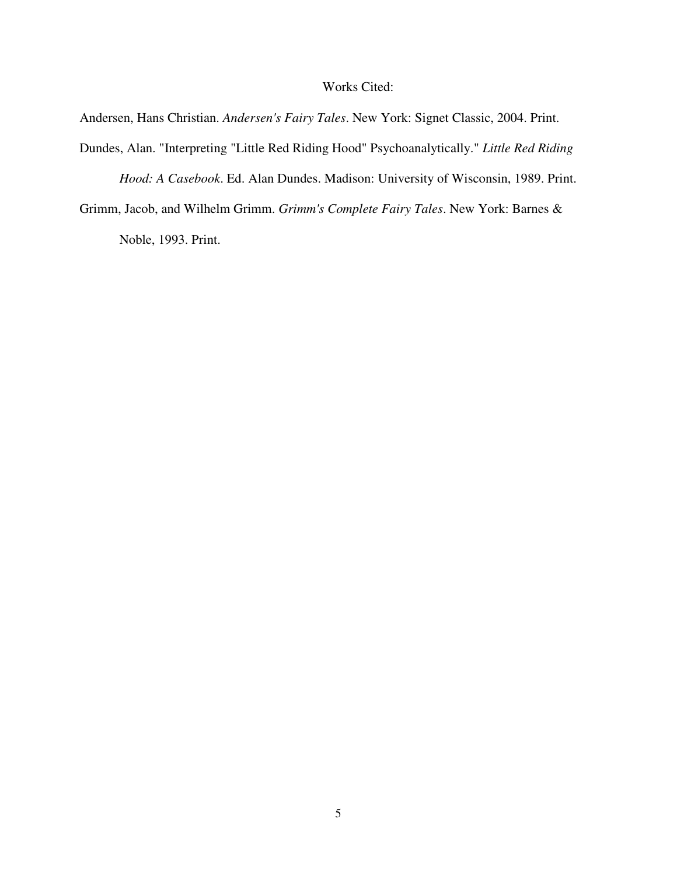#### Works Cited:

Andersen, Hans Christian. *Andersen's Fairy Tales*. New York: Signet Classic, 2004. Print.

Dundes, Alan. "Interpreting "Little Red Riding Hood" Psychoanalytically." *Little Red Riding* 

*Hood: A Casebook*. Ed. Alan Dundes. Madison: University of Wisconsin, 1989. Print.

Grimm, Jacob, and Wilhelm Grimm. *Grimm's Complete Fairy Tales*. New York: Barnes &

Noble, 1993. Print.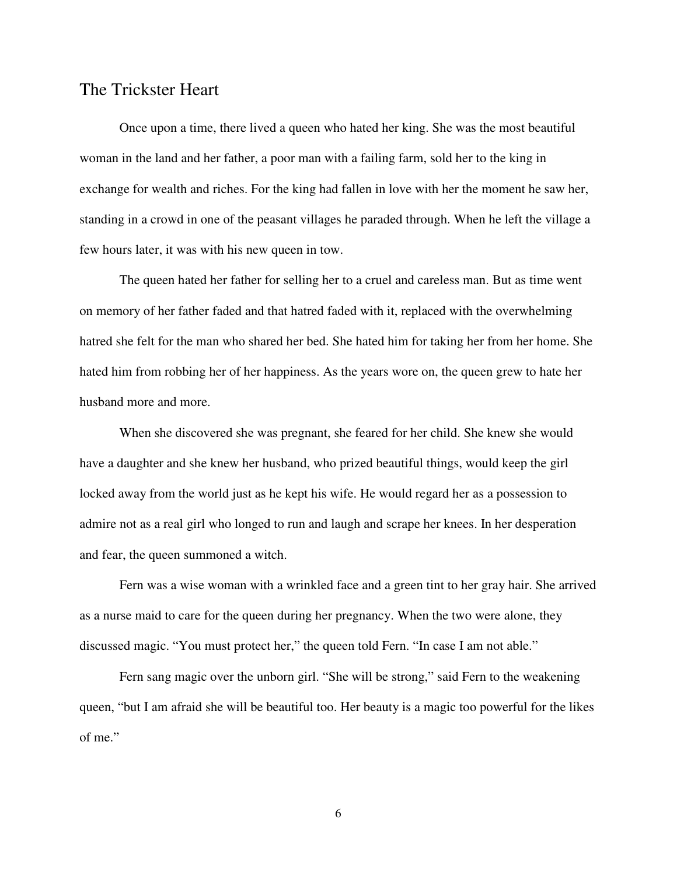## The Trickster Heart

Once upon a time, there lived a queen who hated her king. She was the most beautiful woman in the land and her father, a poor man with a failing farm, sold her to the king in exchange for wealth and riches. For the king had fallen in love with her the moment he saw her, standing in a crowd in one of the peasant villages he paraded through. When he left the village a few hours later, it was with his new queen in tow.

The queen hated her father for selling her to a cruel and careless man. But as time went on memory of her father faded and that hatred faded with it, replaced with the overwhelming hatred she felt for the man who shared her bed. She hated him for taking her from her home. She hated him from robbing her of her happiness. As the years wore on, the queen grew to hate her husband more and more.

When she discovered she was pregnant, she feared for her child. She knew she would have a daughter and she knew her husband, who prized beautiful things, would keep the girl locked away from the world just as he kept his wife. He would regard her as a possession to admire not as a real girl who longed to run and laugh and scrape her knees. In her desperation and fear, the queen summoned a witch.

Fern was a wise woman with a wrinkled face and a green tint to her gray hair. She arrived as a nurse maid to care for the queen during her pregnancy. When the two were alone, they discussed magic. "You must protect her," the queen told Fern. "In case I am not able."

Fern sang magic over the unborn girl. "She will be strong," said Fern to the weakening queen, "but I am afraid she will be beautiful too. Her beauty is a magic too powerful for the likes of me."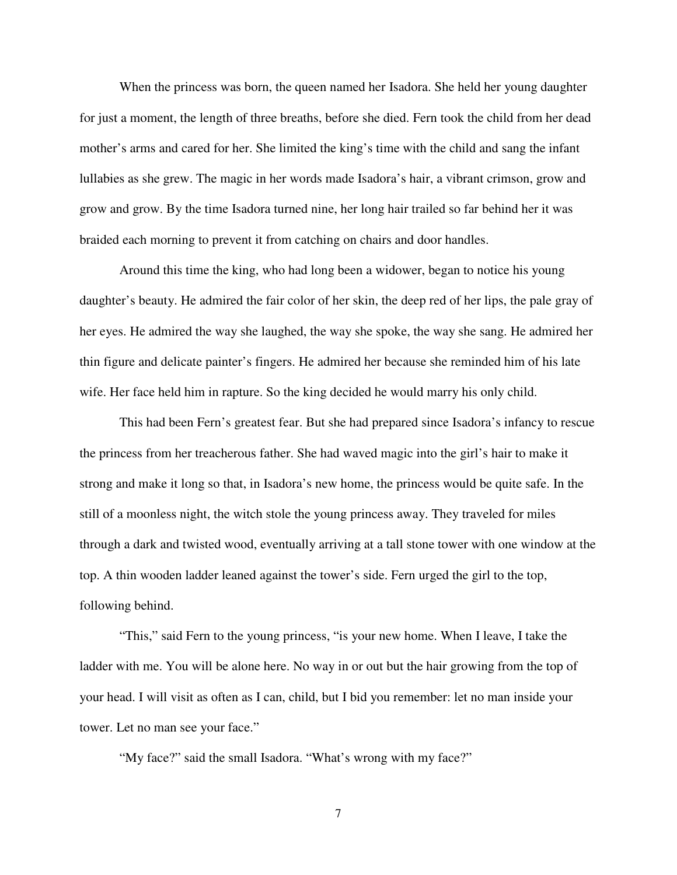When the princess was born, the queen named her Isadora. She held her young daughter for just a moment, the length of three breaths, before she died. Fern took the child from her dead mother's arms and cared for her. She limited the king's time with the child and sang the infant lullabies as she grew. The magic in her words made Isadora's hair, a vibrant crimson, grow and grow and grow. By the time Isadora turned nine, her long hair trailed so far behind her it was braided each morning to prevent it from catching on chairs and door handles.

Around this time the king, who had long been a widower, began to notice his young daughter's beauty. He admired the fair color of her skin, the deep red of her lips, the pale gray of her eyes. He admired the way she laughed, the way she spoke, the way she sang. He admired her thin figure and delicate painter's fingers. He admired her because she reminded him of his late wife. Her face held him in rapture. So the king decided he would marry his only child.

This had been Fern's greatest fear. But she had prepared since Isadora's infancy to rescue the princess from her treacherous father. She had waved magic into the girl's hair to make it strong and make it long so that, in Isadora's new home, the princess would be quite safe. In the still of a moonless night, the witch stole the young princess away. They traveled for miles through a dark and twisted wood, eventually arriving at a tall stone tower with one window at the top. A thin wooden ladder leaned against the tower's side. Fern urged the girl to the top, following behind.

"This," said Fern to the young princess, "is your new home. When I leave, I take the ladder with me. You will be alone here. No way in or out but the hair growing from the top of your head. I will visit as often as I can, child, but I bid you remember: let no man inside your tower. Let no man see your face."

"My face?" said the small Isadora. "What's wrong with my face?"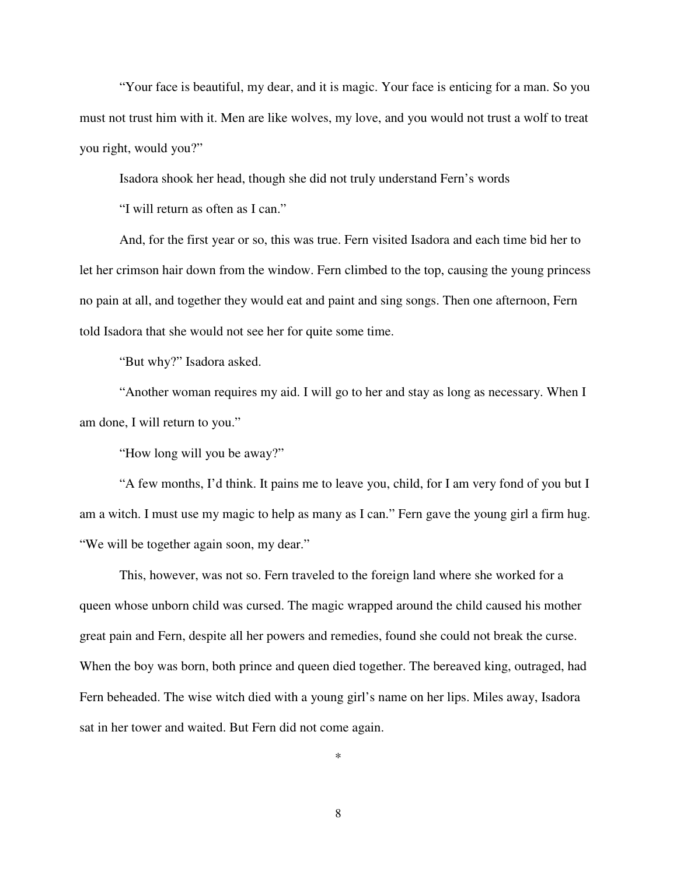"Your face is beautiful, my dear, and it is magic. Your face is enticing for a man. So you must not trust him with it. Men are like wolves, my love, and you would not trust a wolf to treat you right, would you?"

Isadora shook her head, though she did not truly understand Fern's words

"I will return as often as I can."

And, for the first year or so, this was true. Fern visited Isadora and each time bid her to let her crimson hair down from the window. Fern climbed to the top, causing the young princess no pain at all, and together they would eat and paint and sing songs. Then one afternoon, Fern told Isadora that she would not see her for quite some time.

"But why?" Isadora asked.

"Another woman requires my aid. I will go to her and stay as long as necessary. When I am done, I will return to you."

"How long will you be away?"

"A few months, I'd think. It pains me to leave you, child, for I am very fond of you but I am a witch. I must use my magic to help as many as I can." Fern gave the young girl a firm hug. "We will be together again soon, my dear."

This, however, was not so. Fern traveled to the foreign land where she worked for a queen whose unborn child was cursed. The magic wrapped around the child caused his mother great pain and Fern, despite all her powers and remedies, found she could not break the curse. When the boy was born, both prince and queen died together. The bereaved king, outraged, had Fern beheaded. The wise witch died with a young girl's name on her lips. Miles away, Isadora sat in her tower and waited. But Fern did not come again.

\*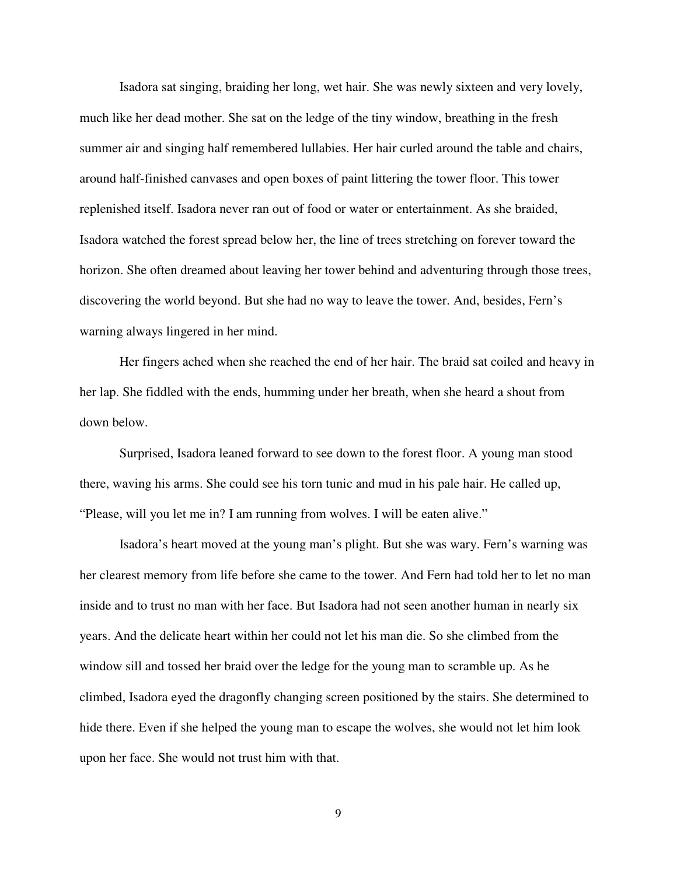Isadora sat singing, braiding her long, wet hair. She was newly sixteen and very lovely, much like her dead mother. She sat on the ledge of the tiny window, breathing in the fresh summer air and singing half remembered lullabies. Her hair curled around the table and chairs, around half-finished canvases and open boxes of paint littering the tower floor. This tower replenished itself. Isadora never ran out of food or water or entertainment. As she braided, Isadora watched the forest spread below her, the line of trees stretching on forever toward the horizon. She often dreamed about leaving her tower behind and adventuring through those trees, discovering the world beyond. But she had no way to leave the tower. And, besides, Fern's warning always lingered in her mind.

Her fingers ached when she reached the end of her hair. The braid sat coiled and heavy in her lap. She fiddled with the ends, humming under her breath, when she heard a shout from down below.

Surprised, Isadora leaned forward to see down to the forest floor. A young man stood there, waving his arms. She could see his torn tunic and mud in his pale hair. He called up, "Please, will you let me in? I am running from wolves. I will be eaten alive."

Isadora's heart moved at the young man's plight. But she was wary. Fern's warning was her clearest memory from life before she came to the tower. And Fern had told her to let no man inside and to trust no man with her face. But Isadora had not seen another human in nearly six years. And the delicate heart within her could not let his man die. So she climbed from the window sill and tossed her braid over the ledge for the young man to scramble up. As he climbed, Isadora eyed the dragonfly changing screen positioned by the stairs. She determined to hide there. Even if she helped the young man to escape the wolves, she would not let him look upon her face. She would not trust him with that.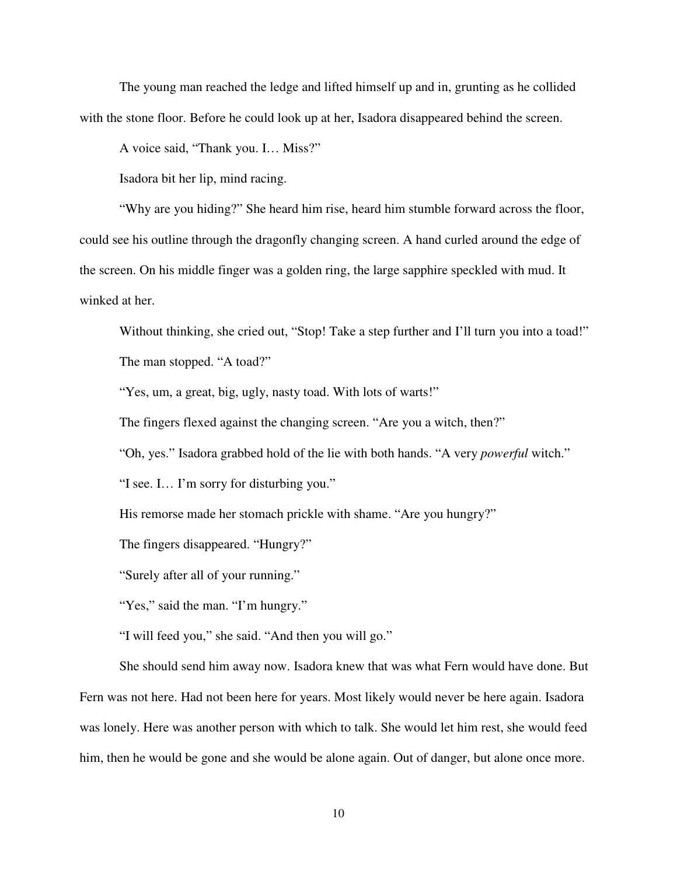The young man reached the ledge and lifted himself up and in, grunting as he collided with the stone floor. Before he could look up at her, Isadora disappeared behind the screen.

A voice said, "Thank you. I… Miss?"

Isadora bit her lip, mind racing.

"Why are you hiding?" She heard him rise, heard him stumble forward across the floor, could see his outline through the dragonfly changing screen. A hand curled around the edge of the screen. On his middle finger was a golden ring, the large sapphire speckled with mud. It winked at her.

Without thinking, she cried out, "Stop! Take a step further and I'll turn you into a toad!" The man stopped. "A toad?"

"Yes, um, a great, big, ugly, nasty toad. With lots of warts!"

The fingers flexed against the changing screen. "Are you a witch, then?"

"Oh, yes." Isadora grabbed hold of the lie with both hands. "A very *powerful* witch."

"I see. I… I'm sorry for disturbing you."

His remorse made her stomach prickle with shame. "Are you hungry?"

The fingers disappeared. "Hungry?"

"Surely after all of your running."

"Yes," said the man. "I'm hungry."

"I will feed you," she said. "And then you will go."

She should send him away now. Isadora knew that was what Fern would have done. But Fern was not here. Had not been here for years. Most likely would never be here again. Isadora was lonely. Here was another person with which to talk. She would let him rest, she would feed him, then he would be gone and she would be alone again. Out of danger, but alone once more.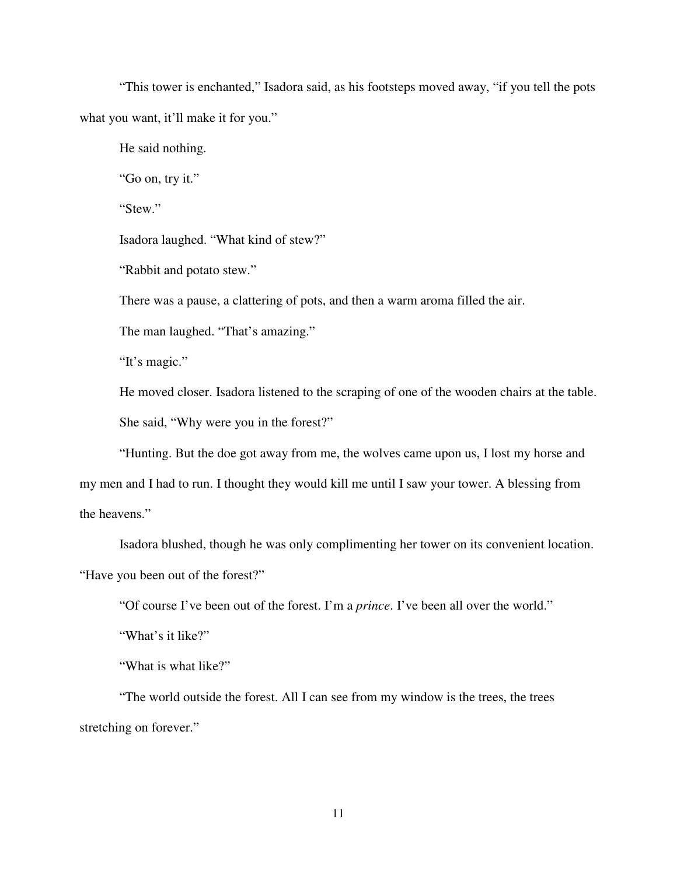"This tower is enchanted," Isadora said, as his footsteps moved away, "if you tell the pots what you want, it'll make it for you."

He said nothing.

"Go on, try it."

"Stew."

Isadora laughed. "What kind of stew?"

"Rabbit and potato stew."

There was a pause, a clattering of pots, and then a warm aroma filled the air.

The man laughed. "That's amazing."

"It's magic."

He moved closer. Isadora listened to the scraping of one of the wooden chairs at the table. She said, "Why were you in the forest?"

"Hunting. But the doe got away from me, the wolves came upon us, I lost my horse and my men and I had to run. I thought they would kill me until I saw your tower. A blessing from the heavens."

Isadora blushed, though he was only complimenting her tower on its convenient location. "Have you been out of the forest?"

"Of course I've been out of the forest. I'm a *prince*. I've been all over the world."

"What's it like?"

"What is what like?"

"The world outside the forest. All I can see from my window is the trees, the trees stretching on forever."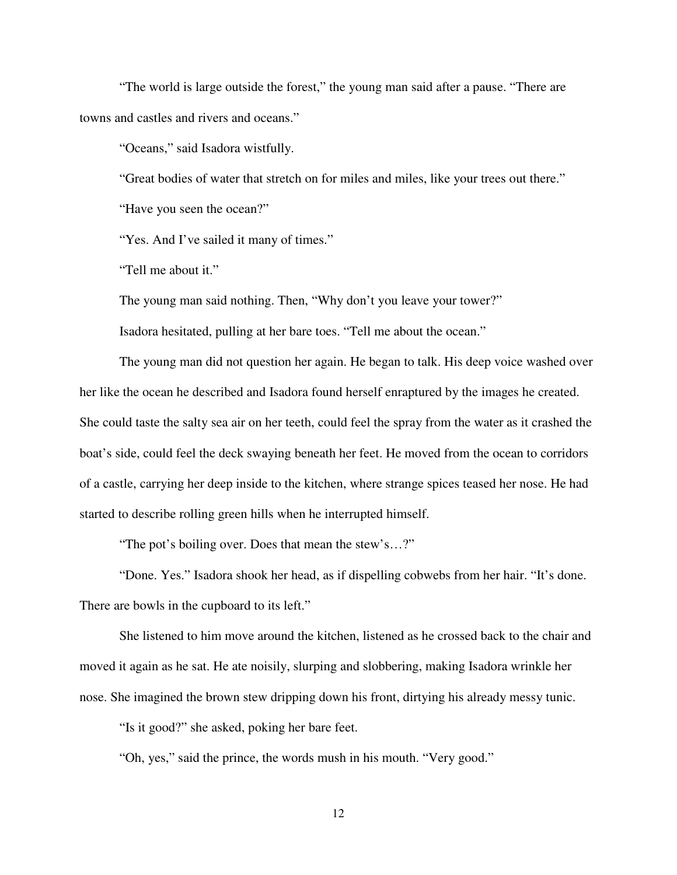"The world is large outside the forest," the young man said after a pause. "There are towns and castles and rivers and oceans."

"Oceans," said Isadora wistfully.

"Great bodies of water that stretch on for miles and miles, like your trees out there."

"Have you seen the ocean?"

"Yes. And I've sailed it many of times."

"Tell me about it."

The young man said nothing. Then, "Why don't you leave your tower?"

Isadora hesitated, pulling at her bare toes. "Tell me about the ocean."

The young man did not question her again. He began to talk. His deep voice washed over her like the ocean he described and Isadora found herself enraptured by the images he created. She could taste the salty sea air on her teeth, could feel the spray from the water as it crashed the boat's side, could feel the deck swaying beneath her feet. He moved from the ocean to corridors of a castle, carrying her deep inside to the kitchen, where strange spices teased her nose. He had started to describe rolling green hills when he interrupted himself.

"The pot's boiling over. Does that mean the stew's…?"

"Done. Yes." Isadora shook her head, as if dispelling cobwebs from her hair. "It's done. There are bowls in the cupboard to its left."

She listened to him move around the kitchen, listened as he crossed back to the chair and moved it again as he sat. He ate noisily, slurping and slobbering, making Isadora wrinkle her nose. She imagined the brown stew dripping down his front, dirtying his already messy tunic.

"Is it good?" she asked, poking her bare feet.

"Oh, yes," said the prince, the words mush in his mouth. "Very good."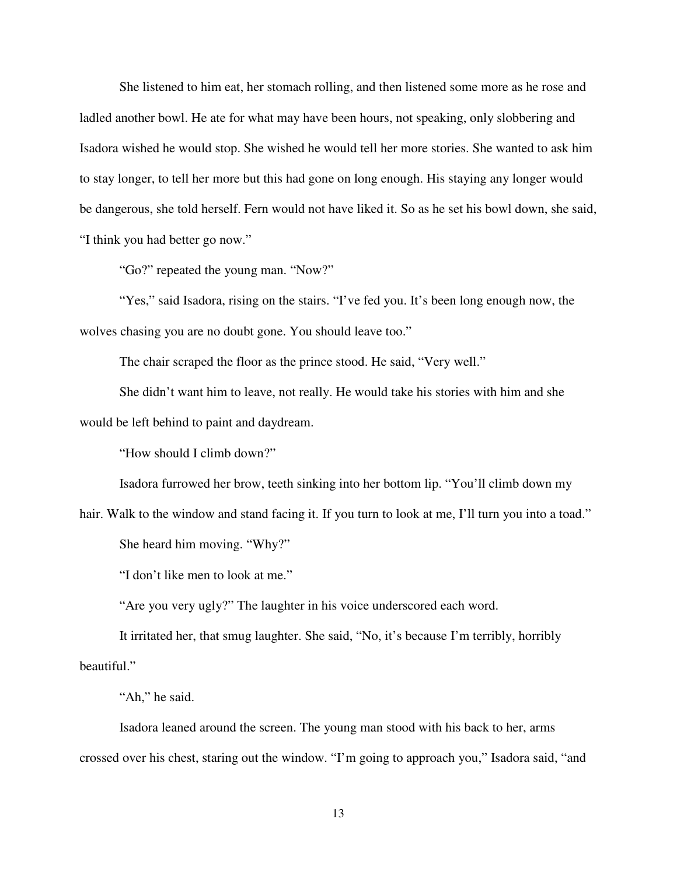She listened to him eat, her stomach rolling, and then listened some more as he rose and ladled another bowl. He ate for what may have been hours, not speaking, only slobbering and Isadora wished he would stop. She wished he would tell her more stories. She wanted to ask him to stay longer, to tell her more but this had gone on long enough. His staying any longer would be dangerous, she told herself. Fern would not have liked it. So as he set his bowl down, she said, "I think you had better go now."

"Go?" repeated the young man. "Now?"

"Yes," said Isadora, rising on the stairs. "I've fed you. It's been long enough now, the wolves chasing you are no doubt gone. You should leave too."

The chair scraped the floor as the prince stood. He said, "Very well."

She didn't want him to leave, not really. He would take his stories with him and she would be left behind to paint and daydream.

"How should I climb down?"

Isadora furrowed her brow, teeth sinking into her bottom lip. "You'll climb down my

hair. Walk to the window and stand facing it. If you turn to look at me, I'll turn you into a toad." She heard him moving. "Why?"

"I don't like men to look at me."

"Are you very ugly?" The laughter in his voice underscored each word.

It irritated her, that smug laughter. She said, "No, it's because I'm terribly, horribly beautiful."

"Ah," he said.

Isadora leaned around the screen. The young man stood with his back to her, arms crossed over his chest, staring out the window. "I'm going to approach you," Isadora said, "and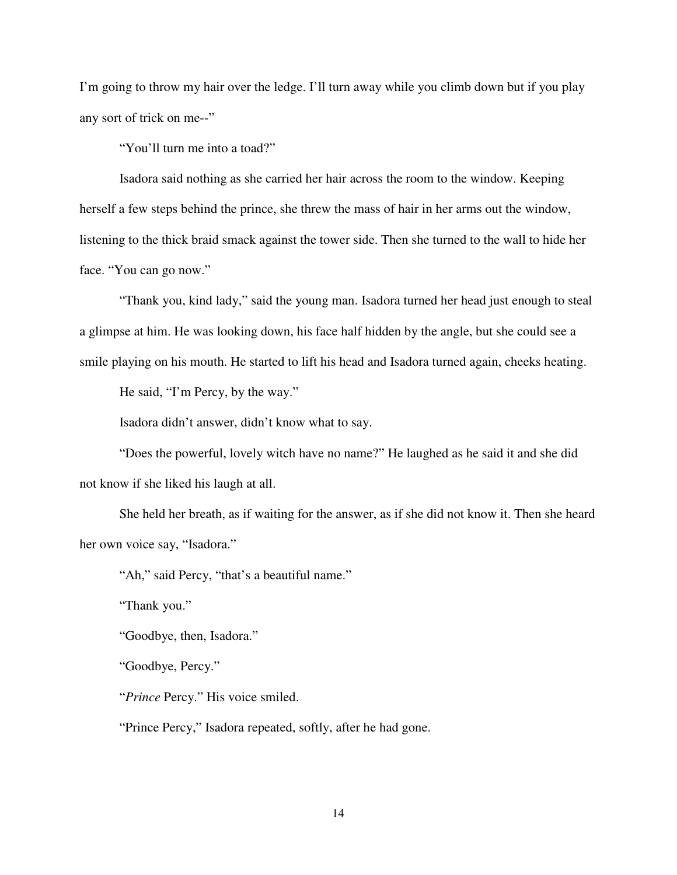I'm going to throw my hair over the ledge. I'll turn away while you climb down but if you play any sort of trick on me--"

"You'll turn me into a toad?"

Isadora said nothing as she carried her hair across the room to the window. Keeping herself a few steps behind the prince, she threw the mass of hair in her arms out the window, listening to the thick braid smack against the tower side. Then she turned to the wall to hide her face. "You can go now."

"Thank you, kind lady," said the young man. Isadora turned her head just enough to steal a glimpse at him. He was looking down, his face half hidden by the angle, but she could see a smile playing on his mouth. He started to lift his head and Isadora turned again, cheeks heating.

He said, "I'm Percy, by the way."

Isadora didn't answer, didn't know what to say.

"Does the powerful, lovely witch have no name?" He laughed as he said it and she did not know if she liked his laugh at all.

She held her breath, as if waiting for the answer, as if she did not know it. Then she heard her own voice say, "Isadora."

"Ah," said Percy, "that's a beautiful name."

"Thank you."

"Goodbye, then, Isadora."

"Goodbye, Percy."

"*Prince* Percy." His voice smiled.

"Prince Percy," Isadora repeated, softly, after he had gone.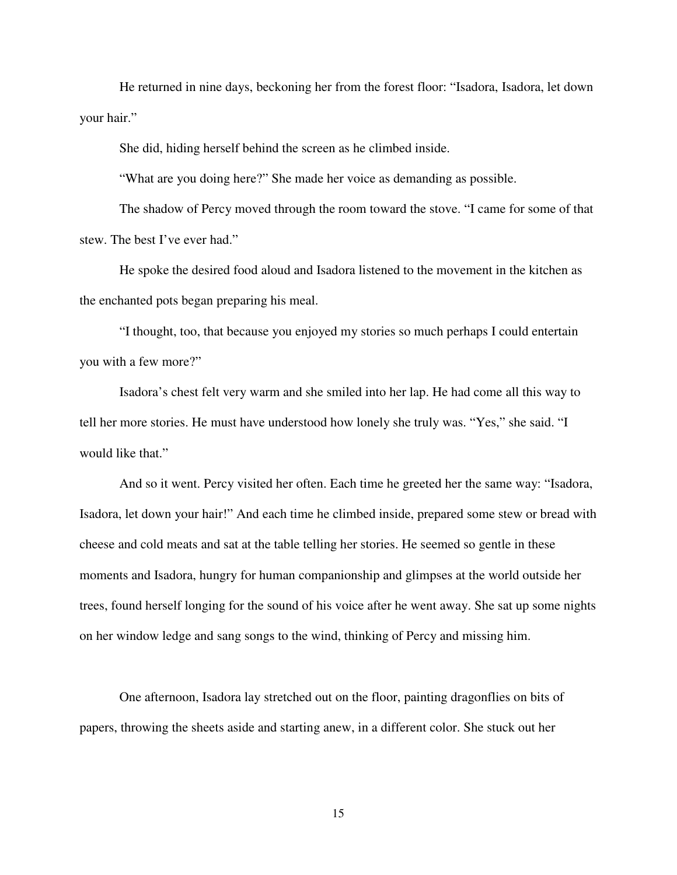He returned in nine days, beckoning her from the forest floor: "Isadora, Isadora, let down your hair."

She did, hiding herself behind the screen as he climbed inside.

"What are you doing here?" She made her voice as demanding as possible.

The shadow of Percy moved through the room toward the stove. "I came for some of that stew. The best I've ever had."

He spoke the desired food aloud and Isadora listened to the movement in the kitchen as the enchanted pots began preparing his meal.

"I thought, too, that because you enjoyed my stories so much perhaps I could entertain you with a few more?"

Isadora's chest felt very warm and she smiled into her lap. He had come all this way to tell her more stories. He must have understood how lonely she truly was. "Yes," she said. "I would like that."

And so it went. Percy visited her often. Each time he greeted her the same way: "Isadora, Isadora, let down your hair!" And each time he climbed inside, prepared some stew or bread with cheese and cold meats and sat at the table telling her stories. He seemed so gentle in these moments and Isadora, hungry for human companionship and glimpses at the world outside her trees, found herself longing for the sound of his voice after he went away. She sat up some nights on her window ledge and sang songs to the wind, thinking of Percy and missing him.

One afternoon, Isadora lay stretched out on the floor, painting dragonflies on bits of papers, throwing the sheets aside and starting anew, in a different color. She stuck out her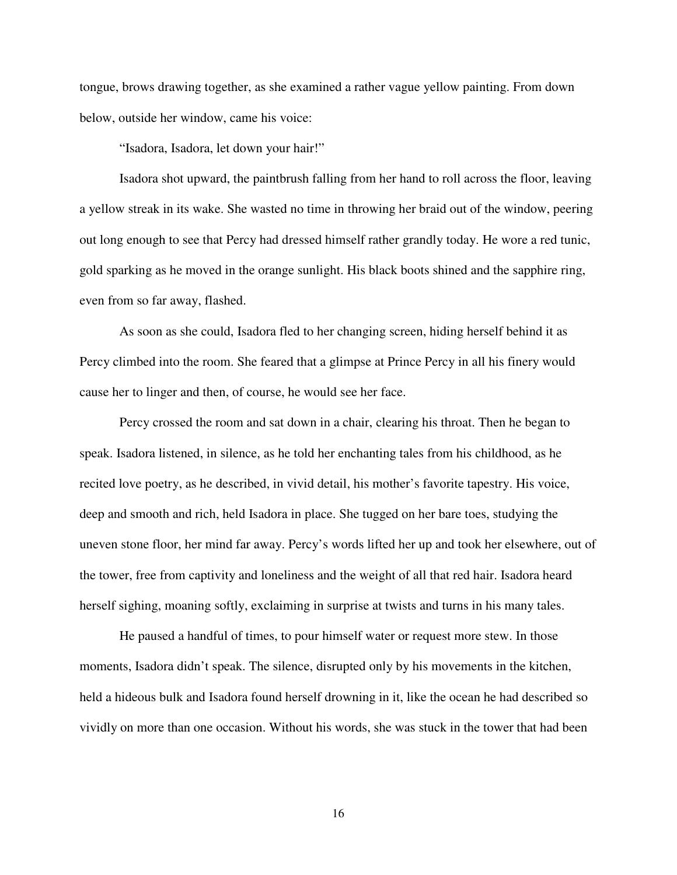tongue, brows drawing together, as she examined a rather vague yellow painting. From down below, outside her window, came his voice:

"Isadora, Isadora, let down your hair!"

Isadora shot upward, the paintbrush falling from her hand to roll across the floor, leaving a yellow streak in its wake. She wasted no time in throwing her braid out of the window, peering out long enough to see that Percy had dressed himself rather grandly today. He wore a red tunic, gold sparking as he moved in the orange sunlight. His black boots shined and the sapphire ring, even from so far away, flashed.

As soon as she could, Isadora fled to her changing screen, hiding herself behind it as Percy climbed into the room. She feared that a glimpse at Prince Percy in all his finery would cause her to linger and then, of course, he would see her face.

 Percy crossed the room and sat down in a chair, clearing his throat. Then he began to speak. Isadora listened, in silence, as he told her enchanting tales from his childhood, as he recited love poetry, as he described, in vivid detail, his mother's favorite tapestry. His voice, deep and smooth and rich, held Isadora in place. She tugged on her bare toes, studying the uneven stone floor, her mind far away. Percy's words lifted her up and took her elsewhere, out of the tower, free from captivity and loneliness and the weight of all that red hair. Isadora heard herself sighing, moaning softly, exclaiming in surprise at twists and turns in his many tales.

 He paused a handful of times, to pour himself water or request more stew. In those moments, Isadora didn't speak. The silence, disrupted only by his movements in the kitchen, held a hideous bulk and Isadora found herself drowning in it, like the ocean he had described so vividly on more than one occasion. Without his words, she was stuck in the tower that had been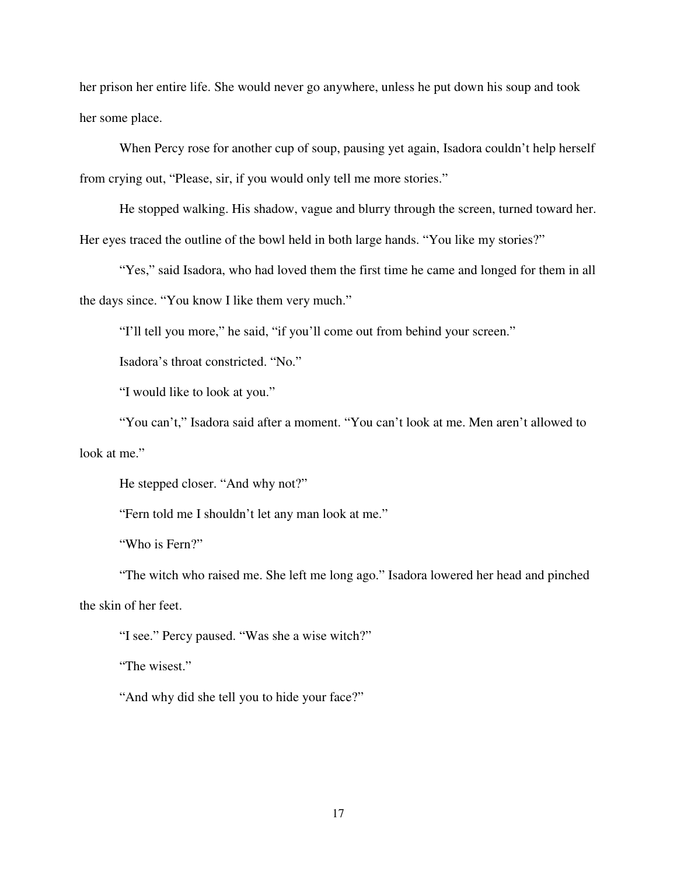her prison her entire life. She would never go anywhere, unless he put down his soup and took her some place.

 When Percy rose for another cup of soup, pausing yet again, Isadora couldn't help herself from crying out, "Please, sir, if you would only tell me more stories."

 He stopped walking. His shadow, vague and blurry through the screen, turned toward her. Her eyes traced the outline of the bowl held in both large hands. "You like my stories?"

"Yes," said Isadora, who had loved them the first time he came and longed for them in all the days since. "You know I like them very much."

"I'll tell you more," he said, "if you'll come out from behind your screen."

Isadora's throat constricted. "No."

"I would like to look at you."

 "You can't," Isadora said after a moment. "You can't look at me. Men aren't allowed to look at me."

He stepped closer. "And why not?"

"Fern told me I shouldn't let any man look at me."

"Who is Fern?"

 "The witch who raised me. She left me long ago." Isadora lowered her head and pinched the skin of her feet.

"I see." Percy paused. "Was she a wise witch?"

"The wisest."

"And why did she tell you to hide your face?"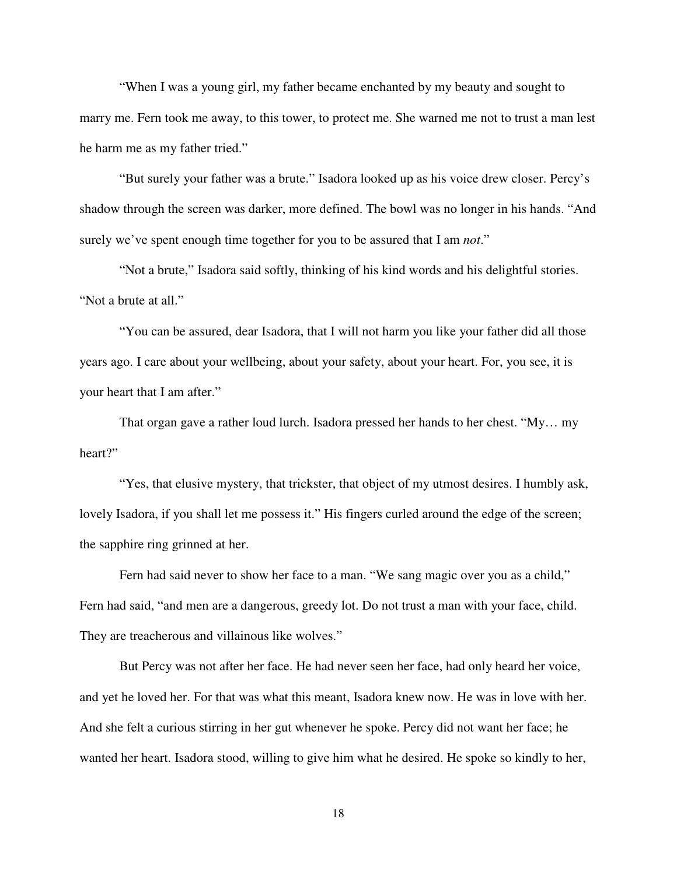"When I was a young girl, my father became enchanted by my beauty and sought to marry me. Fern took me away, to this tower, to protect me. She warned me not to trust a man lest he harm me as my father tried."

 "But surely your father was a brute." Isadora looked up as his voice drew closer. Percy's shadow through the screen was darker, more defined. The bowl was no longer in his hands. "And surely we've spent enough time together for you to be assured that I am *not*."

 "Not a brute," Isadora said softly, thinking of his kind words and his delightful stories. "Not a brute at all."

 "You can be assured, dear Isadora, that I will not harm you like your father did all those years ago. I care about your wellbeing, about your safety, about your heart. For, you see, it is your heart that I am after."

 That organ gave a rather loud lurch. Isadora pressed her hands to her chest. "My… my heart?"

 "Yes, that elusive mystery, that trickster, that object of my utmost desires. I humbly ask, lovely Isadora, if you shall let me possess it." His fingers curled around the edge of the screen; the sapphire ring grinned at her.

 Fern had said never to show her face to a man. "We sang magic over you as a child," Fern had said, "and men are a dangerous, greedy lot. Do not trust a man with your face, child. They are treacherous and villainous like wolves."

 But Percy was not after her face. He had never seen her face, had only heard her voice, and yet he loved her. For that was what this meant, Isadora knew now. He was in love with her. And she felt a curious stirring in her gut whenever he spoke. Percy did not want her face; he wanted her heart. Isadora stood, willing to give him what he desired. He spoke so kindly to her,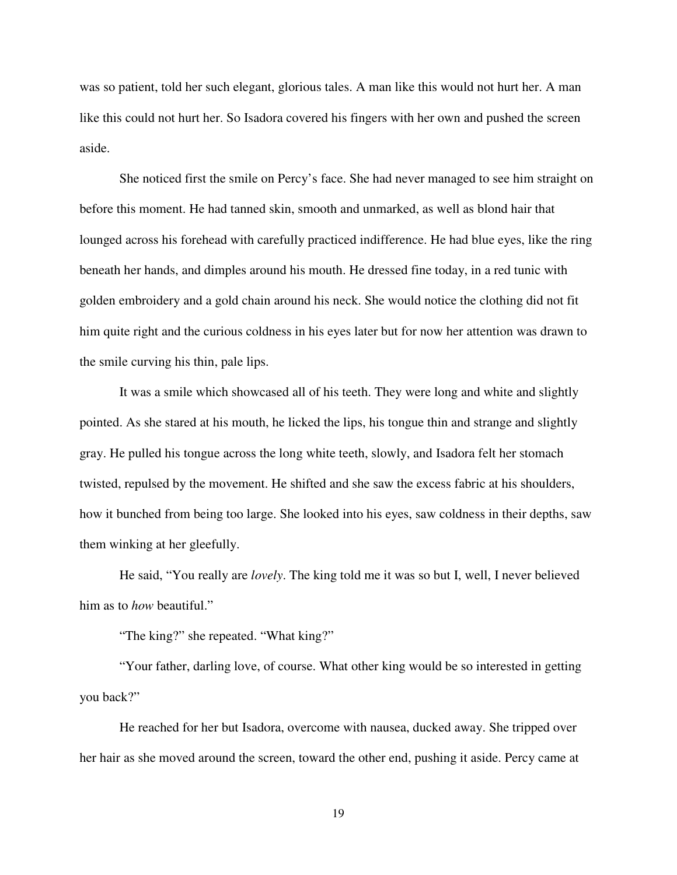was so patient, told her such elegant, glorious tales. A man like this would not hurt her. A man like this could not hurt her. So Isadora covered his fingers with her own and pushed the screen aside.

 She noticed first the smile on Percy's face. She had never managed to see him straight on before this moment. He had tanned skin, smooth and unmarked, as well as blond hair that lounged across his forehead with carefully practiced indifference. He had blue eyes, like the ring beneath her hands, and dimples around his mouth. He dressed fine today, in a red tunic with golden embroidery and a gold chain around his neck. She would notice the clothing did not fit him quite right and the curious coldness in his eyes later but for now her attention was drawn to the smile curving his thin, pale lips.

 It was a smile which showcased all of his teeth. They were long and white and slightly pointed. As she stared at his mouth, he licked the lips, his tongue thin and strange and slightly gray. He pulled his tongue across the long white teeth, slowly, and Isadora felt her stomach twisted, repulsed by the movement. He shifted and she saw the excess fabric at his shoulders, how it bunched from being too large. She looked into his eyes, saw coldness in their depths, saw them winking at her gleefully.

 He said, "You really are *lovely*. The king told me it was so but I, well, I never believed him as to *how* beautiful."

"The king?" she repeated. "What king?"

 "Your father, darling love, of course. What other king would be so interested in getting you back?"

 He reached for her but Isadora, overcome with nausea, ducked away. She tripped over her hair as she moved around the screen, toward the other end, pushing it aside. Percy came at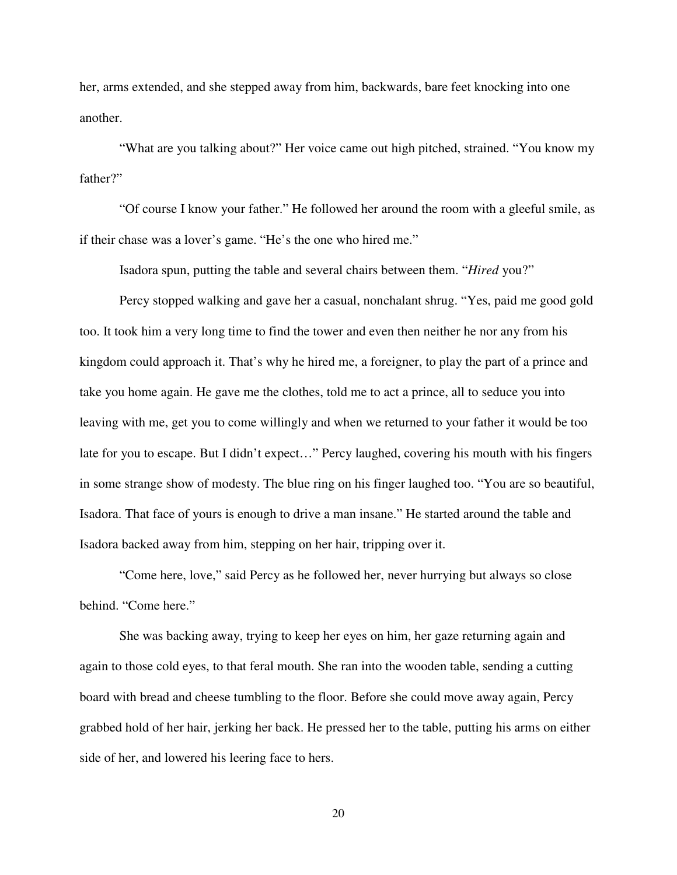her, arms extended, and she stepped away from him, backwards, bare feet knocking into one another.

 "What are you talking about?" Her voice came out high pitched, strained. "You know my father?"

 "Of course I know your father." He followed her around the room with a gleeful smile, as if their chase was a lover's game. "He's the one who hired me."

Isadora spun, putting the table and several chairs between them. "*Hired* you?"

 Percy stopped walking and gave her a casual, nonchalant shrug. "Yes, paid me good gold too. It took him a very long time to find the tower and even then neither he nor any from his kingdom could approach it. That's why he hired me, a foreigner, to play the part of a prince and take you home again. He gave me the clothes, told me to act a prince, all to seduce you into leaving with me, get you to come willingly and when we returned to your father it would be too late for you to escape. But I didn't expect…" Percy laughed, covering his mouth with his fingers in some strange show of modesty. The blue ring on his finger laughed too. "You are so beautiful, Isadora. That face of yours is enough to drive a man insane." He started around the table and Isadora backed away from him, stepping on her hair, tripping over it.

 "Come here, love," said Percy as he followed her, never hurrying but always so close behind. "Come here."

 She was backing away, trying to keep her eyes on him, her gaze returning again and again to those cold eyes, to that feral mouth. She ran into the wooden table, sending a cutting board with bread and cheese tumbling to the floor. Before she could move away again, Percy grabbed hold of her hair, jerking her back. He pressed her to the table, putting his arms on either side of her, and lowered his leering face to hers.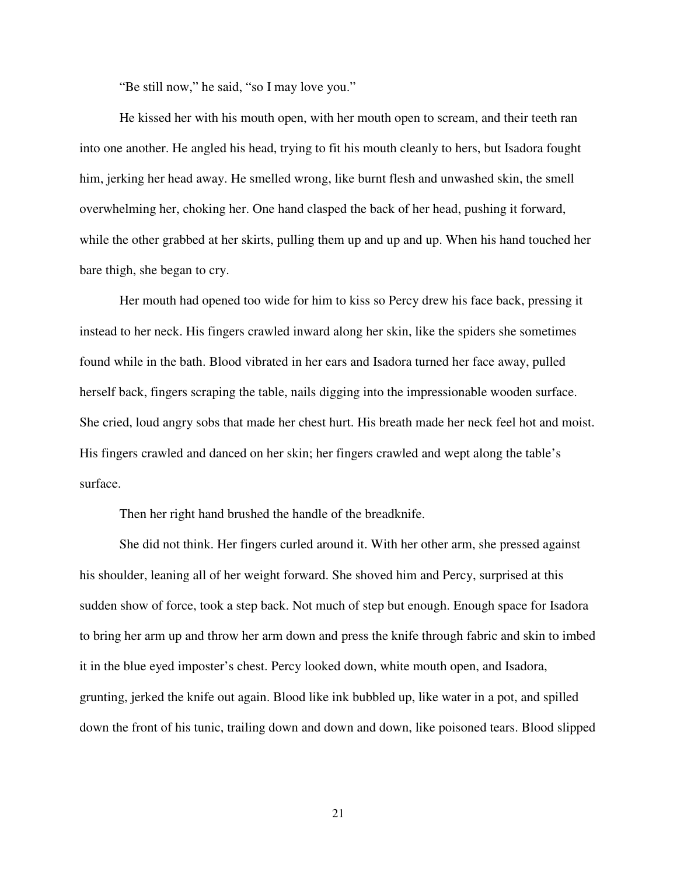"Be still now," he said, "so I may love you."

 He kissed her with his mouth open, with her mouth open to scream, and their teeth ran into one another. He angled his head, trying to fit his mouth cleanly to hers, but Isadora fought him, jerking her head away. He smelled wrong, like burnt flesh and unwashed skin, the smell overwhelming her, choking her. One hand clasped the back of her head, pushing it forward, while the other grabbed at her skirts, pulling them up and up and up. When his hand touched her bare thigh, she began to cry.

 Her mouth had opened too wide for him to kiss so Percy drew his face back, pressing it instead to her neck. His fingers crawled inward along her skin, like the spiders she sometimes found while in the bath. Blood vibrated in her ears and Isadora turned her face away, pulled herself back, fingers scraping the table, nails digging into the impressionable wooden surface. She cried, loud angry sobs that made her chest hurt. His breath made her neck feel hot and moist. His fingers crawled and danced on her skin; her fingers crawled and wept along the table's surface.

Then her right hand brushed the handle of the breadknife.

 She did not think. Her fingers curled around it. With her other arm, she pressed against his shoulder, leaning all of her weight forward. She shoved him and Percy, surprised at this sudden show of force, took a step back. Not much of step but enough. Enough space for Isadora to bring her arm up and throw her arm down and press the knife through fabric and skin to imbed it in the blue eyed imposter's chest. Percy looked down, white mouth open, and Isadora, grunting, jerked the knife out again. Blood like ink bubbled up, like water in a pot, and spilled down the front of his tunic, trailing down and down and down, like poisoned tears. Blood slipped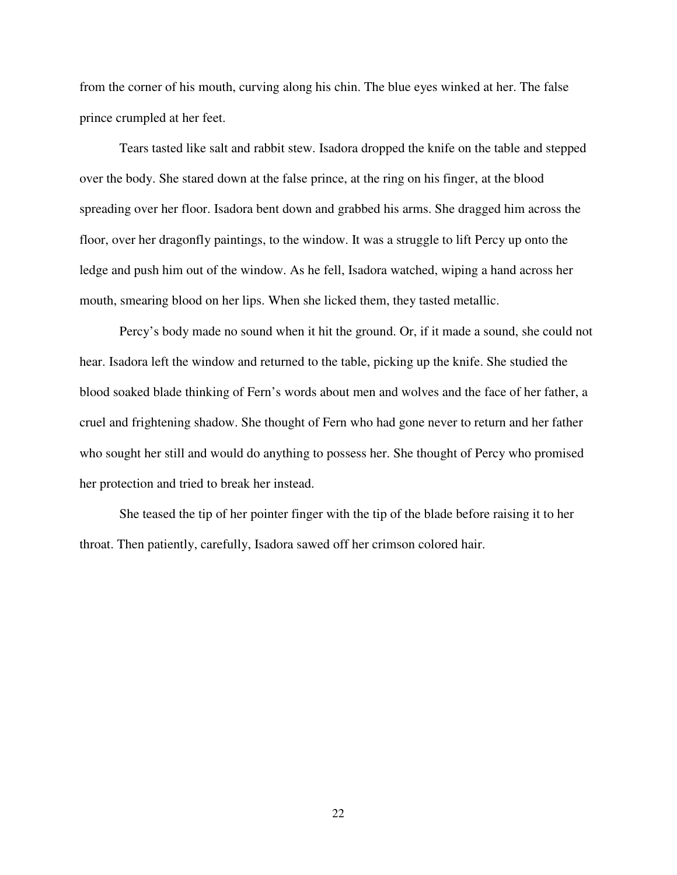from the corner of his mouth, curving along his chin. The blue eyes winked at her. The false prince crumpled at her feet.

 Tears tasted like salt and rabbit stew. Isadora dropped the knife on the table and stepped over the body. She stared down at the false prince, at the ring on his finger, at the blood spreading over her floor. Isadora bent down and grabbed his arms. She dragged him across the floor, over her dragonfly paintings, to the window. It was a struggle to lift Percy up onto the ledge and push him out of the window. As he fell, Isadora watched, wiping a hand across her mouth, smearing blood on her lips. When she licked them, they tasted metallic.

 Percy's body made no sound when it hit the ground. Or, if it made a sound, she could not hear. Isadora left the window and returned to the table, picking up the knife. She studied the blood soaked blade thinking of Fern's words about men and wolves and the face of her father, a cruel and frightening shadow. She thought of Fern who had gone never to return and her father who sought her still and would do anything to possess her. She thought of Percy who promised her protection and tried to break her instead.

 She teased the tip of her pointer finger with the tip of the blade before raising it to her throat. Then patiently, carefully, Isadora sawed off her crimson colored hair.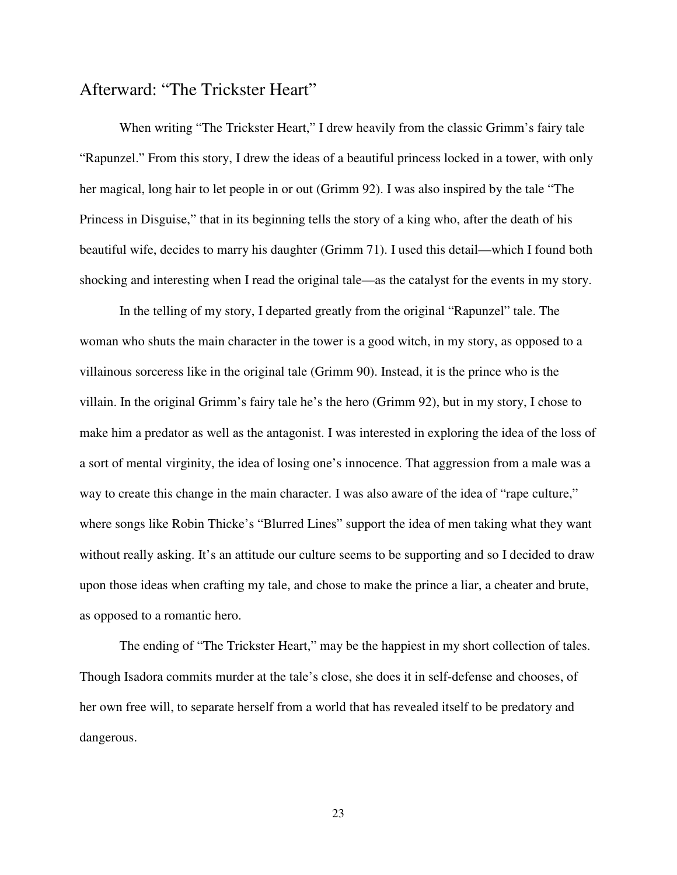## Afterward: "The Trickster Heart"

 When writing "The Trickster Heart," I drew heavily from the classic Grimm's fairy tale "Rapunzel." From this story, I drew the ideas of a beautiful princess locked in a tower, with only her magical, long hair to let people in or out (Grimm 92). I was also inspired by the tale "The Princess in Disguise," that in its beginning tells the story of a king who, after the death of his beautiful wife, decides to marry his daughter (Grimm 71). I used this detail—which I found both shocking and interesting when I read the original tale—as the catalyst for the events in my story.

In the telling of my story, I departed greatly from the original "Rapunzel" tale. The woman who shuts the main character in the tower is a good witch, in my story, as opposed to a villainous sorceress like in the original tale (Grimm 90). Instead, it is the prince who is the villain. In the original Grimm's fairy tale he's the hero (Grimm 92), but in my story, I chose to make him a predator as well as the antagonist. I was interested in exploring the idea of the loss of a sort of mental virginity, the idea of losing one's innocence. That aggression from a male was a way to create this change in the main character. I was also aware of the idea of "rape culture," where songs like Robin Thicke's "Blurred Lines" support the idea of men taking what they want without really asking. It's an attitude our culture seems to be supporting and so I decided to draw upon those ideas when crafting my tale, and chose to make the prince a liar, a cheater and brute, as opposed to a romantic hero.

The ending of "The Trickster Heart," may be the happiest in my short collection of tales. Though Isadora commits murder at the tale's close, she does it in self-defense and chooses, of her own free will, to separate herself from a world that has revealed itself to be predatory and dangerous.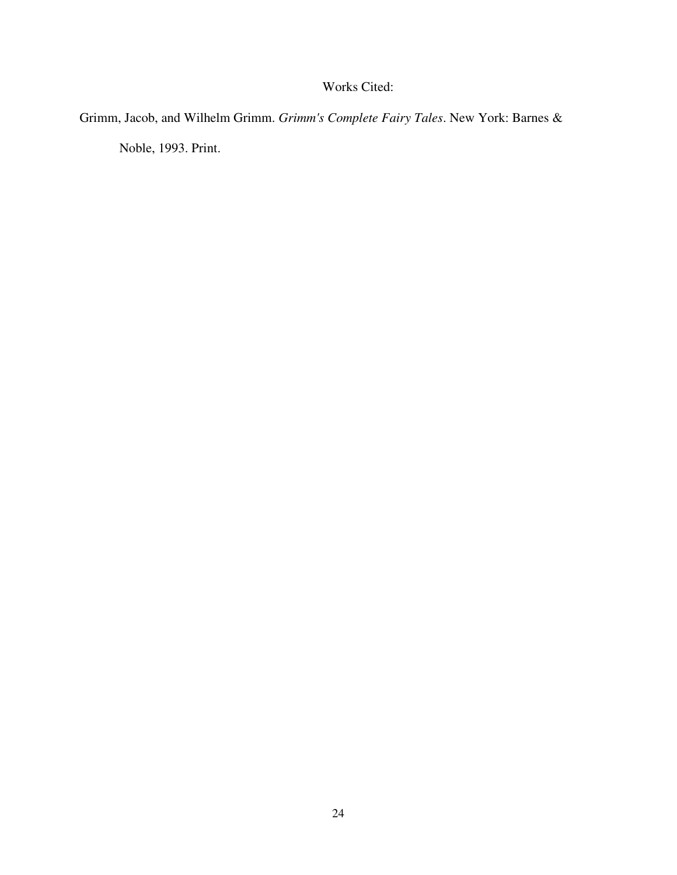### Works Cited:

Grimm, Jacob, and Wilhelm Grimm. *Grimm's Complete Fairy Tales*. New York: Barnes &

Noble, 1993. Print.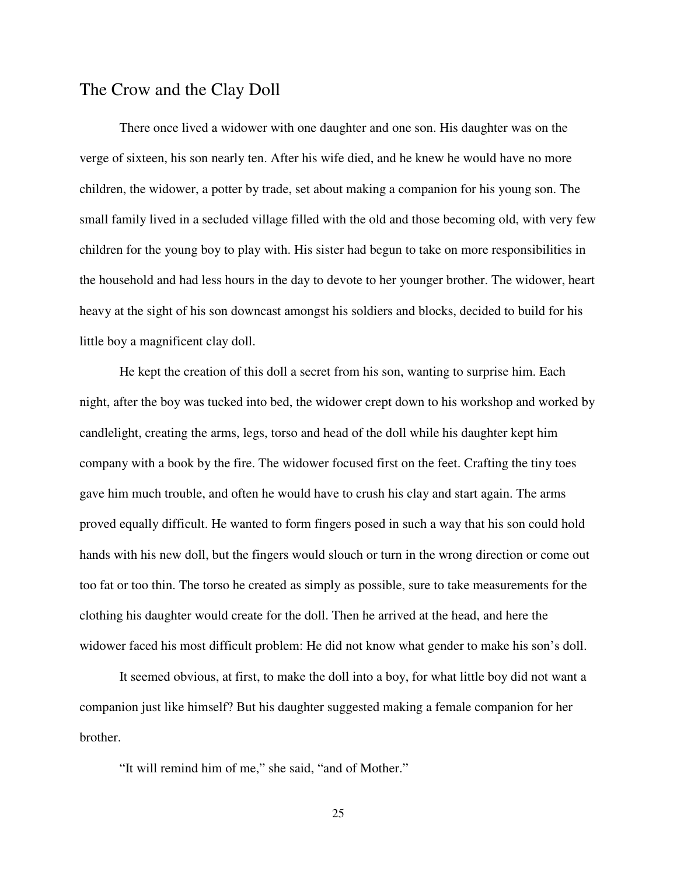## The Crow and the Clay Doll

There once lived a widower with one daughter and one son. His daughter was on the verge of sixteen, his son nearly ten. After his wife died, and he knew he would have no more children, the widower, a potter by trade, set about making a companion for his young son. The small family lived in a secluded village filled with the old and those becoming old, with very few children for the young boy to play with. His sister had begun to take on more responsibilities in the household and had less hours in the day to devote to her younger brother. The widower, heart heavy at the sight of his son downcast amongst his soldiers and blocks, decided to build for his little boy a magnificent clay doll.

 He kept the creation of this doll a secret from his son, wanting to surprise him. Each night, after the boy was tucked into bed, the widower crept down to his workshop and worked by candlelight, creating the arms, legs, torso and head of the doll while his daughter kept him company with a book by the fire. The widower focused first on the feet. Crafting the tiny toes gave him much trouble, and often he would have to crush his clay and start again. The arms proved equally difficult. He wanted to form fingers posed in such a way that his son could hold hands with his new doll, but the fingers would slouch or turn in the wrong direction or come out too fat or too thin. The torso he created as simply as possible, sure to take measurements for the clothing his daughter would create for the doll. Then he arrived at the head, and here the widower faced his most difficult problem: He did not know what gender to make his son's doll.

 It seemed obvious, at first, to make the doll into a boy, for what little boy did not want a companion just like himself? But his daughter suggested making a female companion for her brother.

"It will remind him of me," she said, "and of Mother."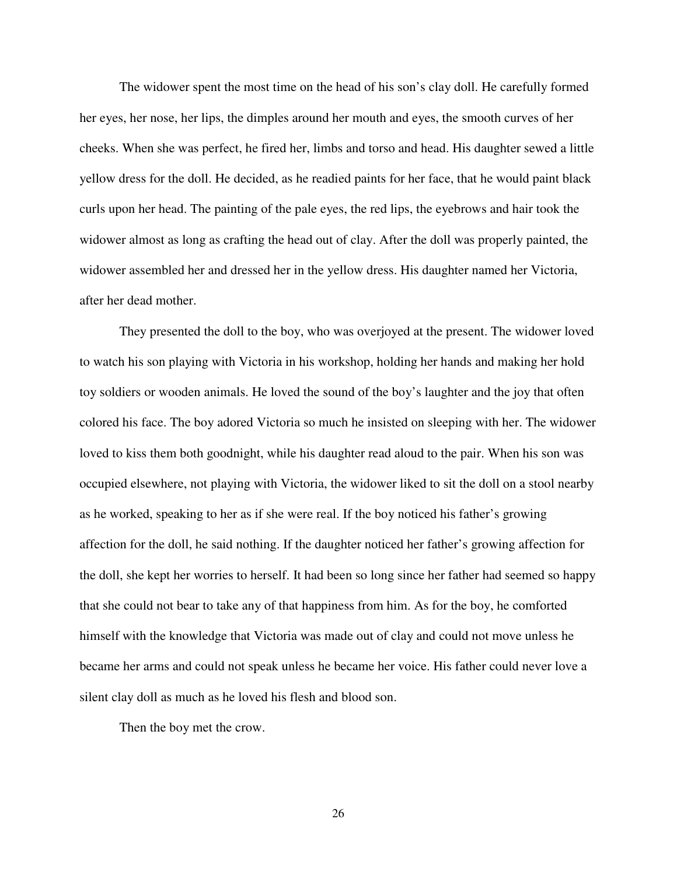The widower spent the most time on the head of his son's clay doll. He carefully formed her eyes, her nose, her lips, the dimples around her mouth and eyes, the smooth curves of her cheeks. When she was perfect, he fired her, limbs and torso and head. His daughter sewed a little yellow dress for the doll. He decided, as he readied paints for her face, that he would paint black curls upon her head. The painting of the pale eyes, the red lips, the eyebrows and hair took the widower almost as long as crafting the head out of clay. After the doll was properly painted, the widower assembled her and dressed her in the yellow dress. His daughter named her Victoria, after her dead mother.

 They presented the doll to the boy, who was overjoyed at the present. The widower loved to watch his son playing with Victoria in his workshop, holding her hands and making her hold toy soldiers or wooden animals. He loved the sound of the boy's laughter and the joy that often colored his face. The boy adored Victoria so much he insisted on sleeping with her. The widower loved to kiss them both goodnight, while his daughter read aloud to the pair. When his son was occupied elsewhere, not playing with Victoria, the widower liked to sit the doll on a stool nearby as he worked, speaking to her as if she were real. If the boy noticed his father's growing affection for the doll, he said nothing. If the daughter noticed her father's growing affection for the doll, she kept her worries to herself. It had been so long since her father had seemed so happy that she could not bear to take any of that happiness from him. As for the boy, he comforted himself with the knowledge that Victoria was made out of clay and could not move unless he became her arms and could not speak unless he became her voice. His father could never love a silent clay doll as much as he loved his flesh and blood son.

Then the boy met the crow.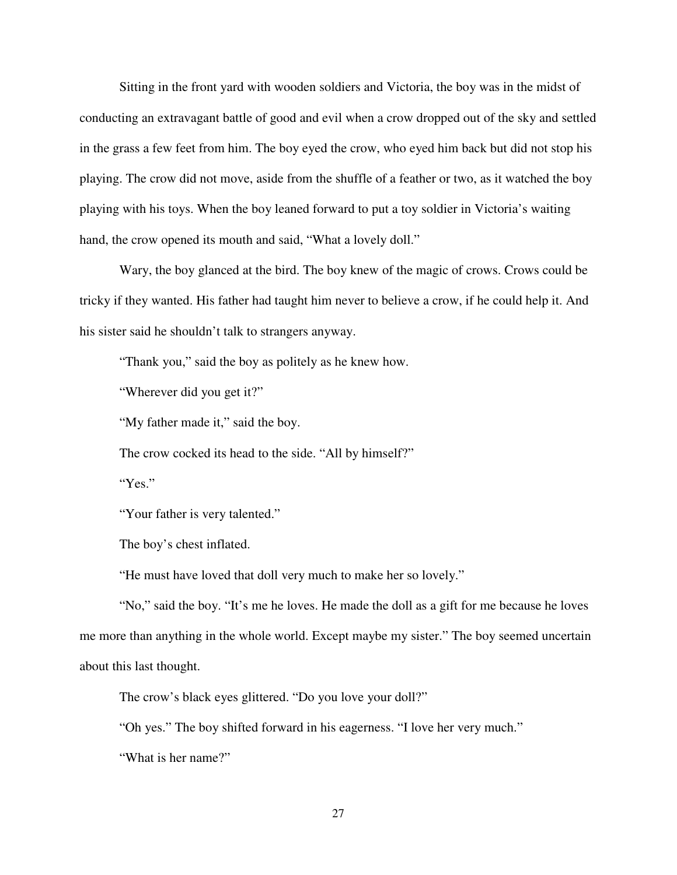Sitting in the front yard with wooden soldiers and Victoria, the boy was in the midst of conducting an extravagant battle of good and evil when a crow dropped out of the sky and settled in the grass a few feet from him. The boy eyed the crow, who eyed him back but did not stop his playing. The crow did not move, aside from the shuffle of a feather or two, as it watched the boy playing with his toys. When the boy leaned forward to put a toy soldier in Victoria's waiting hand, the crow opened its mouth and said, "What a lovely doll."

 Wary, the boy glanced at the bird. The boy knew of the magic of crows. Crows could be tricky if they wanted. His father had taught him never to believe a crow, if he could help it. And his sister said he shouldn't talk to strangers anyway.

"Thank you," said the boy as politely as he knew how.

"Wherever did you get it?"

"My father made it," said the boy.

The crow cocked its head to the side. "All by himself?"

"Yes."

"Your father is very talented."

The boy's chest inflated.

"He must have loved that doll very much to make her so lovely."

 "No," said the boy. "It's me he loves. He made the doll as a gift for me because he loves me more than anything in the whole world. Except maybe my sister." The boy seemed uncertain about this last thought.

The crow's black eyes glittered. "Do you love your doll?"

"Oh yes." The boy shifted forward in his eagerness. "I love her very much."

"What is her name?"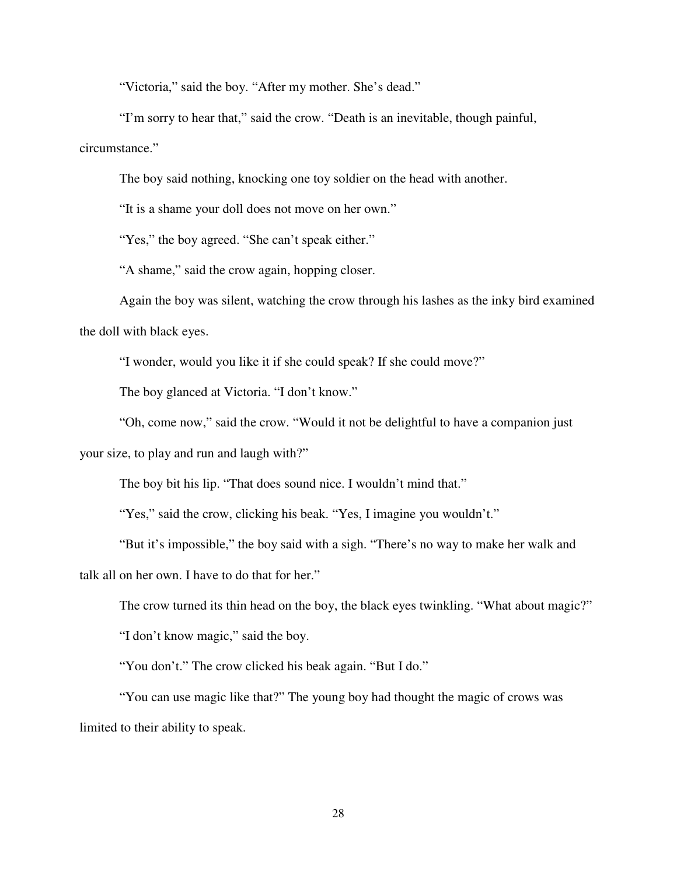"Victoria," said the boy. "After my mother. She's dead."

 "I'm sorry to hear that," said the crow. "Death is an inevitable, though painful, circumstance."

The boy said nothing, knocking one toy soldier on the head with another.

"It is a shame your doll does not move on her own."

"Yes," the boy agreed. "She can't speak either."

"A shame," said the crow again, hopping closer.

 Again the boy was silent, watching the crow through his lashes as the inky bird examined the doll with black eyes.

"I wonder, would you like it if she could speak? If she could move?"

The boy glanced at Victoria. "I don't know."

"Oh, come now," said the crow. "Would it not be delightful to have a companion just

your size, to play and run and laugh with?"

The boy bit his lip. "That does sound nice. I wouldn't mind that."

"Yes," said the crow, clicking his beak. "Yes, I imagine you wouldn't."

 "But it's impossible," the boy said with a sigh. "There's no way to make her walk and talk all on her own. I have to do that for her."

The crow turned its thin head on the boy, the black eyes twinkling. "What about magic?"

"I don't know magic," said the boy.

"You don't." The crow clicked his beak again. "But I do."

 "You can use magic like that?" The young boy had thought the magic of crows was limited to their ability to speak.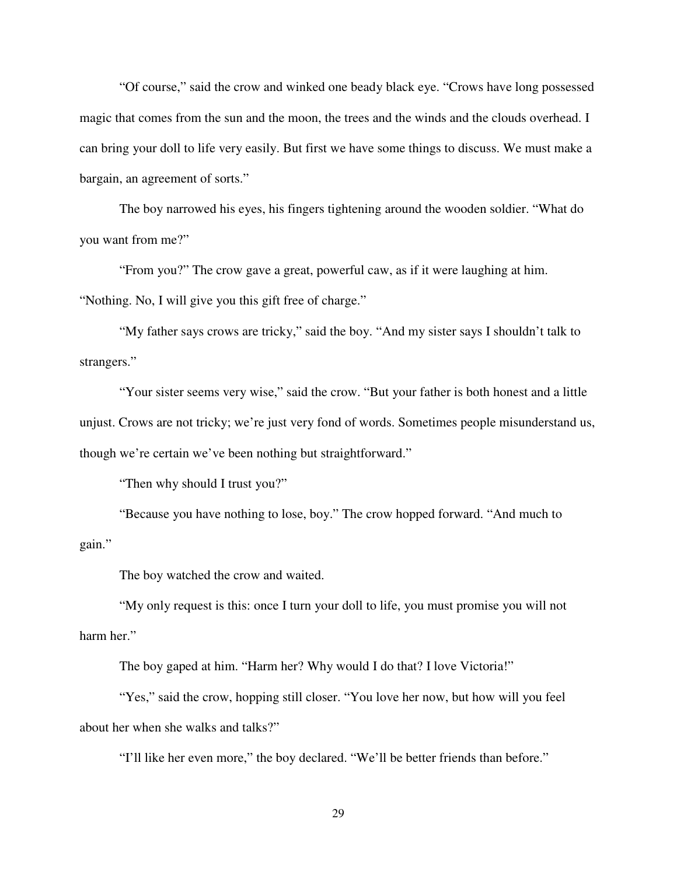"Of course," said the crow and winked one beady black eye. "Crows have long possessed magic that comes from the sun and the moon, the trees and the winds and the clouds overhead. I can bring your doll to life very easily. But first we have some things to discuss. We must make a bargain, an agreement of sorts."

 The boy narrowed his eyes, his fingers tightening around the wooden soldier. "What do you want from me?"

 "From you?" The crow gave a great, powerful caw, as if it were laughing at him. "Nothing. No, I will give you this gift free of charge."

 "My father says crows are tricky," said the boy. "And my sister says I shouldn't talk to strangers."

 "Your sister seems very wise," said the crow. "But your father is both honest and a little unjust. Crows are not tricky; we're just very fond of words. Sometimes people misunderstand us, though we're certain we've been nothing but straightforward."

"Then why should I trust you?"

 "Because you have nothing to lose, boy." The crow hopped forward. "And much to gain."

The boy watched the crow and waited.

 "My only request is this: once I turn your doll to life, you must promise you will not harm her."

The boy gaped at him. "Harm her? Why would I do that? I love Victoria!"

 "Yes," said the crow, hopping still closer. "You love her now, but how will you feel about her when she walks and talks?"

"I'll like her even more," the boy declared. "We'll be better friends than before."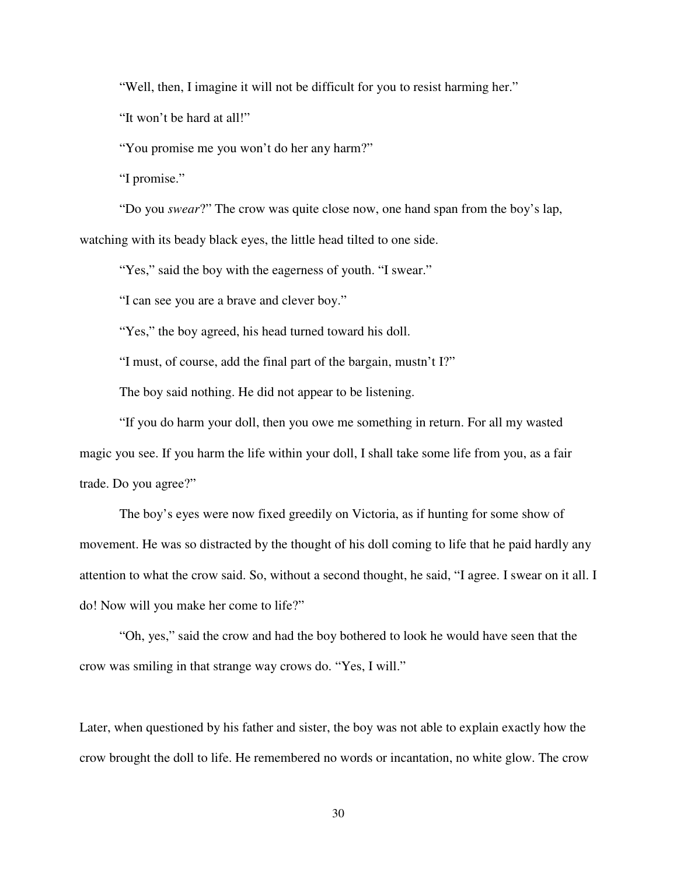"Well, then, I imagine it will not be difficult for you to resist harming her."

"It won't be hard at all!"

"You promise me you won't do her any harm?"

"I promise."

 "Do you *swear*?" The crow was quite close now, one hand span from the boy's lap, watching with its beady black eyes, the little head tilted to one side.

"Yes," said the boy with the eagerness of youth. "I swear."

"I can see you are a brave and clever boy."

"Yes," the boy agreed, his head turned toward his doll.

"I must, of course, add the final part of the bargain, mustn't I?"

The boy said nothing. He did not appear to be listening.

 "If you do harm your doll, then you owe me something in return. For all my wasted magic you see. If you harm the life within your doll, I shall take some life from you, as a fair trade. Do you agree?"

 The boy's eyes were now fixed greedily on Victoria, as if hunting for some show of movement. He was so distracted by the thought of his doll coming to life that he paid hardly any attention to what the crow said. So, without a second thought, he said, "I agree. I swear on it all. I do! Now will you make her come to life?"

 "Oh, yes," said the crow and had the boy bothered to look he would have seen that the crow was smiling in that strange way crows do. "Yes, I will."

Later, when questioned by his father and sister, the boy was not able to explain exactly how the crow brought the doll to life. He remembered no words or incantation, no white glow. The crow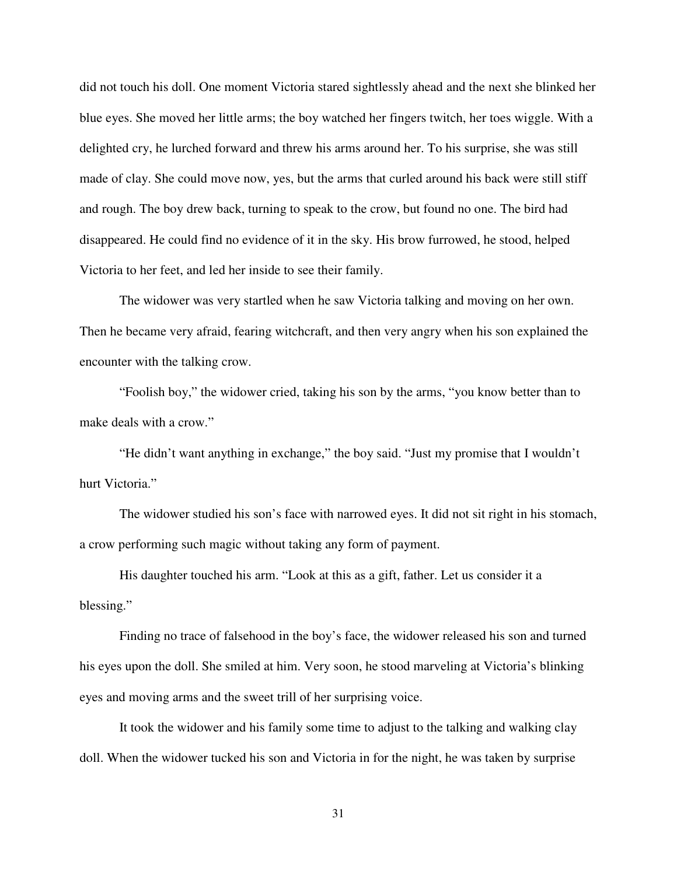did not touch his doll. One moment Victoria stared sightlessly ahead and the next she blinked her blue eyes. She moved her little arms; the boy watched her fingers twitch, her toes wiggle. With a delighted cry, he lurched forward and threw his arms around her. To his surprise, she was still made of clay. She could move now, yes, but the arms that curled around his back were still stiff and rough. The boy drew back, turning to speak to the crow, but found no one. The bird had disappeared. He could find no evidence of it in the sky. His brow furrowed, he stood, helped Victoria to her feet, and led her inside to see their family.

 The widower was very startled when he saw Victoria talking and moving on her own. Then he became very afraid, fearing witchcraft, and then very angry when his son explained the encounter with the talking crow.

"Foolish boy," the widower cried, taking his son by the arms, "you know better than to make deals with a crow."

 "He didn't want anything in exchange," the boy said. "Just my promise that I wouldn't hurt Victoria."

 The widower studied his son's face with narrowed eyes. It did not sit right in his stomach, a crow performing such magic without taking any form of payment.

His daughter touched his arm. "Look at this as a gift, father. Let us consider it a blessing."

Finding no trace of falsehood in the boy's face, the widower released his son and turned his eyes upon the doll. She smiled at him. Very soon, he stood marveling at Victoria's blinking eyes and moving arms and the sweet trill of her surprising voice.

 It took the widower and his family some time to adjust to the talking and walking clay doll. When the widower tucked his son and Victoria in for the night, he was taken by surprise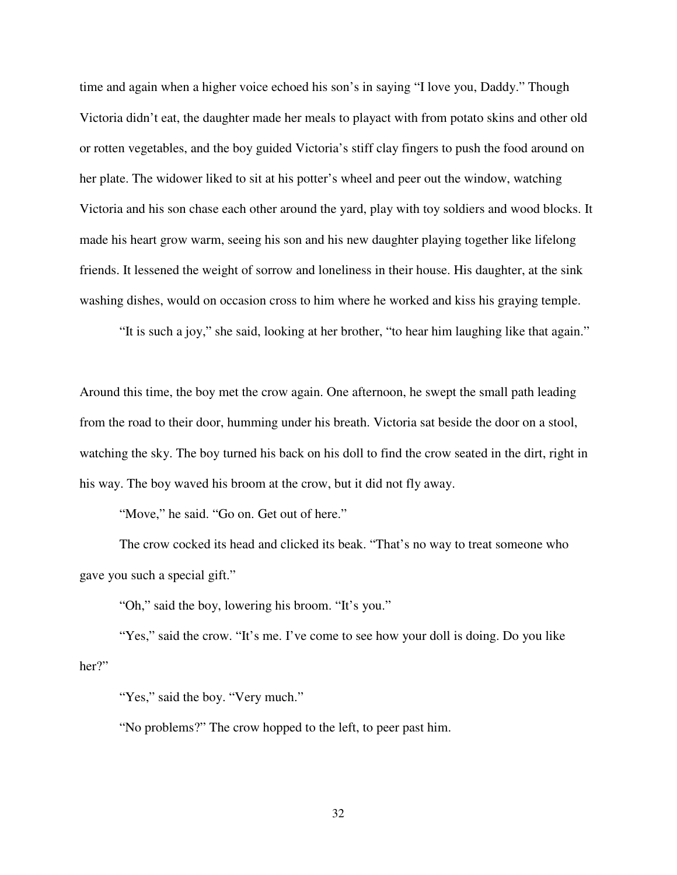time and again when a higher voice echoed his son's in saying "I love you, Daddy." Though Victoria didn't eat, the daughter made her meals to playact with from potato skins and other old or rotten vegetables, and the boy guided Victoria's stiff clay fingers to push the food around on her plate. The widower liked to sit at his potter's wheel and peer out the window, watching Victoria and his son chase each other around the yard, play with toy soldiers and wood blocks. It made his heart grow warm, seeing his son and his new daughter playing together like lifelong friends. It lessened the weight of sorrow and loneliness in their house. His daughter, at the sink washing dishes, would on occasion cross to him where he worked and kiss his graying temple.

"It is such a joy," she said, looking at her brother, "to hear him laughing like that again."

Around this time, the boy met the crow again. One afternoon, he swept the small path leading from the road to their door, humming under his breath. Victoria sat beside the door on a stool, watching the sky. The boy turned his back on his doll to find the crow seated in the dirt, right in his way. The boy waved his broom at the crow, but it did not fly away.

"Move," he said. "Go on. Get out of here."

 The crow cocked its head and clicked its beak. "That's no way to treat someone who gave you such a special gift."

"Oh," said the boy, lowering his broom. "It's you."

"Yes," said the crow. "It's me. I've come to see how your doll is doing. Do you like her?"

"Yes," said the boy. "Very much."

"No problems?" The crow hopped to the left, to peer past him.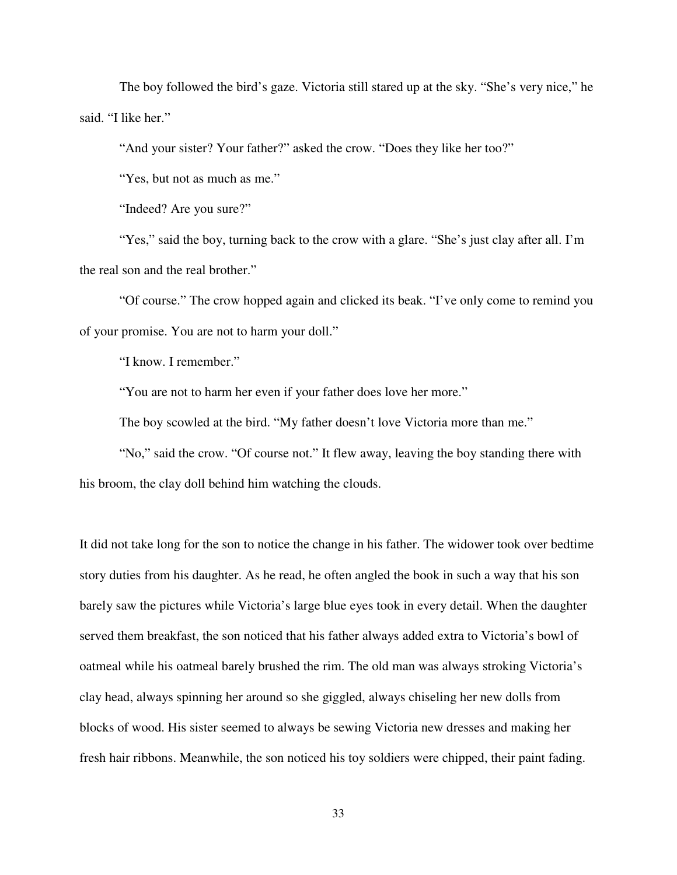The boy followed the bird's gaze. Victoria still stared up at the sky. "She's very nice," he said. "I like her."

"And your sister? Your father?" asked the crow. "Does they like her too?"

"Yes, but not as much as me."

"Indeed? Are you sure?"

 "Yes," said the boy, turning back to the crow with a glare. "She's just clay after all. I'm the real son and the real brother."

 "Of course." The crow hopped again and clicked its beak. "I've only come to remind you of your promise. You are not to harm your doll."

"I know. I remember."

"You are not to harm her even if your father does love her more."

The boy scowled at the bird. "My father doesn't love Victoria more than me."

 "No," said the crow. "Of course not." It flew away, leaving the boy standing there with his broom, the clay doll behind him watching the clouds.

It did not take long for the son to notice the change in his father. The widower took over bedtime story duties from his daughter. As he read, he often angled the book in such a way that his son barely saw the pictures while Victoria's large blue eyes took in every detail. When the daughter served them breakfast, the son noticed that his father always added extra to Victoria's bowl of oatmeal while his oatmeal barely brushed the rim. The old man was always stroking Victoria's clay head, always spinning her around so she giggled, always chiseling her new dolls from blocks of wood. His sister seemed to always be sewing Victoria new dresses and making her fresh hair ribbons. Meanwhile, the son noticed his toy soldiers were chipped, their paint fading.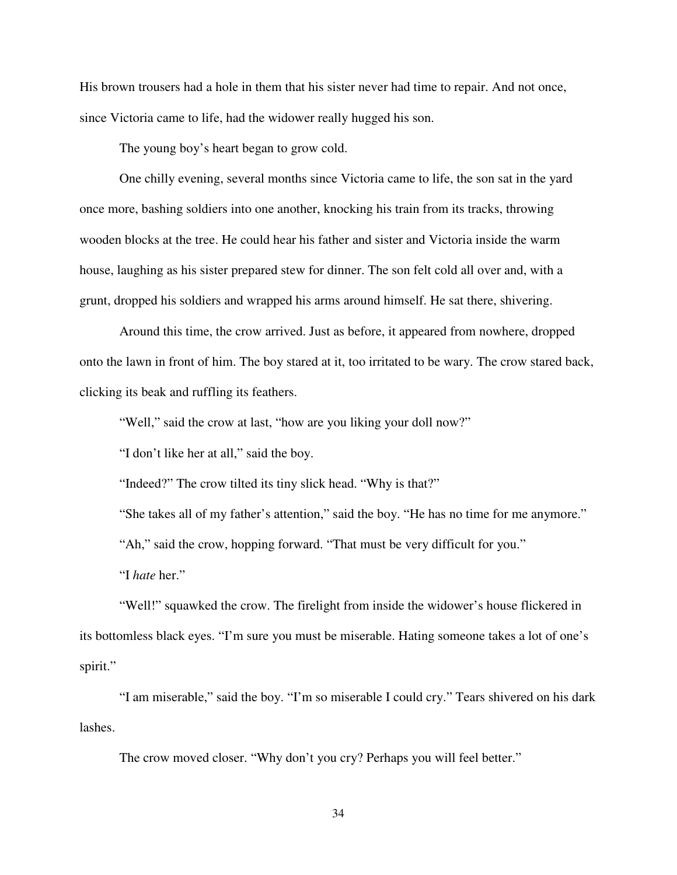His brown trousers had a hole in them that his sister never had time to repair. And not once, since Victoria came to life, had the widower really hugged his son.

The young boy's heart began to grow cold.

 One chilly evening, several months since Victoria came to life, the son sat in the yard once more, bashing soldiers into one another, knocking his train from its tracks, throwing wooden blocks at the tree. He could hear his father and sister and Victoria inside the warm house, laughing as his sister prepared stew for dinner. The son felt cold all over and, with a grunt, dropped his soldiers and wrapped his arms around himself. He sat there, shivering.

 Around this time, the crow arrived. Just as before, it appeared from nowhere, dropped onto the lawn in front of him. The boy stared at it, too irritated to be wary. The crow stared back, clicking its beak and ruffling its feathers.

"Well," said the crow at last, "how are you liking your doll now?"

"I don't like her at all," said the boy.

"Indeed?" The crow tilted its tiny slick head. "Why is that?"

"She takes all of my father's attention," said the boy. "He has no time for me anymore."

"Ah," said the crow, hopping forward. "That must be very difficult for you."

"I *hate* her."

 "Well!" squawked the crow. The firelight from inside the widower's house flickered in its bottomless black eyes. "I'm sure you must be miserable. Hating someone takes a lot of one's spirit."

 "I am miserable," said the boy. "I'm so miserable I could cry." Tears shivered on his dark lashes.

The crow moved closer. "Why don't you cry? Perhaps you will feel better."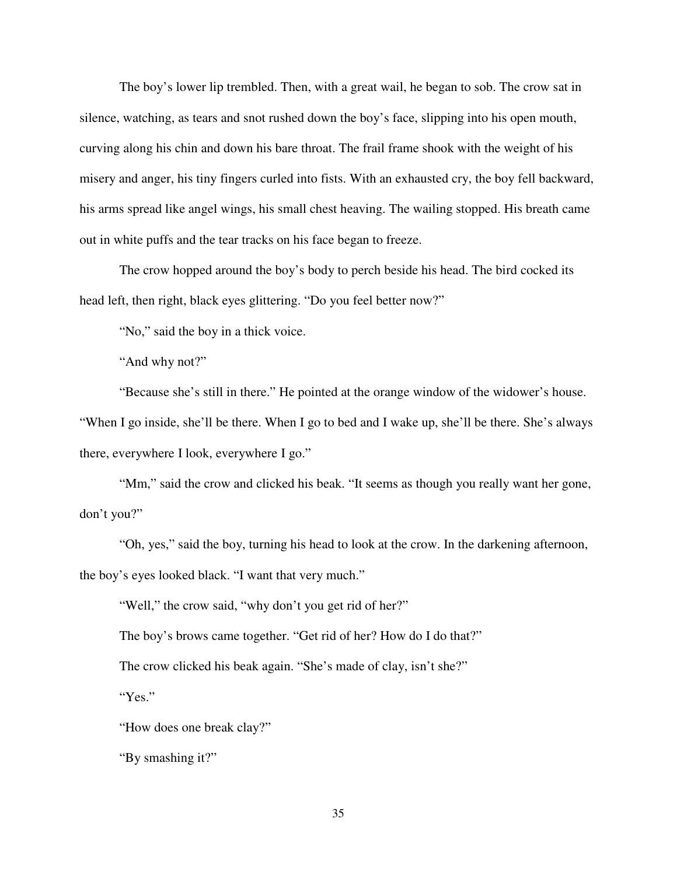The boy's lower lip trembled. Then, with a great wail, he began to sob. The crow sat in silence, watching, as tears and snot rushed down the boy's face, slipping into his open mouth, curving along his chin and down his bare throat. The frail frame shook with the weight of his misery and anger, his tiny fingers curled into fists. With an exhausted cry, the boy fell backward, his arms spread like angel wings, his small chest heaving. The wailing stopped. His breath came out in white puffs and the tear tracks on his face began to freeze.

 The crow hopped around the boy's body to perch beside his head. The bird cocked its head left, then right, black eyes glittering. "Do you feel better now?"

"No," said the boy in a thick voice.

"And why not?"

 "Because she's still in there." He pointed at the orange window of the widower's house. "When I go inside, she'll be there. When I go to bed and I wake up, she'll be there. She's always there, everywhere I look, everywhere I go."

 "Mm," said the crow and clicked his beak. "It seems as though you really want her gone, don't you?"

 "Oh, yes," said the boy, turning his head to look at the crow. In the darkening afternoon, the boy's eyes looked black. "I want that very much."

"Well," the crow said, "why don't you get rid of her?"

The boy's brows came together. "Get rid of her? How do I do that?"

The crow clicked his beak again. "She's made of clay, isn't she?"

"Yes."

"How does one break clay?"

"By smashing it?"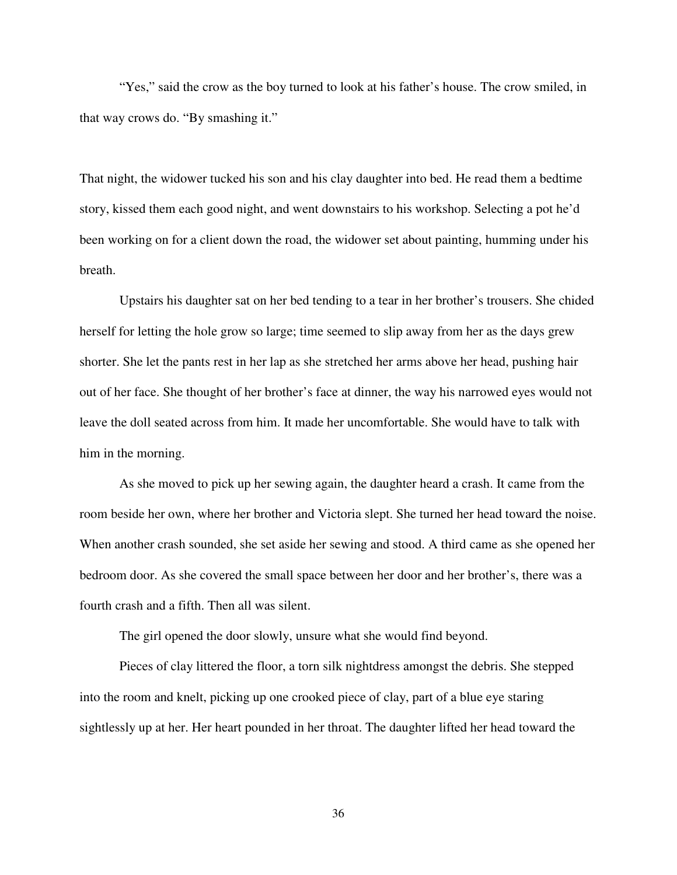"Yes," said the crow as the boy turned to look at his father's house. The crow smiled, in that way crows do. "By smashing it."

That night, the widower tucked his son and his clay daughter into bed. He read them a bedtime story, kissed them each good night, and went downstairs to his workshop. Selecting a pot he'd been working on for a client down the road, the widower set about painting, humming under his breath.

 Upstairs his daughter sat on her bed tending to a tear in her brother's trousers. She chided herself for letting the hole grow so large; time seemed to slip away from her as the days grew shorter. She let the pants rest in her lap as she stretched her arms above her head, pushing hair out of her face. She thought of her brother's face at dinner, the way his narrowed eyes would not leave the doll seated across from him. It made her uncomfortable. She would have to talk with him in the morning.

 As she moved to pick up her sewing again, the daughter heard a crash. It came from the room beside her own, where her brother and Victoria slept. She turned her head toward the noise. When another crash sounded, she set aside her sewing and stood. A third came as she opened her bedroom door. As she covered the small space between her door and her brother's, there was a fourth crash and a fifth. Then all was silent.

The girl opened the door slowly, unsure what she would find beyond.

 Pieces of clay littered the floor, a torn silk nightdress amongst the debris. She stepped into the room and knelt, picking up one crooked piece of clay, part of a blue eye staring sightlessly up at her. Her heart pounded in her throat. The daughter lifted her head toward the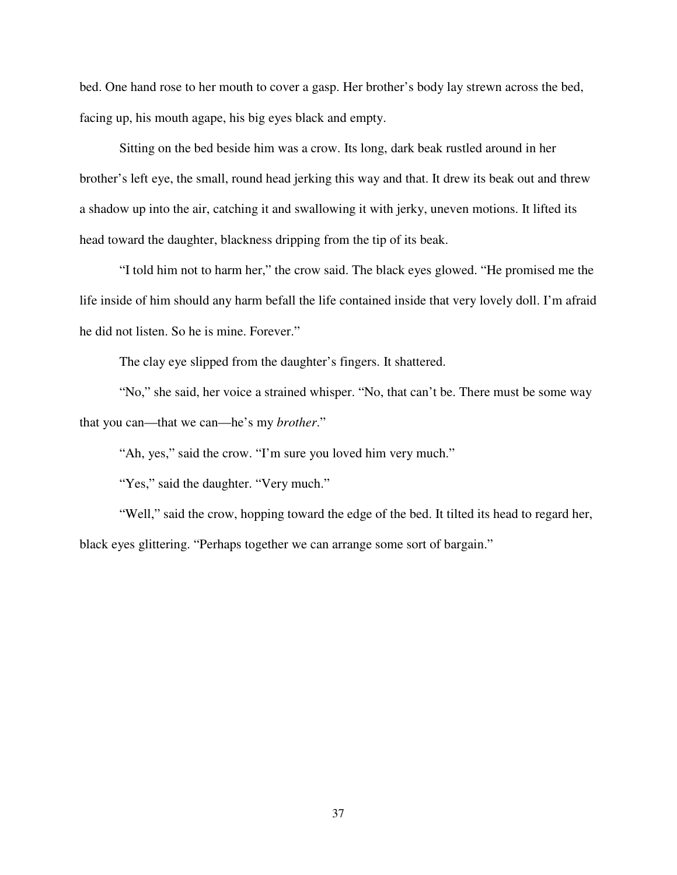bed. One hand rose to her mouth to cover a gasp. Her brother's body lay strewn across the bed, facing up, his mouth agape, his big eyes black and empty.

 Sitting on the bed beside him was a crow. Its long, dark beak rustled around in her brother's left eye, the small, round head jerking this way and that. It drew its beak out and threw a shadow up into the air, catching it and swallowing it with jerky, uneven motions. It lifted its head toward the daughter, blackness dripping from the tip of its beak.

"I told him not to harm her," the crow said. The black eyes glowed. "He promised me the life inside of him should any harm befall the life contained inside that very lovely doll. I'm afraid he did not listen. So he is mine. Forever."

The clay eye slipped from the daughter's fingers. It shattered.

 "No," she said, her voice a strained whisper. "No, that can't be. There must be some way that you can—that we can—he's my *brother*."

"Ah, yes," said the crow. "I'm sure you loved him very much."

"Yes," said the daughter. "Very much."

"Well," said the crow, hopping toward the edge of the bed. It tilted its head to regard her, black eyes glittering. "Perhaps together we can arrange some sort of bargain."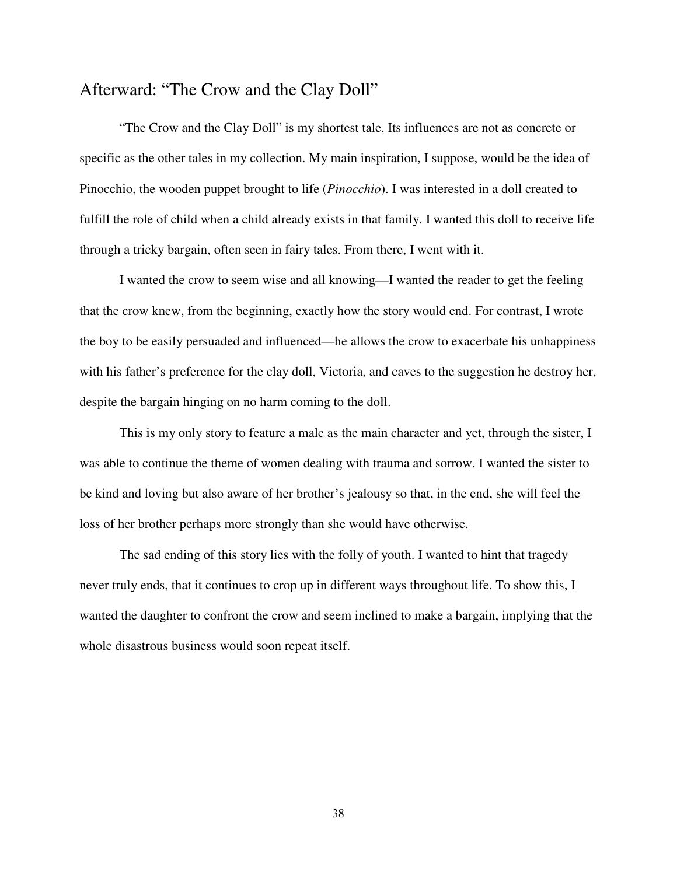### Afterward: "The Crow and the Clay Doll"

 "The Crow and the Clay Doll" is my shortest tale. Its influences are not as concrete or specific as the other tales in my collection. My main inspiration, I suppose, would be the idea of Pinocchio, the wooden puppet brought to life (*Pinocchio*). I was interested in a doll created to fulfill the role of child when a child already exists in that family. I wanted this doll to receive life through a tricky bargain, often seen in fairy tales. From there, I went with it.

 I wanted the crow to seem wise and all knowing—I wanted the reader to get the feeling that the crow knew, from the beginning, exactly how the story would end. For contrast, I wrote the boy to be easily persuaded and influenced—he allows the crow to exacerbate his unhappiness with his father's preference for the clay doll, Victoria, and caves to the suggestion he destroy her, despite the bargain hinging on no harm coming to the doll.

 This is my only story to feature a male as the main character and yet, through the sister, I was able to continue the theme of women dealing with trauma and sorrow. I wanted the sister to be kind and loving but also aware of her brother's jealousy so that, in the end, she will feel the loss of her brother perhaps more strongly than she would have otherwise.

The sad ending of this story lies with the folly of youth. I wanted to hint that tragedy never truly ends, that it continues to crop up in different ways throughout life. To show this, I wanted the daughter to confront the crow and seem inclined to make a bargain, implying that the whole disastrous business would soon repeat itself.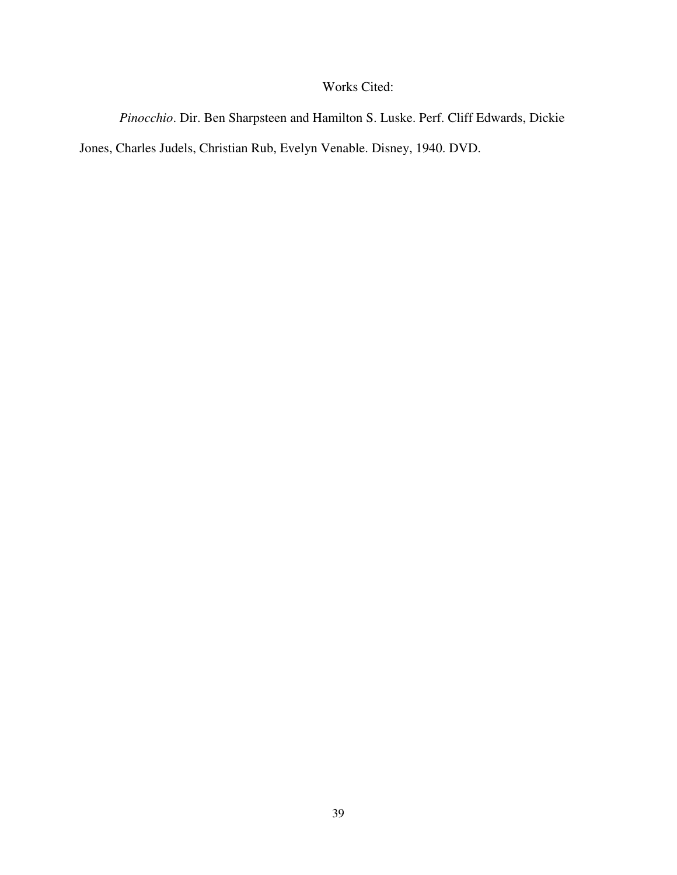# Works Cited:

*Pinocchio*. Dir. Ben Sharpsteen and Hamilton S. Luske. Perf. Cliff Edwards, Dickie

Jones, Charles Judels, Christian Rub, Evelyn Venable. Disney, 1940. DVD.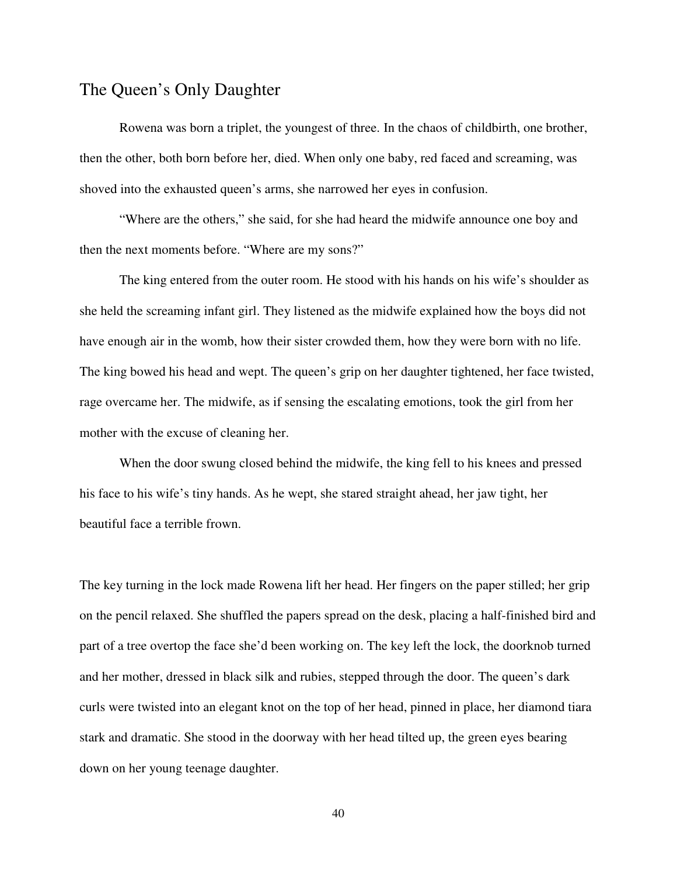## The Queen's Only Daughter

Rowena was born a triplet, the youngest of three. In the chaos of childbirth, one brother, then the other, both born before her, died. When only one baby, red faced and screaming, was shoved into the exhausted queen's arms, she narrowed her eyes in confusion.

"Where are the others," she said, for she had heard the midwife announce one boy and then the next moments before. "Where are my sons?"

 The king entered from the outer room. He stood with his hands on his wife's shoulder as she held the screaming infant girl. They listened as the midwife explained how the boys did not have enough air in the womb, how their sister crowded them, how they were born with no life. The king bowed his head and wept. The queen's grip on her daughter tightened, her face twisted, rage overcame her. The midwife, as if sensing the escalating emotions, took the girl from her mother with the excuse of cleaning her.

 When the door swung closed behind the midwife, the king fell to his knees and pressed his face to his wife's tiny hands. As he wept, she stared straight ahead, her jaw tight, her beautiful face a terrible frown.

The key turning in the lock made Rowena lift her head. Her fingers on the paper stilled; her grip on the pencil relaxed. She shuffled the papers spread on the desk, placing a half-finished bird and part of a tree overtop the face she'd been working on. The key left the lock, the doorknob turned and her mother, dressed in black silk and rubies, stepped through the door. The queen's dark curls were twisted into an elegant knot on the top of her head, pinned in place, her diamond tiara stark and dramatic. She stood in the doorway with her head tilted up, the green eyes bearing down on her young teenage daughter.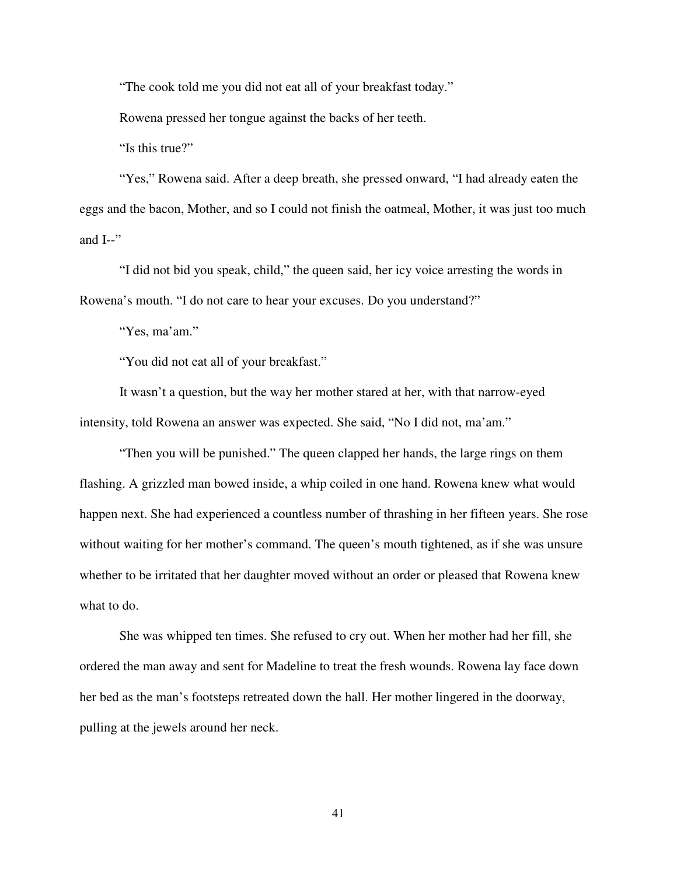"The cook told me you did not eat all of your breakfast today."

Rowena pressed her tongue against the backs of her teeth.

"Is this true?"

 "Yes," Rowena said. After a deep breath, she pressed onward, "I had already eaten the eggs and the bacon, Mother, and so I could not finish the oatmeal, Mother, it was just too much and  $I-$ "

 "I did not bid you speak, child," the queen said, her icy voice arresting the words in Rowena's mouth. "I do not care to hear your excuses. Do you understand?"

"Yes, ma'am."

"You did not eat all of your breakfast."

 It wasn't a question, but the way her mother stared at her, with that narrow-eyed intensity, told Rowena an answer was expected. She said, "No I did not, ma'am."

 "Then you will be punished." The queen clapped her hands, the large rings on them flashing. A grizzled man bowed inside, a whip coiled in one hand. Rowena knew what would happen next. She had experienced a countless number of thrashing in her fifteen years. She rose without waiting for her mother's command. The queen's mouth tightened, as if she was unsure whether to be irritated that her daughter moved without an order or pleased that Rowena knew what to do.

 She was whipped ten times. She refused to cry out. When her mother had her fill, she ordered the man away and sent for Madeline to treat the fresh wounds. Rowena lay face down her bed as the man's footsteps retreated down the hall. Her mother lingered in the doorway, pulling at the jewels around her neck.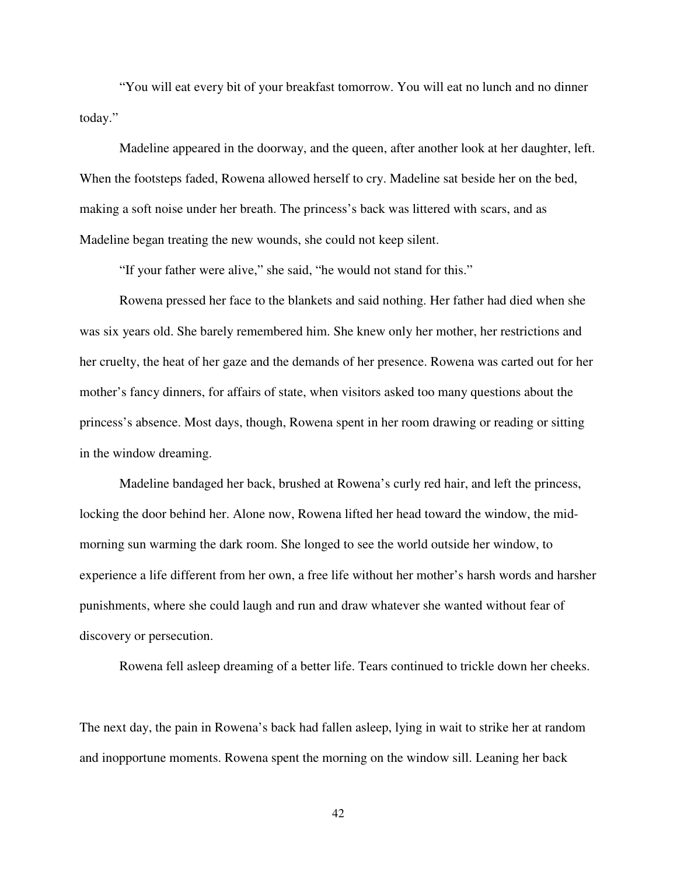"You will eat every bit of your breakfast tomorrow. You will eat no lunch and no dinner today."

 Madeline appeared in the doorway, and the queen, after another look at her daughter, left. When the footsteps faded, Rowena allowed herself to cry. Madeline sat beside her on the bed, making a soft noise under her breath. The princess's back was littered with scars, and as Madeline began treating the new wounds, she could not keep silent.

"If your father were alive," she said, "he would not stand for this."

 Rowena pressed her face to the blankets and said nothing. Her father had died when she was six years old. She barely remembered him. She knew only her mother, her restrictions and her cruelty, the heat of her gaze and the demands of her presence. Rowena was carted out for her mother's fancy dinners, for affairs of state, when visitors asked too many questions about the princess's absence. Most days, though, Rowena spent in her room drawing or reading or sitting in the window dreaming.

 Madeline bandaged her back, brushed at Rowena's curly red hair, and left the princess, locking the door behind her. Alone now, Rowena lifted her head toward the window, the midmorning sun warming the dark room. She longed to see the world outside her window, to experience a life different from her own, a free life without her mother's harsh words and harsher punishments, where she could laugh and run and draw whatever she wanted without fear of discovery or persecution.

Rowena fell asleep dreaming of a better life. Tears continued to trickle down her cheeks.

The next day, the pain in Rowena's back had fallen asleep, lying in wait to strike her at random and inopportune moments. Rowena spent the morning on the window sill. Leaning her back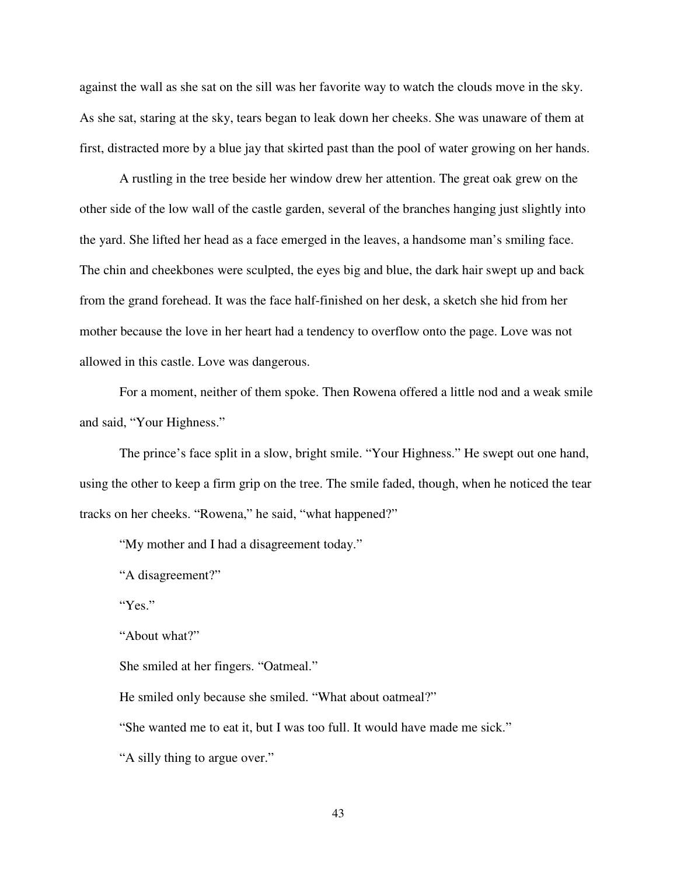against the wall as she sat on the sill was her favorite way to watch the clouds move in the sky. As she sat, staring at the sky, tears began to leak down her cheeks. She was unaware of them at first, distracted more by a blue jay that skirted past than the pool of water growing on her hands.

 A rustling in the tree beside her window drew her attention. The great oak grew on the other side of the low wall of the castle garden, several of the branches hanging just slightly into the yard. She lifted her head as a face emerged in the leaves, a handsome man's smiling face. The chin and cheekbones were sculpted, the eyes big and blue, the dark hair swept up and back from the grand forehead. It was the face half-finished on her desk, a sketch she hid from her mother because the love in her heart had a tendency to overflow onto the page. Love was not allowed in this castle. Love was dangerous.

 For a moment, neither of them spoke. Then Rowena offered a little nod and a weak smile and said, "Your Highness."

 The prince's face split in a slow, bright smile. "Your Highness." He swept out one hand, using the other to keep a firm grip on the tree. The smile faded, though, when he noticed the tear tracks on her cheeks. "Rowena," he said, "what happened?"

"My mother and I had a disagreement today."

"A disagreement?"

"Yes."

"About what?"

She smiled at her fingers. "Oatmeal."

He smiled only because she smiled. "What about oatmeal?"

"She wanted me to eat it, but I was too full. It would have made me sick."

"A silly thing to argue over."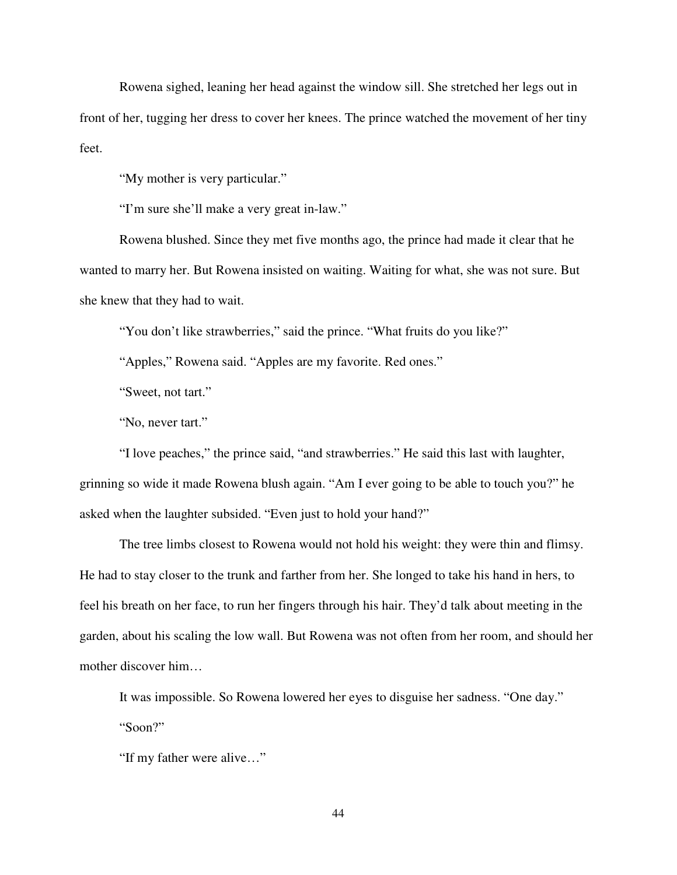Rowena sighed, leaning her head against the window sill. She stretched her legs out in front of her, tugging her dress to cover her knees. The prince watched the movement of her tiny feet.

"My mother is very particular."

"I'm sure she'll make a very great in-law."

 Rowena blushed. Since they met five months ago, the prince had made it clear that he wanted to marry her. But Rowena insisted on waiting. Waiting for what, she was not sure. But she knew that they had to wait.

"You don't like strawberries," said the prince. "What fruits do you like?"

"Apples," Rowena said. "Apples are my favorite. Red ones."

"Sweet, not tart."

"No, never tart."

 "I love peaches," the prince said, "and strawberries." He said this last with laughter, grinning so wide it made Rowena blush again. "Am I ever going to be able to touch you?" he asked when the laughter subsided. "Even just to hold your hand?"

 The tree limbs closest to Rowena would not hold his weight: they were thin and flimsy. He had to stay closer to the trunk and farther from her. She longed to take his hand in hers, to feel his breath on her face, to run her fingers through his hair. They'd talk about meeting in the garden, about his scaling the low wall. But Rowena was not often from her room, and should her mother discover him…

 It was impossible. So Rowena lowered her eyes to disguise her sadness. "One day." "Soon?"

"If my father were alive…"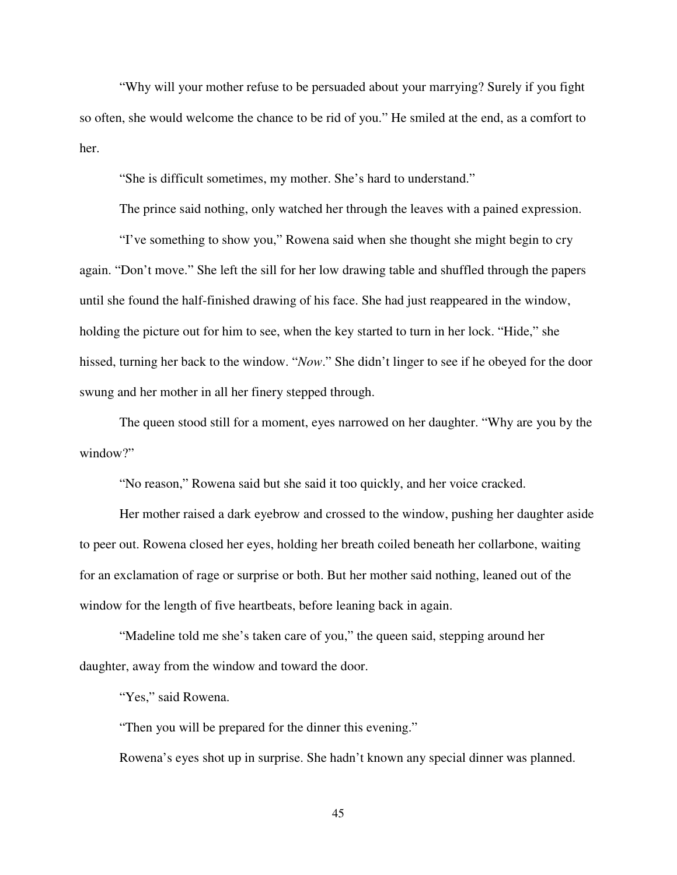"Why will your mother refuse to be persuaded about your marrying? Surely if you fight so often, she would welcome the chance to be rid of you." He smiled at the end, as a comfort to her.

"She is difficult sometimes, my mother. She's hard to understand."

The prince said nothing, only watched her through the leaves with a pained expression.

 "I've something to show you," Rowena said when she thought she might begin to cry again. "Don't move." She left the sill for her low drawing table and shuffled through the papers until she found the half-finished drawing of his face. She had just reappeared in the window, holding the picture out for him to see, when the key started to turn in her lock. "Hide," she hissed, turning her back to the window. "*Now*." She didn't linger to see if he obeyed for the door swung and her mother in all her finery stepped through.

 The queen stood still for a moment, eyes narrowed on her daughter. "Why are you by the window?"

"No reason," Rowena said but she said it too quickly, and her voice cracked.

 Her mother raised a dark eyebrow and crossed to the window, pushing her daughter aside to peer out. Rowena closed her eyes, holding her breath coiled beneath her collarbone, waiting for an exclamation of rage or surprise or both. But her mother said nothing, leaned out of the window for the length of five heartbeats, before leaning back in again.

 "Madeline told me she's taken care of you," the queen said, stepping around her daughter, away from the window and toward the door.

"Yes," said Rowena.

"Then you will be prepared for the dinner this evening."

Rowena's eyes shot up in surprise. She hadn't known any special dinner was planned.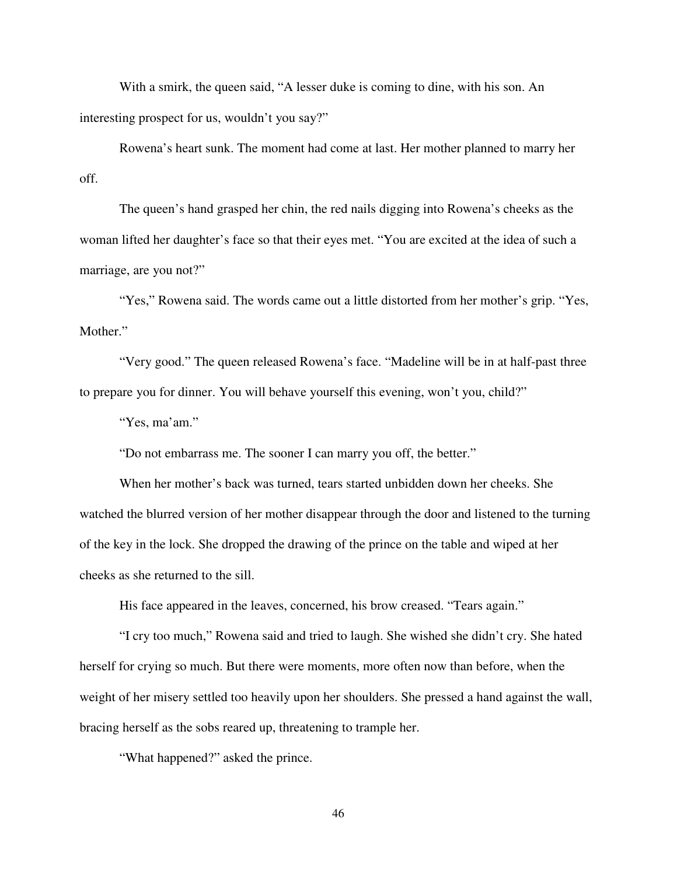With a smirk, the queen said, "A lesser duke is coming to dine, with his son. An interesting prospect for us, wouldn't you say?"

 Rowena's heart sunk. The moment had come at last. Her mother planned to marry her off.

 The queen's hand grasped her chin, the red nails digging into Rowena's cheeks as the woman lifted her daughter's face so that their eyes met. "You are excited at the idea of such a marriage, are you not?"

 "Yes," Rowena said. The words came out a little distorted from her mother's grip. "Yes, Mother."

 "Very good." The queen released Rowena's face. "Madeline will be in at half-past three to prepare you for dinner. You will behave yourself this evening, won't you, child?"

"Yes, ma'am."

"Do not embarrass me. The sooner I can marry you off, the better."

 When her mother's back was turned, tears started unbidden down her cheeks. She watched the blurred version of her mother disappear through the door and listened to the turning of the key in the lock. She dropped the drawing of the prince on the table and wiped at her cheeks as she returned to the sill.

His face appeared in the leaves, concerned, his brow creased. "Tears again."

 "I cry too much," Rowena said and tried to laugh. She wished she didn't cry. She hated herself for crying so much. But there were moments, more often now than before, when the weight of her misery settled too heavily upon her shoulders. She pressed a hand against the wall, bracing herself as the sobs reared up, threatening to trample her.

"What happened?" asked the prince.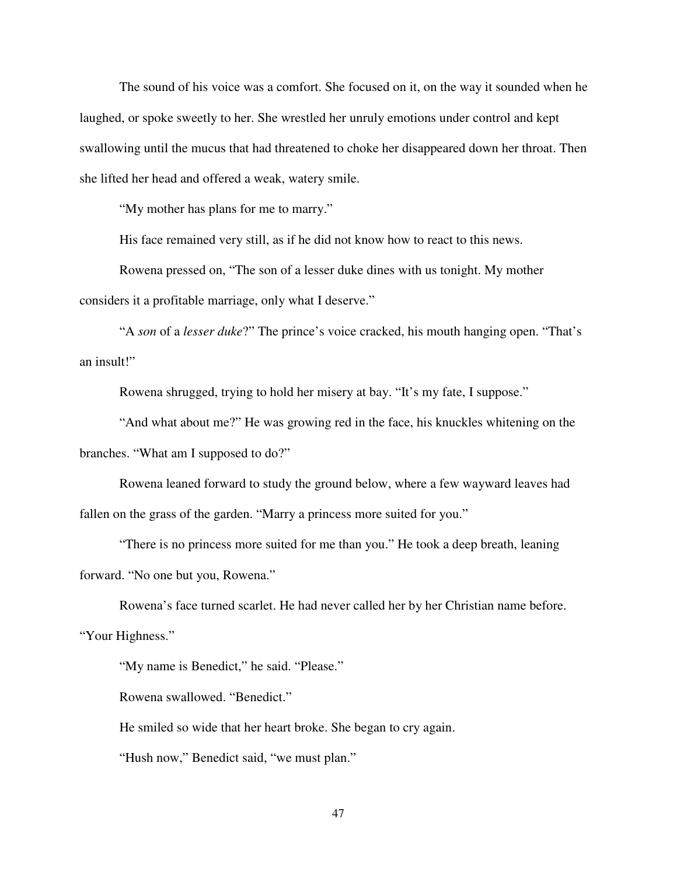The sound of his voice was a comfort. She focused on it, on the way it sounded when he laughed, or spoke sweetly to her. She wrestled her unruly emotions under control and kept swallowing until the mucus that had threatened to choke her disappeared down her throat. Then she lifted her head and offered a weak, watery smile.

"My mother has plans for me to marry."

His face remained very still, as if he did not know how to react to this news.

 Rowena pressed on, "The son of a lesser duke dines with us tonight. My mother considers it a profitable marriage, only what I deserve."

 "A *son* of a *lesser duke*?" The prince's voice cracked, his mouth hanging open. "That's an insult!"

Rowena shrugged, trying to hold her misery at bay. "It's my fate, I suppose."

 "And what about me?" He was growing red in the face, his knuckles whitening on the branches. "What am I supposed to do?"

 Rowena leaned forward to study the ground below, where a few wayward leaves had fallen on the grass of the garden. "Marry a princess more suited for you."

 "There is no princess more suited for me than you." He took a deep breath, leaning forward. "No one but you, Rowena."

 Rowena's face turned scarlet. He had never called her by her Christian name before. "Your Highness."

"My name is Benedict," he said. "Please."

Rowena swallowed. "Benedict."

He smiled so wide that her heart broke. She began to cry again.

"Hush now," Benedict said, "we must plan."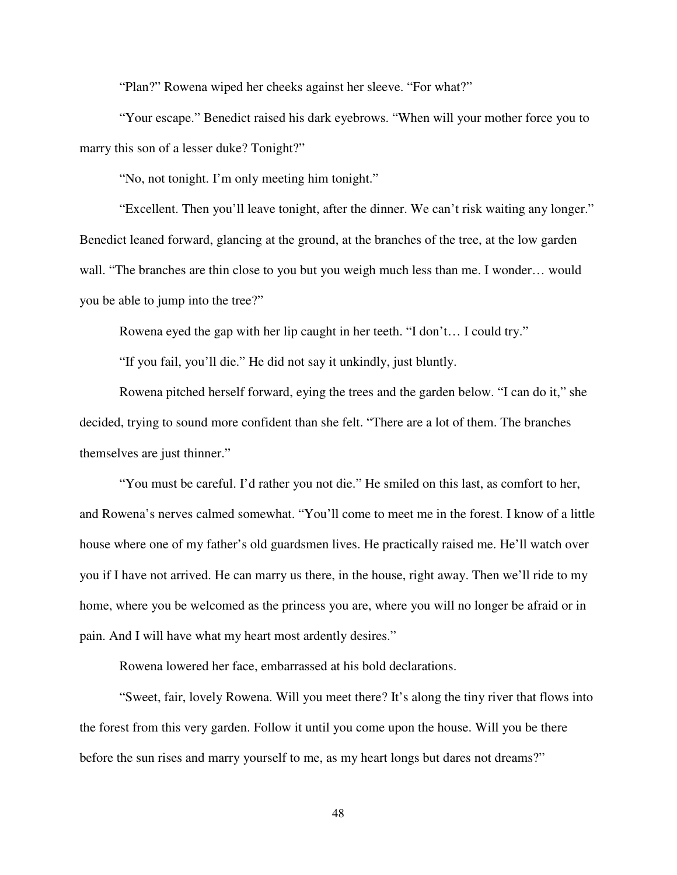"Plan?" Rowena wiped her cheeks against her sleeve. "For what?"

 "Your escape." Benedict raised his dark eyebrows. "When will your mother force you to marry this son of a lesser duke? Tonight?"

"No, not tonight. I'm only meeting him tonight."

 "Excellent. Then you'll leave tonight, after the dinner. We can't risk waiting any longer." Benedict leaned forward, glancing at the ground, at the branches of the tree, at the low garden wall. "The branches are thin close to you but you weigh much less than me. I wonder… would you be able to jump into the tree?"

Rowena eyed the gap with her lip caught in her teeth. "I don't… I could try."

"If you fail, you'll die." He did not say it unkindly, just bluntly.

 Rowena pitched herself forward, eying the trees and the garden below. "I can do it," she decided, trying to sound more confident than she felt. "There are a lot of them. The branches themselves are just thinner."

 "You must be careful. I'd rather you not die." He smiled on this last, as comfort to her, and Rowena's nerves calmed somewhat. "You'll come to meet me in the forest. I know of a little house where one of my father's old guardsmen lives. He practically raised me. He'll watch over you if I have not arrived. He can marry us there, in the house, right away. Then we'll ride to my home, where you be welcomed as the princess you are, where you will no longer be afraid or in pain. And I will have what my heart most ardently desires."

Rowena lowered her face, embarrassed at his bold declarations.

 "Sweet, fair, lovely Rowena. Will you meet there? It's along the tiny river that flows into the forest from this very garden. Follow it until you come upon the house. Will you be there before the sun rises and marry yourself to me, as my heart longs but dares not dreams?"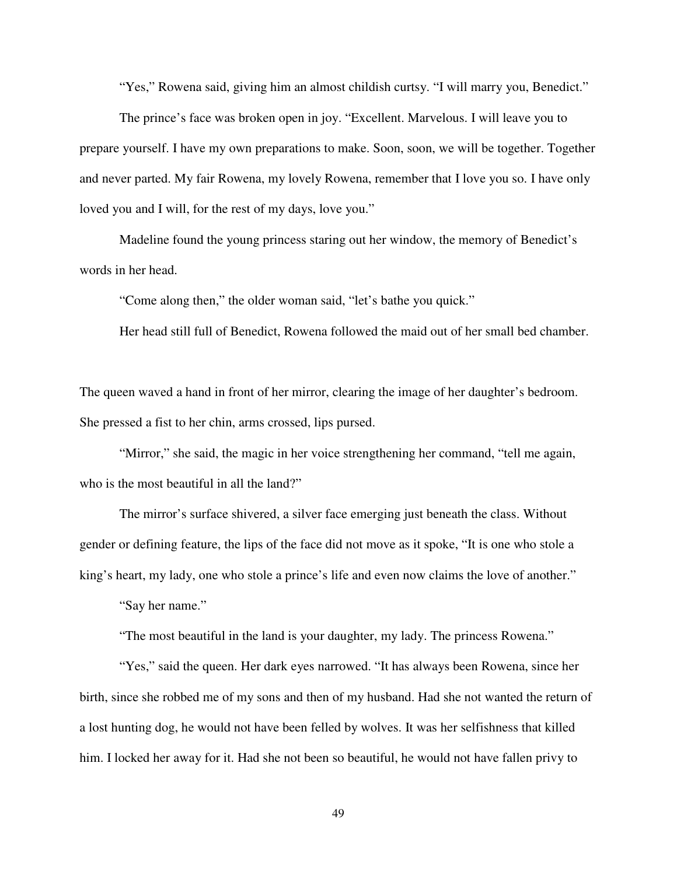"Yes," Rowena said, giving him an almost childish curtsy. "I will marry you, Benedict."

 The prince's face was broken open in joy. "Excellent. Marvelous. I will leave you to prepare yourself. I have my own preparations to make. Soon, soon, we will be together. Together and never parted. My fair Rowena, my lovely Rowena, remember that I love you so. I have only loved you and I will, for the rest of my days, love you."

 Madeline found the young princess staring out her window, the memory of Benedict's words in her head.

"Come along then," the older woman said, "let's bathe you quick."

Her head still full of Benedict, Rowena followed the maid out of her small bed chamber.

The queen waved a hand in front of her mirror, clearing the image of her daughter's bedroom. She pressed a fist to her chin, arms crossed, lips pursed.

"Mirror," she said, the magic in her voice strengthening her command, "tell me again, who is the most beautiful in all the land?"

 The mirror's surface shivered, a silver face emerging just beneath the class. Without gender or defining feature, the lips of the face did not move as it spoke, "It is one who stole a king's heart, my lady, one who stole a prince's life and even now claims the love of another."

"Say her name."

"The most beautiful in the land is your daughter, my lady. The princess Rowena."

 "Yes," said the queen. Her dark eyes narrowed. "It has always been Rowena, since her birth, since she robbed me of my sons and then of my husband. Had she not wanted the return of a lost hunting dog, he would not have been felled by wolves. It was her selfishness that killed him. I locked her away for it. Had she not been so beautiful, he would not have fallen privy to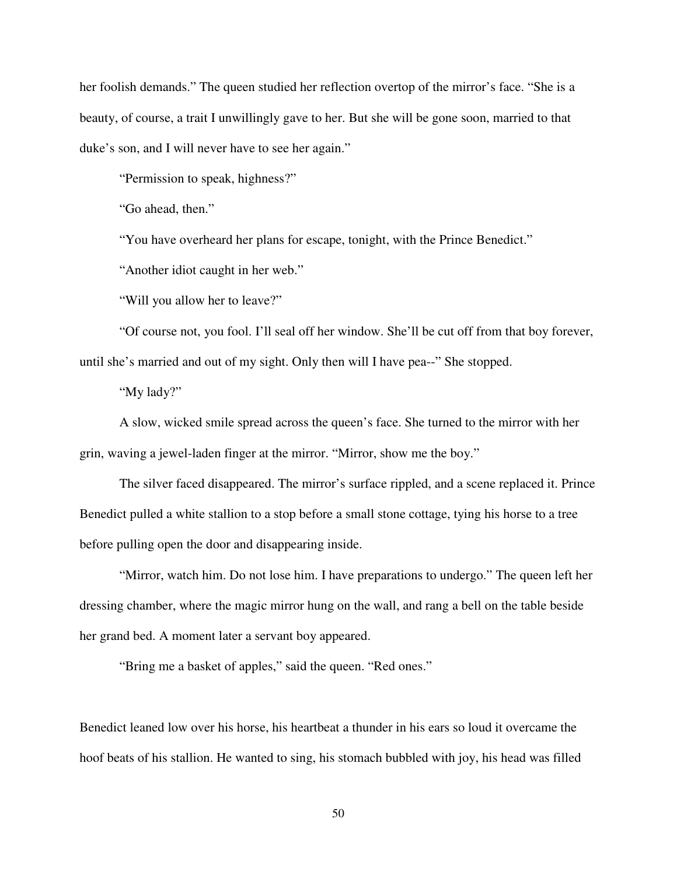her foolish demands." The queen studied her reflection overtop of the mirror's face. "She is a beauty, of course, a trait I unwillingly gave to her. But she will be gone soon, married to that duke's son, and I will never have to see her again."

"Permission to speak, highness?"

"Go ahead, then."

"You have overheard her plans for escape, tonight, with the Prince Benedict."

"Another idiot caught in her web."

"Will you allow her to leave?"

 "Of course not, you fool. I'll seal off her window. She'll be cut off from that boy forever, until she's married and out of my sight. Only then will I have pea--" She stopped.

"My lady?"

 A slow, wicked smile spread across the queen's face. She turned to the mirror with her grin, waving a jewel-laden finger at the mirror. "Mirror, show me the boy."

 The silver faced disappeared. The mirror's surface rippled, and a scene replaced it. Prince Benedict pulled a white stallion to a stop before a small stone cottage, tying his horse to a tree before pulling open the door and disappearing inside.

 "Mirror, watch him. Do not lose him. I have preparations to undergo." The queen left her dressing chamber, where the magic mirror hung on the wall, and rang a bell on the table beside her grand bed. A moment later a servant boy appeared.

"Bring me a basket of apples," said the queen. "Red ones."

Benedict leaned low over his horse, his heartbeat a thunder in his ears so loud it overcame the hoof beats of his stallion. He wanted to sing, his stomach bubbled with joy, his head was filled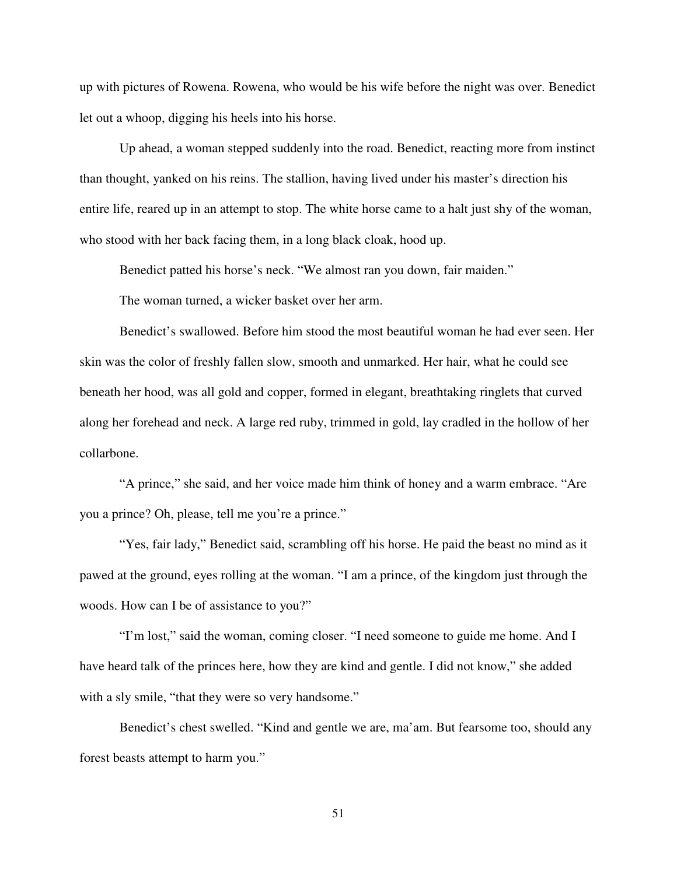up with pictures of Rowena. Rowena, who would be his wife before the night was over. Benedict let out a whoop, digging his heels into his horse.

 Up ahead, a woman stepped suddenly into the road. Benedict, reacting more from instinct than thought, yanked on his reins. The stallion, having lived under his master's direction his entire life, reared up in an attempt to stop. The white horse came to a halt just shy of the woman, who stood with her back facing them, in a long black cloak, hood up.

Benedict patted his horse's neck. "We almost ran you down, fair maiden."

The woman turned, a wicker basket over her arm.

 Benedict's swallowed. Before him stood the most beautiful woman he had ever seen. Her skin was the color of freshly fallen slow, smooth and unmarked. Her hair, what he could see beneath her hood, was all gold and copper, formed in elegant, breathtaking ringlets that curved along her forehead and neck. A large red ruby, trimmed in gold, lay cradled in the hollow of her collarbone.

 "A prince," she said, and her voice made him think of honey and a warm embrace. "Are you a prince? Oh, please, tell me you're a prince."

 "Yes, fair lady," Benedict said, scrambling off his horse. He paid the beast no mind as it pawed at the ground, eyes rolling at the woman. "I am a prince, of the kingdom just through the woods. How can I be of assistance to you?"

 "I'm lost," said the woman, coming closer. "I need someone to guide me home. And I have heard talk of the princes here, how they are kind and gentle. I did not know," she added with a sly smile, "that they were so very handsome."

 Benedict's chest swelled. "Kind and gentle we are, ma'am. But fearsome too, should any forest beasts attempt to harm you."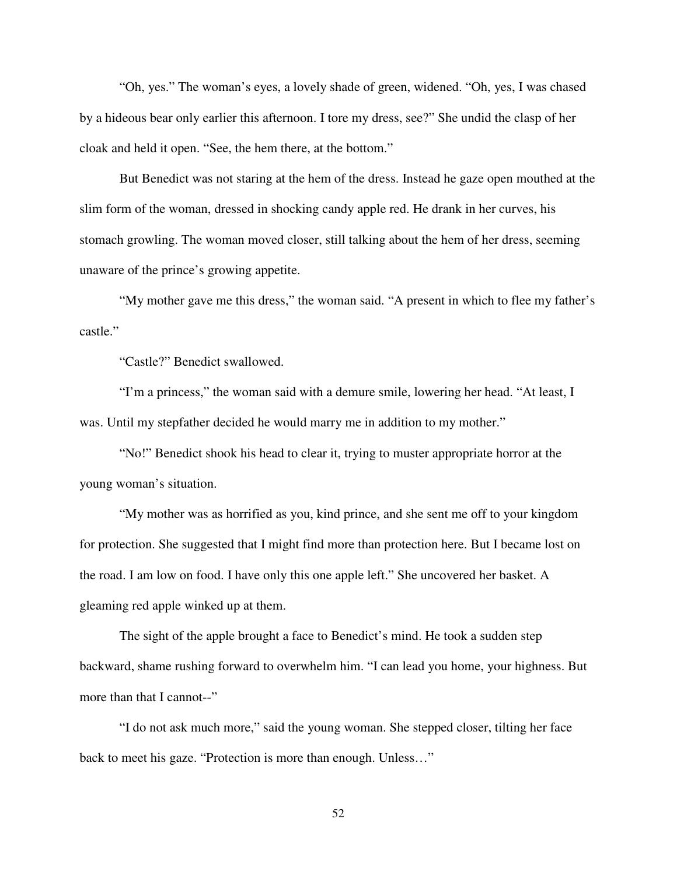"Oh, yes." The woman's eyes, a lovely shade of green, widened. "Oh, yes, I was chased by a hideous bear only earlier this afternoon. I tore my dress, see?" She undid the clasp of her cloak and held it open. "See, the hem there, at the bottom."

 But Benedict was not staring at the hem of the dress. Instead he gaze open mouthed at the slim form of the woman, dressed in shocking candy apple red. He drank in her curves, his stomach growling. The woman moved closer, still talking about the hem of her dress, seeming unaware of the prince's growing appetite.

 "My mother gave me this dress," the woman said. "A present in which to flee my father's castle."

"Castle?" Benedict swallowed.

 "I'm a princess," the woman said with a demure smile, lowering her head. "At least, I was. Until my stepfather decided he would marry me in addition to my mother."

 "No!" Benedict shook his head to clear it, trying to muster appropriate horror at the young woman's situation.

 "My mother was as horrified as you, kind prince, and she sent me off to your kingdom for protection. She suggested that I might find more than protection here. But I became lost on the road. I am low on food. I have only this one apple left." She uncovered her basket. A gleaming red apple winked up at them.

 The sight of the apple brought a face to Benedict's mind. He took a sudden step backward, shame rushing forward to overwhelm him. "I can lead you home, your highness. But more than that I cannot--"

 "I do not ask much more," said the young woman. She stepped closer, tilting her face back to meet his gaze. "Protection is more than enough. Unless…"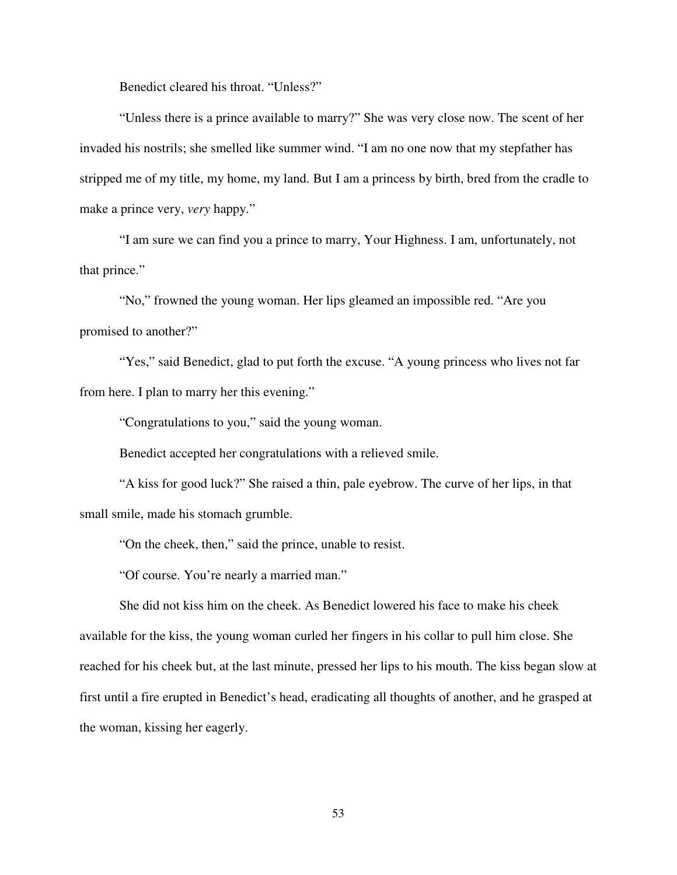Benedict cleared his throat. "Unless?"

 "Unless there is a prince available to marry?" She was very close now. The scent of her invaded his nostrils; she smelled like summer wind. "I am no one now that my stepfather has stripped me of my title, my home, my land. But I am a princess by birth, bred from the cradle to make a prince very, *very* happy."

 "I am sure we can find you a prince to marry, Your Highness. I am, unfortunately, not that prince."

 "No," frowned the young woman. Her lips gleamed an impossible red. "Are you promised to another?"

"Yes," said Benedict, glad to put forth the excuse. "A young princess who lives not far from here. I plan to marry her this evening."

"Congratulations to you," said the young woman.

Benedict accepted her congratulations with a relieved smile.

 "A kiss for good luck?" She raised a thin, pale eyebrow. The curve of her lips, in that small smile, made his stomach grumble.

"On the cheek, then," said the prince, unable to resist.

"Of course. You're nearly a married man."

 She did not kiss him on the cheek. As Benedict lowered his face to make his cheek available for the kiss, the young woman curled her fingers in his collar to pull him close. She reached for his cheek but, at the last minute, pressed her lips to his mouth. The kiss began slow at first until a fire erupted in Benedict's head, eradicating all thoughts of another, and he grasped at the woman, kissing her eagerly.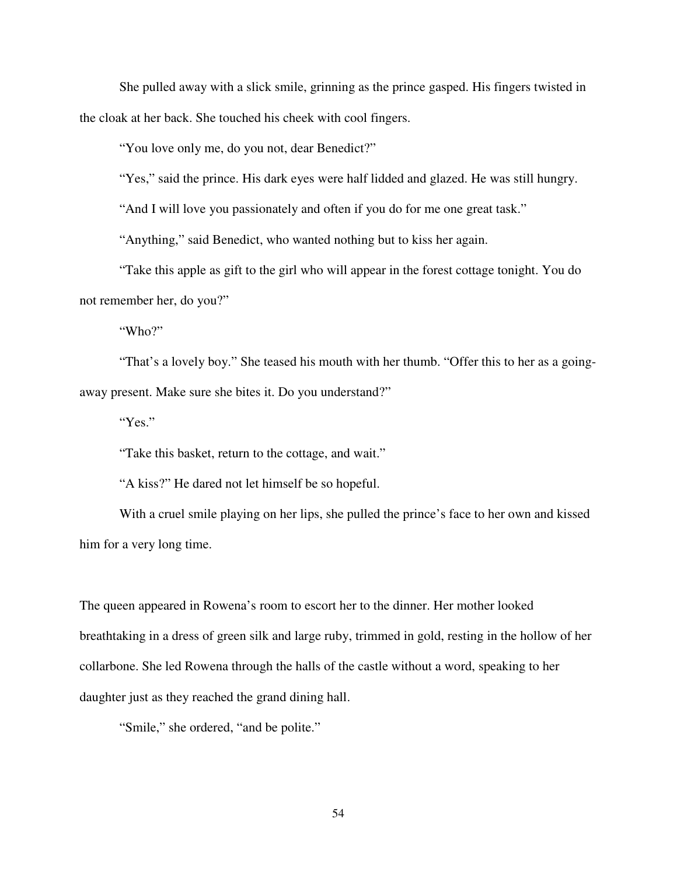She pulled away with a slick smile, grinning as the prince gasped. His fingers twisted in the cloak at her back. She touched his cheek with cool fingers.

"You love only me, do you not, dear Benedict?"

"Yes," said the prince. His dark eyes were half lidded and glazed. He was still hungry.

"And I will love you passionately and often if you do for me one great task."

"Anything," said Benedict, who wanted nothing but to kiss her again.

 "Take this apple as gift to the girl who will appear in the forest cottage tonight. You do not remember her, do you?"

"Who?"

"That's a lovely boy." She teased his mouth with her thumb. "Offer this to her as a goingaway present. Make sure she bites it. Do you understand?"

"Yes."

"Take this basket, return to the cottage, and wait."

"A kiss?" He dared not let himself be so hopeful.

 With a cruel smile playing on her lips, she pulled the prince's face to her own and kissed him for a very long time.

The queen appeared in Rowena's room to escort her to the dinner. Her mother looked breathtaking in a dress of green silk and large ruby, trimmed in gold, resting in the hollow of her collarbone. She led Rowena through the halls of the castle without a word, speaking to her daughter just as they reached the grand dining hall.

"Smile," she ordered, "and be polite."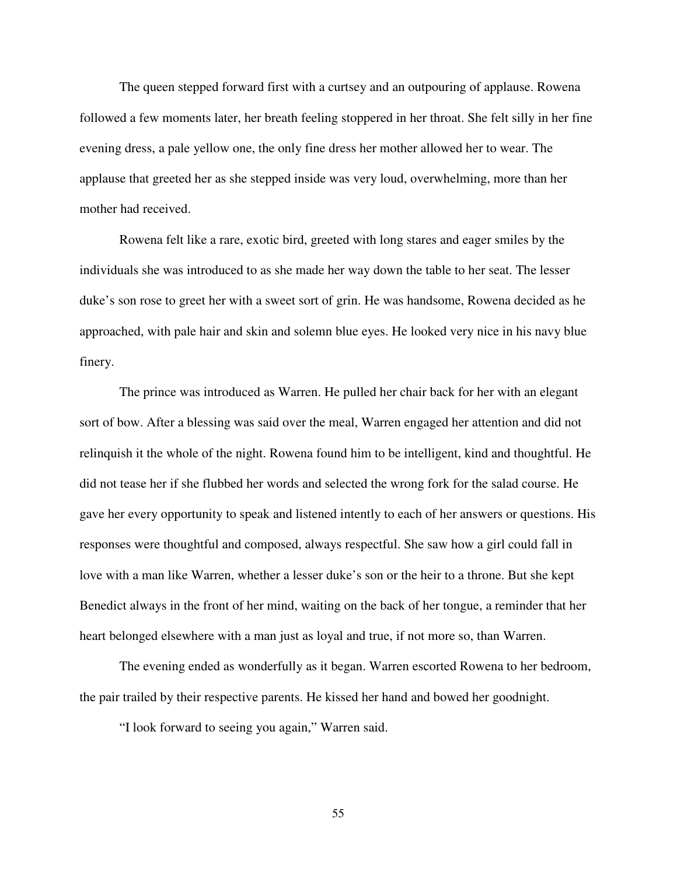The queen stepped forward first with a curtsey and an outpouring of applause. Rowena followed a few moments later, her breath feeling stoppered in her throat. She felt silly in her fine evening dress, a pale yellow one, the only fine dress her mother allowed her to wear. The applause that greeted her as she stepped inside was very loud, overwhelming, more than her mother had received.

 Rowena felt like a rare, exotic bird, greeted with long stares and eager smiles by the individuals she was introduced to as she made her way down the table to her seat. The lesser duke's son rose to greet her with a sweet sort of grin. He was handsome, Rowena decided as he approached, with pale hair and skin and solemn blue eyes. He looked very nice in his navy blue finery.

 The prince was introduced as Warren. He pulled her chair back for her with an elegant sort of bow. After a blessing was said over the meal, Warren engaged her attention and did not relinquish it the whole of the night. Rowena found him to be intelligent, kind and thoughtful. He did not tease her if she flubbed her words and selected the wrong fork for the salad course. He gave her every opportunity to speak and listened intently to each of her answers or questions. His responses were thoughtful and composed, always respectful. She saw how a girl could fall in love with a man like Warren, whether a lesser duke's son or the heir to a throne. But she kept Benedict always in the front of her mind, waiting on the back of her tongue, a reminder that her heart belonged elsewhere with a man just as loyal and true, if not more so, than Warren.

 The evening ended as wonderfully as it began. Warren escorted Rowena to her bedroom, the pair trailed by their respective parents. He kissed her hand and bowed her goodnight.

"I look forward to seeing you again," Warren said.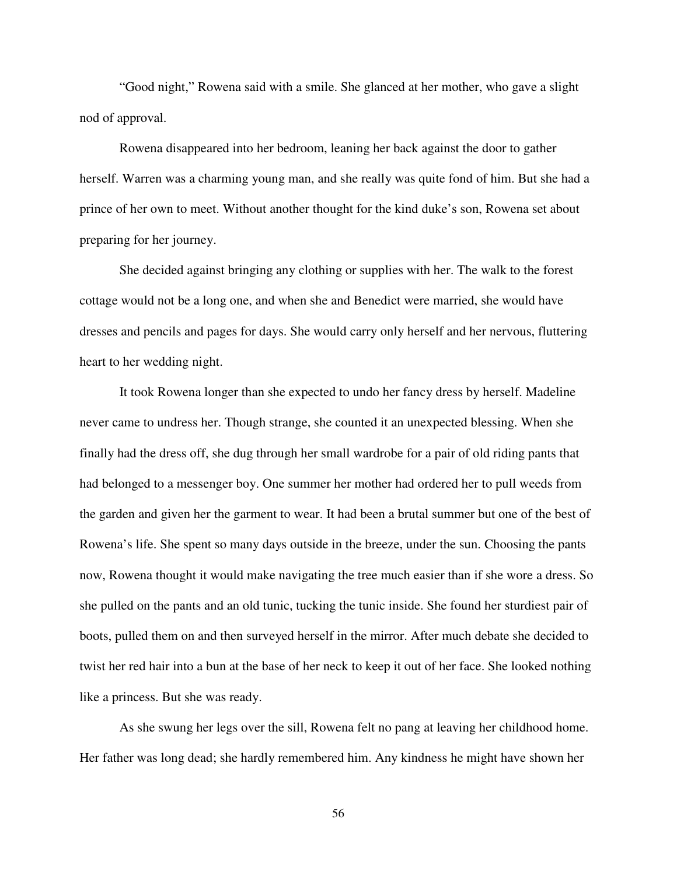"Good night," Rowena said with a smile. She glanced at her mother, who gave a slight nod of approval.

Rowena disappeared into her bedroom, leaning her back against the door to gather herself. Warren was a charming young man, and she really was quite fond of him. But she had a prince of her own to meet. Without another thought for the kind duke's son, Rowena set about preparing for her journey.

 She decided against bringing any clothing or supplies with her. The walk to the forest cottage would not be a long one, and when she and Benedict were married, she would have dresses and pencils and pages for days. She would carry only herself and her nervous, fluttering heart to her wedding night.

 It took Rowena longer than she expected to undo her fancy dress by herself. Madeline never came to undress her. Though strange, she counted it an unexpected blessing. When she finally had the dress off, she dug through her small wardrobe for a pair of old riding pants that had belonged to a messenger boy. One summer her mother had ordered her to pull weeds from the garden and given her the garment to wear. It had been a brutal summer but one of the best of Rowena's life. She spent so many days outside in the breeze, under the sun. Choosing the pants now, Rowena thought it would make navigating the tree much easier than if she wore a dress. So she pulled on the pants and an old tunic, tucking the tunic inside. She found her sturdiest pair of boots, pulled them on and then surveyed herself in the mirror. After much debate she decided to twist her red hair into a bun at the base of her neck to keep it out of her face. She looked nothing like a princess. But she was ready.

 As she swung her legs over the sill, Rowena felt no pang at leaving her childhood home. Her father was long dead; she hardly remembered him. Any kindness he might have shown her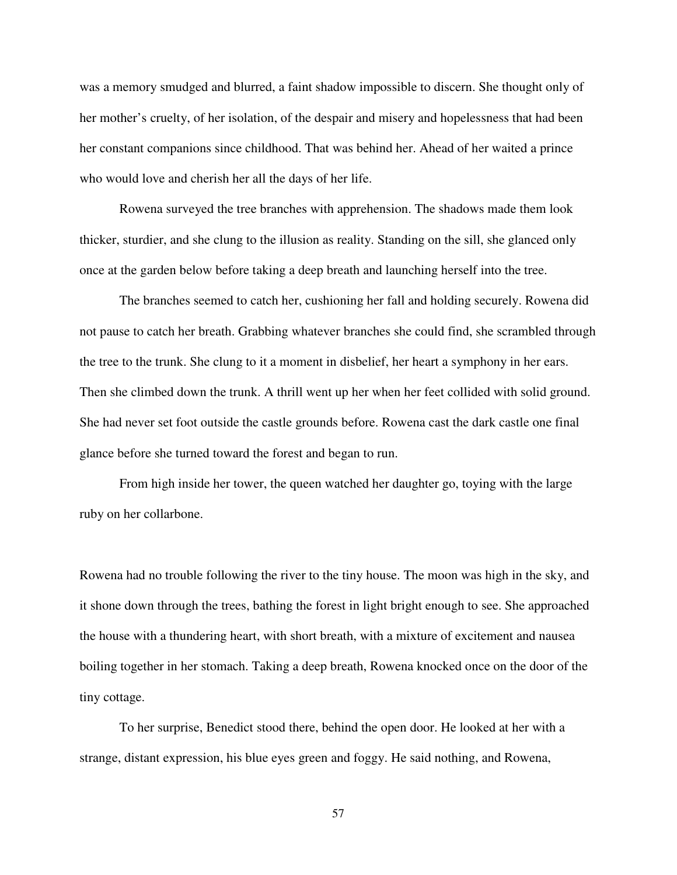was a memory smudged and blurred, a faint shadow impossible to discern. She thought only of her mother's cruelty, of her isolation, of the despair and misery and hopelessness that had been her constant companions since childhood. That was behind her. Ahead of her waited a prince who would love and cherish her all the days of her life.

 Rowena surveyed the tree branches with apprehension. The shadows made them look thicker, sturdier, and she clung to the illusion as reality. Standing on the sill, she glanced only once at the garden below before taking a deep breath and launching herself into the tree.

 The branches seemed to catch her, cushioning her fall and holding securely. Rowena did not pause to catch her breath. Grabbing whatever branches she could find, she scrambled through the tree to the trunk. She clung to it a moment in disbelief, her heart a symphony in her ears. Then she climbed down the trunk. A thrill went up her when her feet collided with solid ground. She had never set foot outside the castle grounds before. Rowena cast the dark castle one final glance before she turned toward the forest and began to run.

 From high inside her tower, the queen watched her daughter go, toying with the large ruby on her collarbone.

Rowena had no trouble following the river to the tiny house. The moon was high in the sky, and it shone down through the trees, bathing the forest in light bright enough to see. She approached the house with a thundering heart, with short breath, with a mixture of excitement and nausea boiling together in her stomach. Taking a deep breath, Rowena knocked once on the door of the tiny cottage.

 To her surprise, Benedict stood there, behind the open door. He looked at her with a strange, distant expression, his blue eyes green and foggy. He said nothing, and Rowena,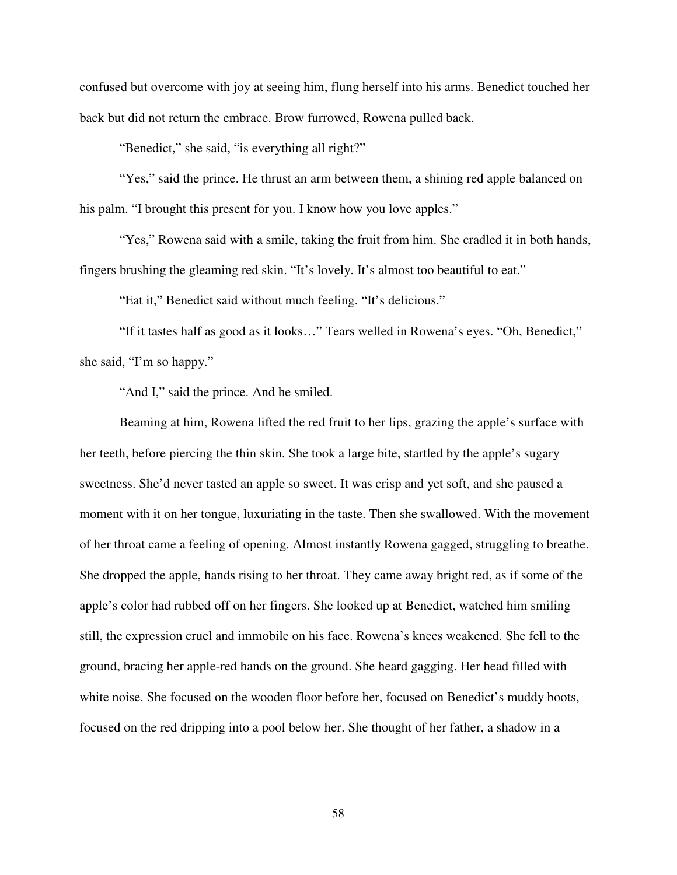confused but overcome with joy at seeing him, flung herself into his arms. Benedict touched her back but did not return the embrace. Brow furrowed, Rowena pulled back.

"Benedict," she said, "is everything all right?"

"Yes," said the prince. He thrust an arm between them, a shining red apple balanced on his palm. "I brought this present for you. I know how you love apples."

"Yes," Rowena said with a smile, taking the fruit from him. She cradled it in both hands, fingers brushing the gleaming red skin. "It's lovely. It's almost too beautiful to eat."

"Eat it," Benedict said without much feeling. "It's delicious."

 "If it tastes half as good as it looks…" Tears welled in Rowena's eyes. "Oh, Benedict," she said, "I'm so happy."

"And I," said the prince. And he smiled.

Beaming at him, Rowena lifted the red fruit to her lips, grazing the apple's surface with her teeth, before piercing the thin skin. She took a large bite, startled by the apple's sugary sweetness. She'd never tasted an apple so sweet. It was crisp and yet soft, and she paused a moment with it on her tongue, luxuriating in the taste. Then she swallowed. With the movement of her throat came a feeling of opening. Almost instantly Rowena gagged, struggling to breathe. She dropped the apple, hands rising to her throat. They came away bright red, as if some of the apple's color had rubbed off on her fingers. She looked up at Benedict, watched him smiling still, the expression cruel and immobile on his face. Rowena's knees weakened. She fell to the ground, bracing her apple-red hands on the ground. She heard gagging. Her head filled with white noise. She focused on the wooden floor before her, focused on Benedict's muddy boots, focused on the red dripping into a pool below her. She thought of her father, a shadow in a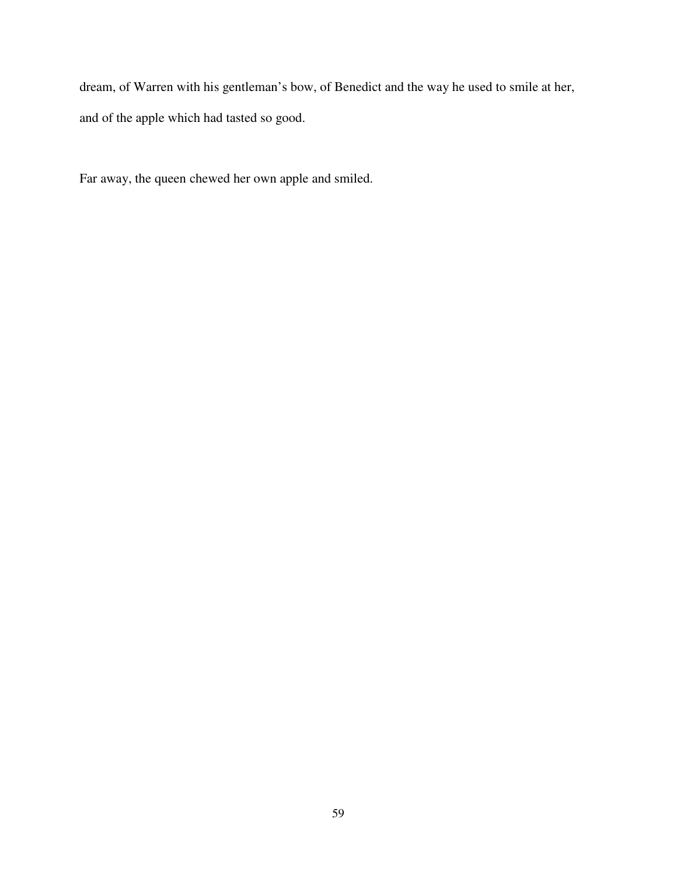dream, of Warren with his gentleman's bow, of Benedict and the way he used to smile at her, and of the apple which had tasted so good.

Far away, the queen chewed her own apple and smiled.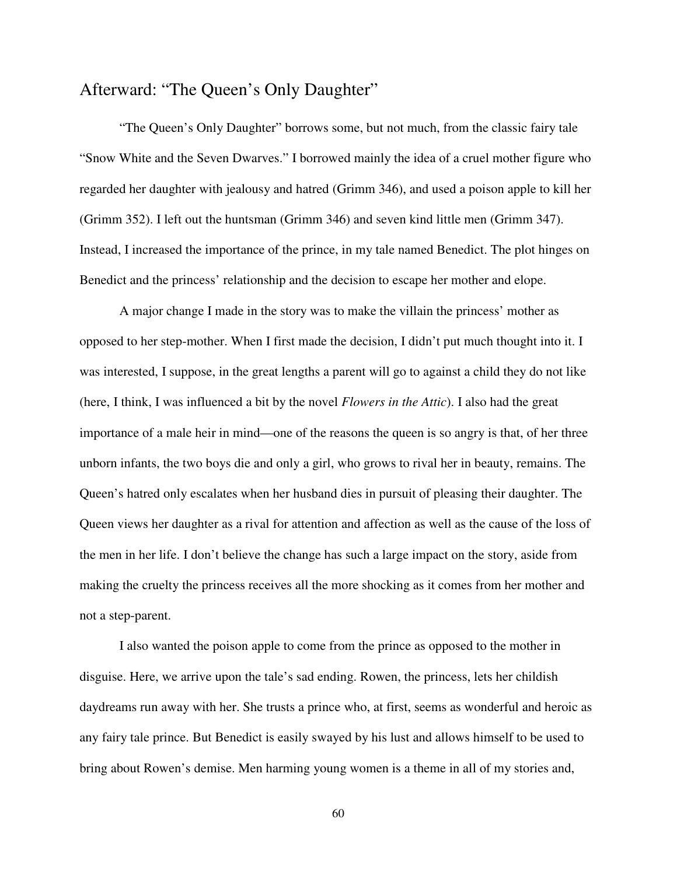### Afterward: "The Queen's Only Daughter"

 "The Queen's Only Daughter" borrows some, but not much, from the classic fairy tale "Snow White and the Seven Dwarves." I borrowed mainly the idea of a cruel mother figure who regarded her daughter with jealousy and hatred (Grimm 346), and used a poison apple to kill her (Grimm 352). I left out the huntsman (Grimm 346) and seven kind little men (Grimm 347). Instead, I increased the importance of the prince, in my tale named Benedict. The plot hinges on Benedict and the princess' relationship and the decision to escape her mother and elope.

 A major change I made in the story was to make the villain the princess' mother as opposed to her step-mother. When I first made the decision, I didn't put much thought into it. I was interested, I suppose, in the great lengths a parent will go to against a child they do not like (here, I think, I was influenced a bit by the novel *Flowers in the Attic*). I also had the great importance of a male heir in mind—one of the reasons the queen is so angry is that, of her three unborn infants, the two boys die and only a girl, who grows to rival her in beauty, remains. The Queen's hatred only escalates when her husband dies in pursuit of pleasing their daughter. The Queen views her daughter as a rival for attention and affection as well as the cause of the loss of the men in her life. I don't believe the change has such a large impact on the story, aside from making the cruelty the princess receives all the more shocking as it comes from her mother and not a step-parent.

 I also wanted the poison apple to come from the prince as opposed to the mother in disguise. Here, we arrive upon the tale's sad ending. Rowen, the princess, lets her childish daydreams run away with her. She trusts a prince who, at first, seems as wonderful and heroic as any fairy tale prince. But Benedict is easily swayed by his lust and allows himself to be used to bring about Rowen's demise. Men harming young women is a theme in all of my stories and,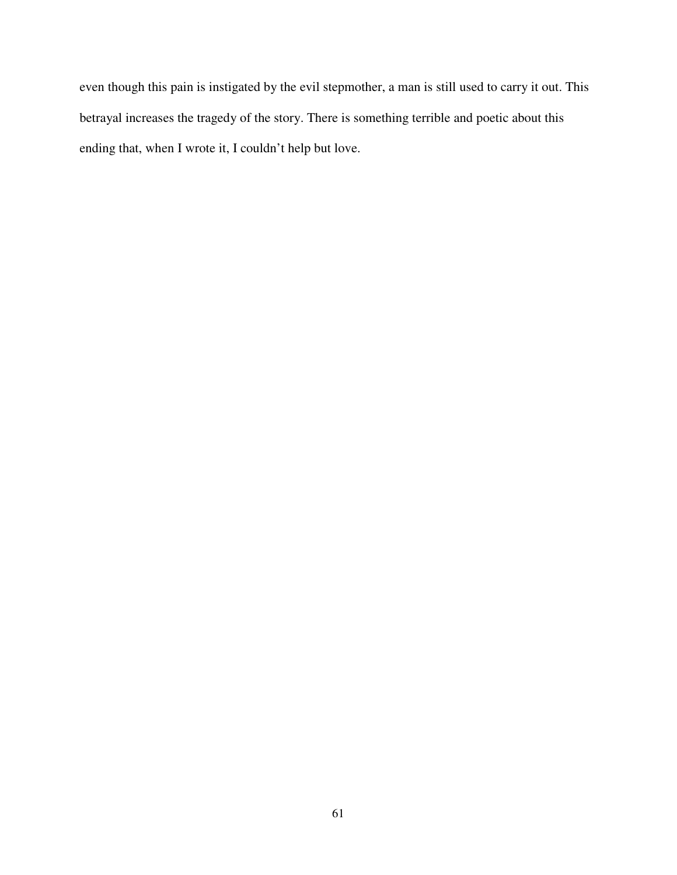even though this pain is instigated by the evil stepmother, a man is still used to carry it out. This betrayal increases the tragedy of the story. There is something terrible and poetic about this ending that, when I wrote it, I couldn't help but love.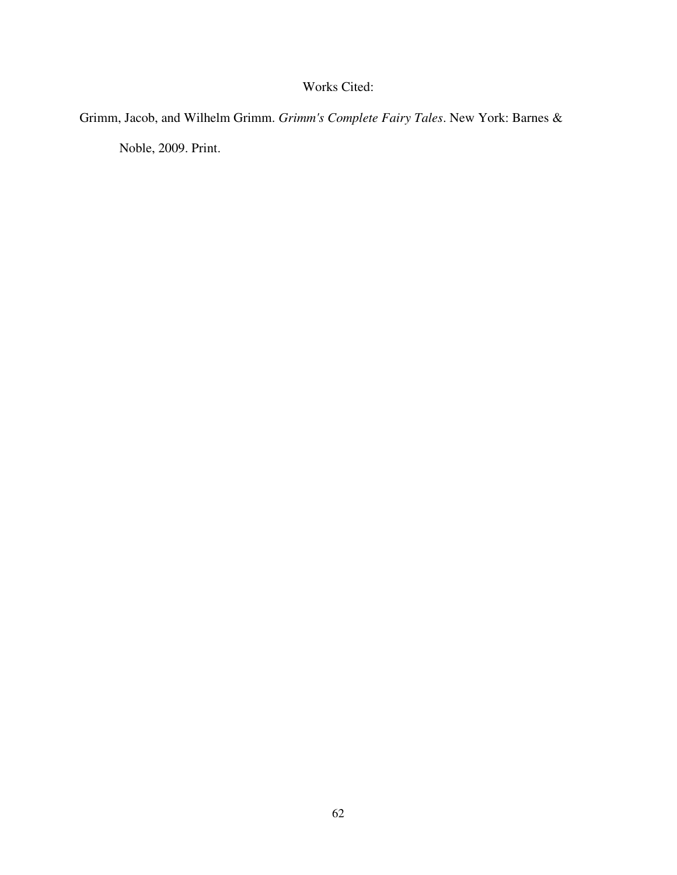#### Works Cited:

Grimm, Jacob, and Wilhelm Grimm. *Grimm's Complete Fairy Tales*. New York: Barnes &

Noble, 2009. Print.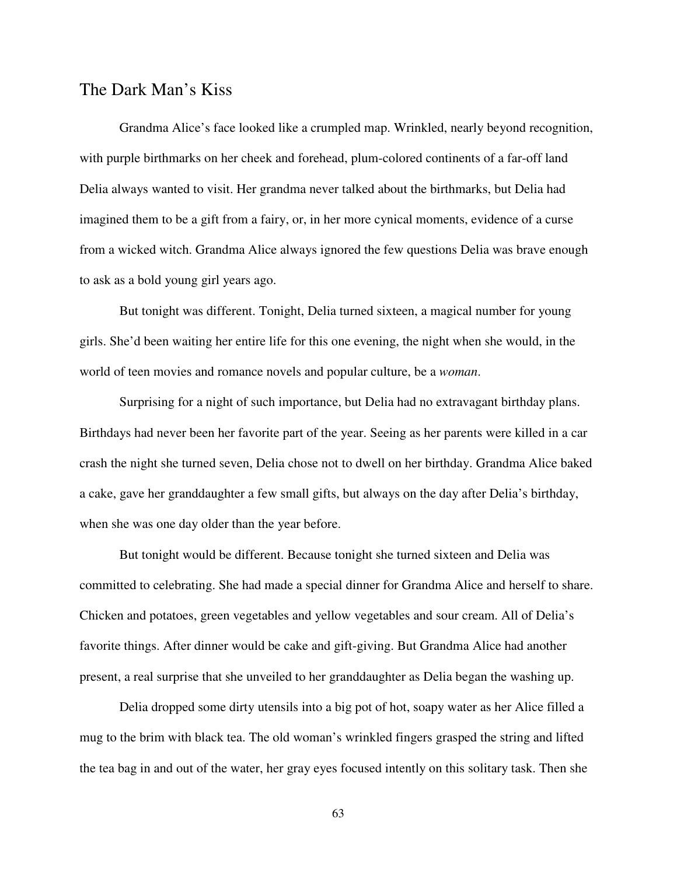#### The Dark Man's Kiss

Grandma Alice's face looked like a crumpled map. Wrinkled, nearly beyond recognition, with purple birthmarks on her cheek and forehead, plum-colored continents of a far-off land Delia always wanted to visit. Her grandma never talked about the birthmarks, but Delia had imagined them to be a gift from a fairy, or, in her more cynical moments, evidence of a curse from a wicked witch. Grandma Alice always ignored the few questions Delia was brave enough to ask as a bold young girl years ago.

But tonight was different. Tonight, Delia turned sixteen, a magical number for young girls. She'd been waiting her entire life for this one evening, the night when she would, in the world of teen movies and romance novels and popular culture, be a *woman*.

Surprising for a night of such importance, but Delia had no extravagant birthday plans. Birthdays had never been her favorite part of the year. Seeing as her parents were killed in a car crash the night she turned seven, Delia chose not to dwell on her birthday. Grandma Alice baked a cake, gave her granddaughter a few small gifts, but always on the day after Delia's birthday, when she was one day older than the year before.

But tonight would be different. Because tonight she turned sixteen and Delia was committed to celebrating. She had made a special dinner for Grandma Alice and herself to share. Chicken and potatoes, green vegetables and yellow vegetables and sour cream. All of Delia's favorite things. After dinner would be cake and gift-giving. But Grandma Alice had another present, a real surprise that she unveiled to her granddaughter as Delia began the washing up.

Delia dropped some dirty utensils into a big pot of hot, soapy water as her Alice filled a mug to the brim with black tea. The old woman's wrinkled fingers grasped the string and lifted the tea bag in and out of the water, her gray eyes focused intently on this solitary task. Then she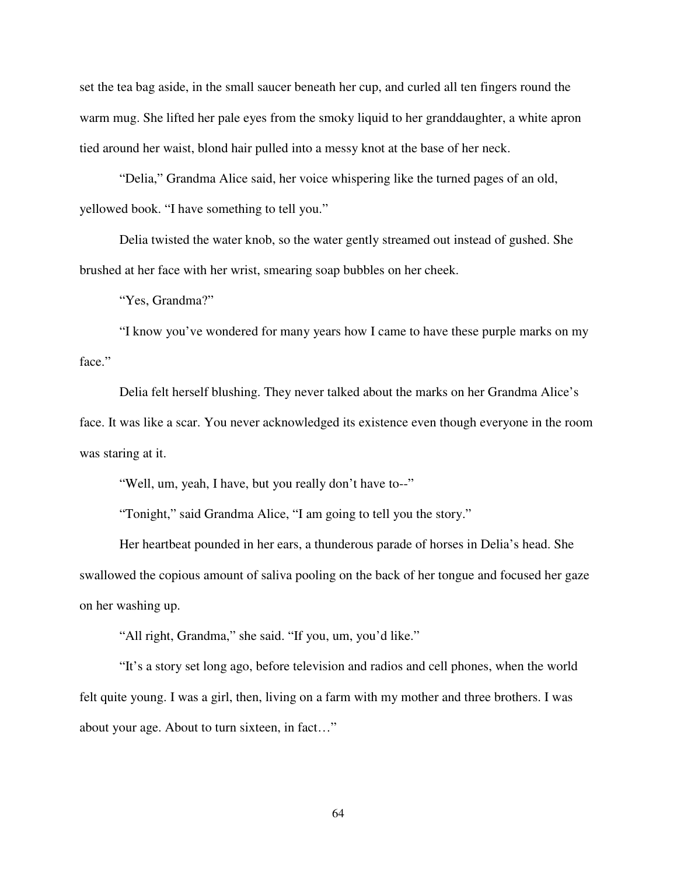set the tea bag aside, in the small saucer beneath her cup, and curled all ten fingers round the warm mug. She lifted her pale eyes from the smoky liquid to her granddaughter, a white apron tied around her waist, blond hair pulled into a messy knot at the base of her neck.

"Delia," Grandma Alice said, her voice whispering like the turned pages of an old, yellowed book. "I have something to tell you."

Delia twisted the water knob, so the water gently streamed out instead of gushed. She brushed at her face with her wrist, smearing soap bubbles on her cheek.

"Yes, Grandma?"

"I know you've wondered for many years how I came to have these purple marks on my face."

Delia felt herself blushing. They never talked about the marks on her Grandma Alice's face. It was like a scar. You never acknowledged its existence even though everyone in the room was staring at it.

"Well, um, yeah, I have, but you really don't have to--"

"Tonight," said Grandma Alice, "I am going to tell you the story."

Her heartbeat pounded in her ears, a thunderous parade of horses in Delia's head. She swallowed the copious amount of saliva pooling on the back of her tongue and focused her gaze on her washing up.

"All right, Grandma," she said. "If you, um, you'd like."

"It's a story set long ago, before television and radios and cell phones, when the world felt quite young. I was a girl, then, living on a farm with my mother and three brothers. I was about your age. About to turn sixteen, in fact…"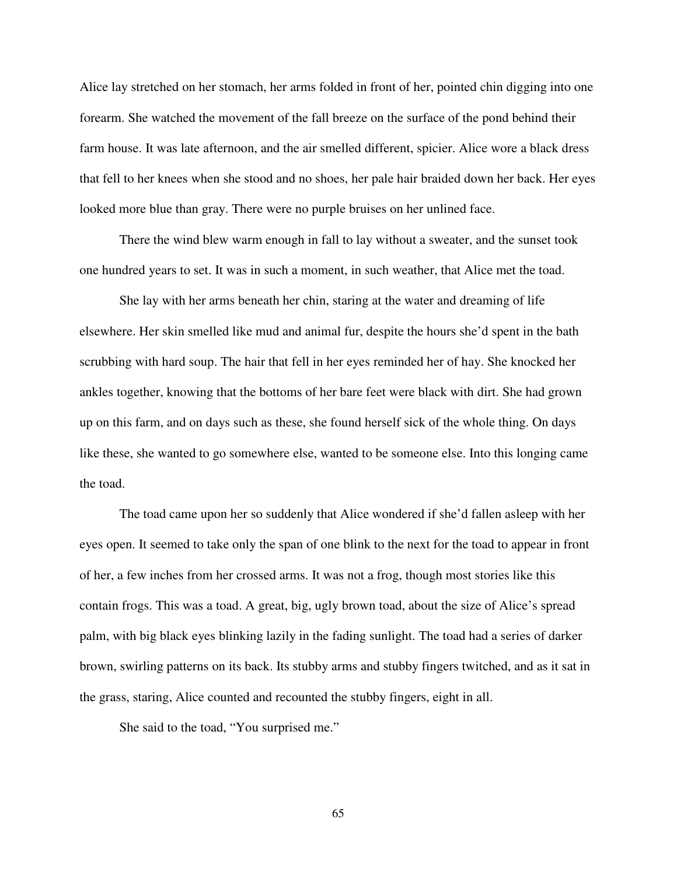Alice lay stretched on her stomach, her arms folded in front of her, pointed chin digging into one forearm. She watched the movement of the fall breeze on the surface of the pond behind their farm house. It was late afternoon, and the air smelled different, spicier. Alice wore a black dress that fell to her knees when she stood and no shoes, her pale hair braided down her back. Her eyes looked more blue than gray. There were no purple bruises on her unlined face.

There the wind blew warm enough in fall to lay without a sweater, and the sunset took one hundred years to set. It was in such a moment, in such weather, that Alice met the toad.

She lay with her arms beneath her chin, staring at the water and dreaming of life elsewhere. Her skin smelled like mud and animal fur, despite the hours she'd spent in the bath scrubbing with hard soup. The hair that fell in her eyes reminded her of hay. She knocked her ankles together, knowing that the bottoms of her bare feet were black with dirt. She had grown up on this farm, and on days such as these, she found herself sick of the whole thing. On days like these, she wanted to go somewhere else, wanted to be someone else. Into this longing came the toad.

The toad came upon her so suddenly that Alice wondered if she'd fallen asleep with her eyes open. It seemed to take only the span of one blink to the next for the toad to appear in front of her, a few inches from her crossed arms. It was not a frog, though most stories like this contain frogs. This was a toad. A great, big, ugly brown toad, about the size of Alice's spread palm, with big black eyes blinking lazily in the fading sunlight. The toad had a series of darker brown, swirling patterns on its back. Its stubby arms and stubby fingers twitched, and as it sat in the grass, staring, Alice counted and recounted the stubby fingers, eight in all.

She said to the toad, "You surprised me."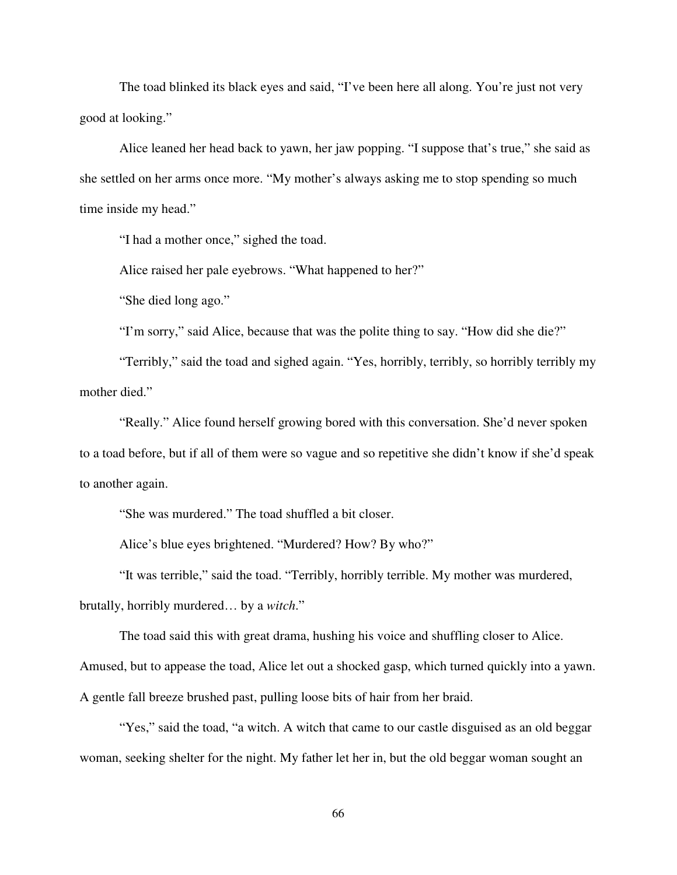The toad blinked its black eyes and said, "I've been here all along. You're just not very good at looking."

Alice leaned her head back to yawn, her jaw popping. "I suppose that's true," she said as she settled on her arms once more. "My mother's always asking me to stop spending so much time inside my head."

"I had a mother once," sighed the toad.

Alice raised her pale eyebrows. "What happened to her?"

"She died long ago."

"I'm sorry," said Alice, because that was the polite thing to say. "How did she die?"

"Terribly," said the toad and sighed again. "Yes, horribly, terribly, so horribly terribly my mother died."

"Really." Alice found herself growing bored with this conversation. She'd never spoken to a toad before, but if all of them were so vague and so repetitive she didn't know if she'd speak to another again.

"She was murdered." The toad shuffled a bit closer.

Alice's blue eyes brightened. "Murdered? How? By who?"

"It was terrible," said the toad. "Terribly, horribly terrible. My mother was murdered,

brutally, horribly murdered… by a *witch*."

The toad said this with great drama, hushing his voice and shuffling closer to Alice.

Amused, but to appease the toad, Alice let out a shocked gasp, which turned quickly into a yawn.

A gentle fall breeze brushed past, pulling loose bits of hair from her braid.

"Yes," said the toad, "a witch. A witch that came to our castle disguised as an old beggar woman, seeking shelter for the night. My father let her in, but the old beggar woman sought an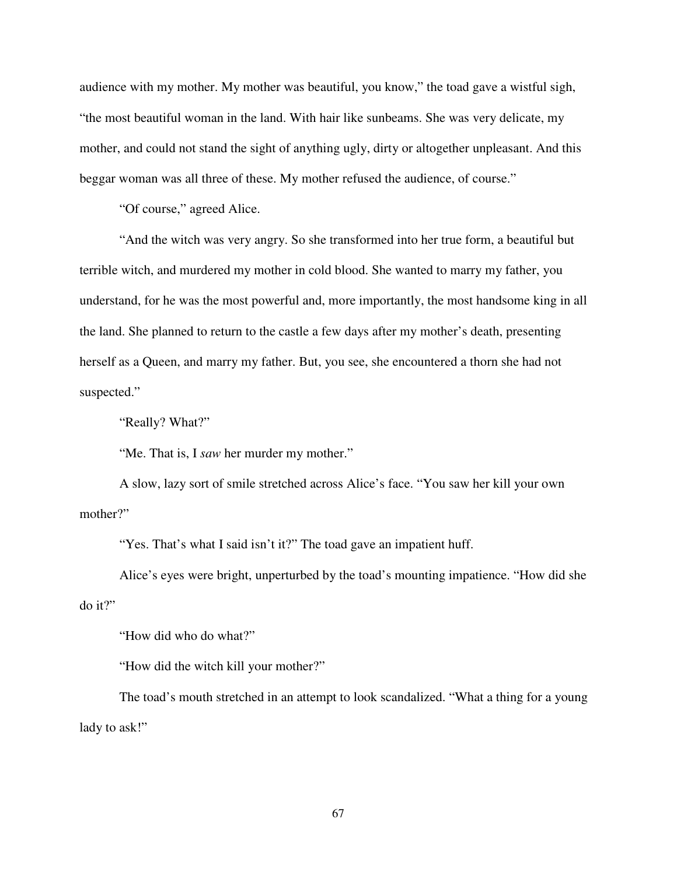audience with my mother. My mother was beautiful, you know," the toad gave a wistful sigh, "the most beautiful woman in the land. With hair like sunbeams. She was very delicate, my mother, and could not stand the sight of anything ugly, dirty or altogether unpleasant. And this beggar woman was all three of these. My mother refused the audience, of course."

"Of course," agreed Alice.

"And the witch was very angry. So she transformed into her true form, a beautiful but terrible witch, and murdered my mother in cold blood. She wanted to marry my father, you understand, for he was the most powerful and, more importantly, the most handsome king in all the land. She planned to return to the castle a few days after my mother's death, presenting herself as a Queen, and marry my father. But, you see, she encountered a thorn she had not suspected."

"Really? What?"

"Me. That is, I *saw* her murder my mother."

A slow, lazy sort of smile stretched across Alice's face. "You saw her kill your own mother?"

"Yes. That's what I said isn't it?" The toad gave an impatient huff.

Alice's eyes were bright, unperturbed by the toad's mounting impatience. "How did she do it?"

"How did who do what?"

"How did the witch kill your mother?"

The toad's mouth stretched in an attempt to look scandalized. "What a thing for a young lady to ask!"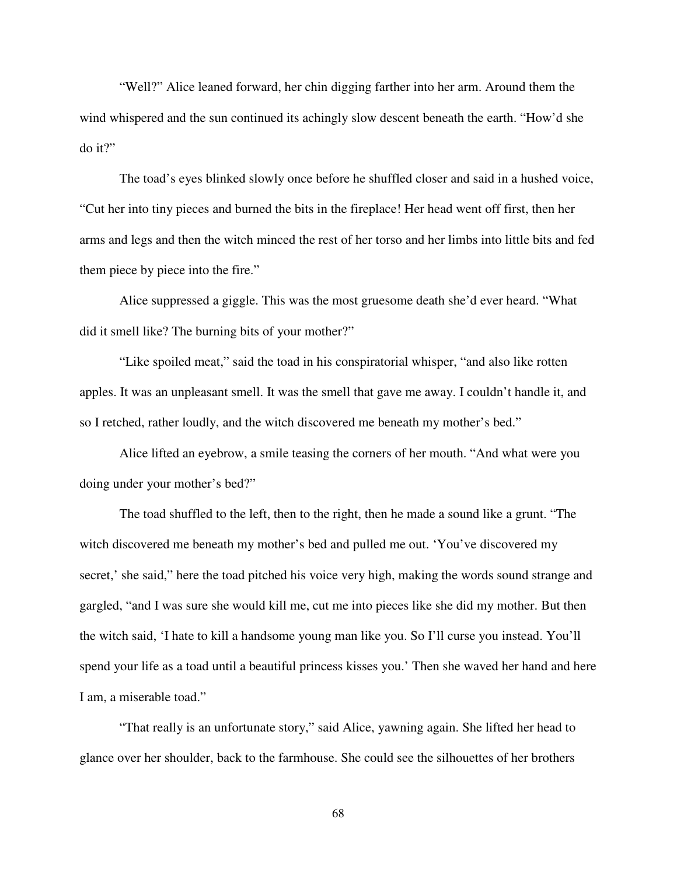"Well?" Alice leaned forward, her chin digging farther into her arm. Around them the wind whispered and the sun continued its achingly slow descent beneath the earth. "How'd she do it?"

The toad's eyes blinked slowly once before he shuffled closer and said in a hushed voice, "Cut her into tiny pieces and burned the bits in the fireplace! Her head went off first, then her arms and legs and then the witch minced the rest of her torso and her limbs into little bits and fed them piece by piece into the fire."

Alice suppressed a giggle. This was the most gruesome death she'd ever heard. "What did it smell like? The burning bits of your mother?"

"Like spoiled meat," said the toad in his conspiratorial whisper, "and also like rotten apples. It was an unpleasant smell. It was the smell that gave me away. I couldn't handle it, and so I retched, rather loudly, and the witch discovered me beneath my mother's bed."

Alice lifted an eyebrow, a smile teasing the corners of her mouth. "And what were you doing under your mother's bed?"

The toad shuffled to the left, then to the right, then he made a sound like a grunt. "The witch discovered me beneath my mother's bed and pulled me out. 'You've discovered my secret,' she said," here the toad pitched his voice very high, making the words sound strange and gargled, "and I was sure she would kill me, cut me into pieces like she did my mother. But then the witch said, 'I hate to kill a handsome young man like you. So I'll curse you instead. You'll spend your life as a toad until a beautiful princess kisses you.' Then she waved her hand and here I am, a miserable toad."

"That really is an unfortunate story," said Alice, yawning again. She lifted her head to glance over her shoulder, back to the farmhouse. She could see the silhouettes of her brothers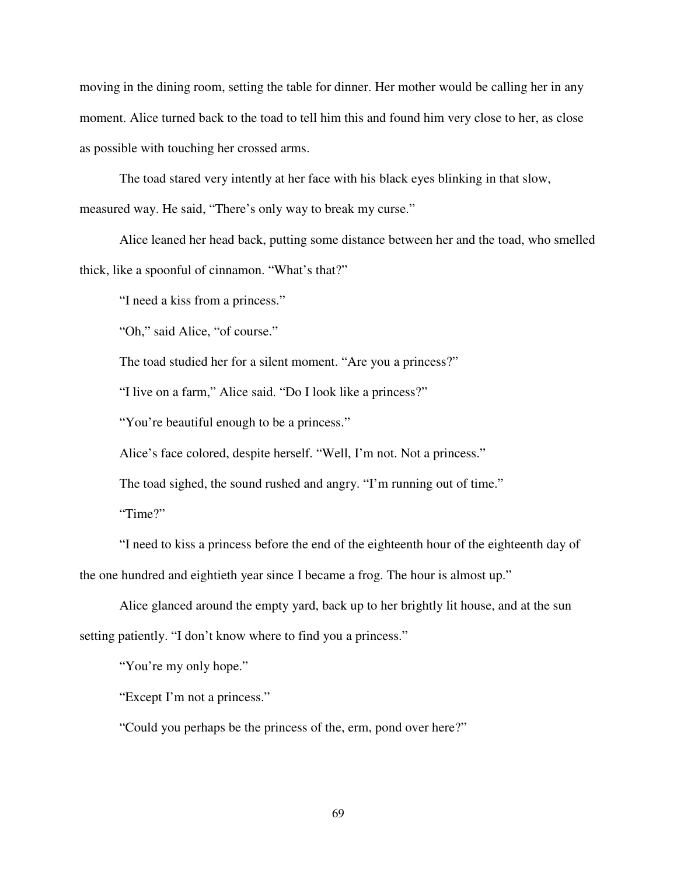moving in the dining room, setting the table for dinner. Her mother would be calling her in any moment. Alice turned back to the toad to tell him this and found him very close to her, as close as possible with touching her crossed arms.

The toad stared very intently at her face with his black eyes blinking in that slow,

measured way. He said, "There's only way to break my curse."

Alice leaned her head back, putting some distance between her and the toad, who smelled thick, like a spoonful of cinnamon. "What's that?"

"I need a kiss from a princess."

"Oh," said Alice, "of course."

The toad studied her for a silent moment. "Are you a princess?"

"I live on a farm," Alice said. "Do I look like a princess?"

"You're beautiful enough to be a princess."

Alice's face colored, despite herself. "Well, I'm not. Not a princess."

The toad sighed, the sound rushed and angry. "I'm running out of time."

"Time?"

"I need to kiss a princess before the end of the eighteenth hour of the eighteenth day of the one hundred and eightieth year since I became a frog. The hour is almost up."

Alice glanced around the empty yard, back up to her brightly lit house, and at the sun setting patiently. "I don't know where to find you a princess."

"You're my only hope."

"Except I'm not a princess."

"Could you perhaps be the princess of the, erm, pond over here?"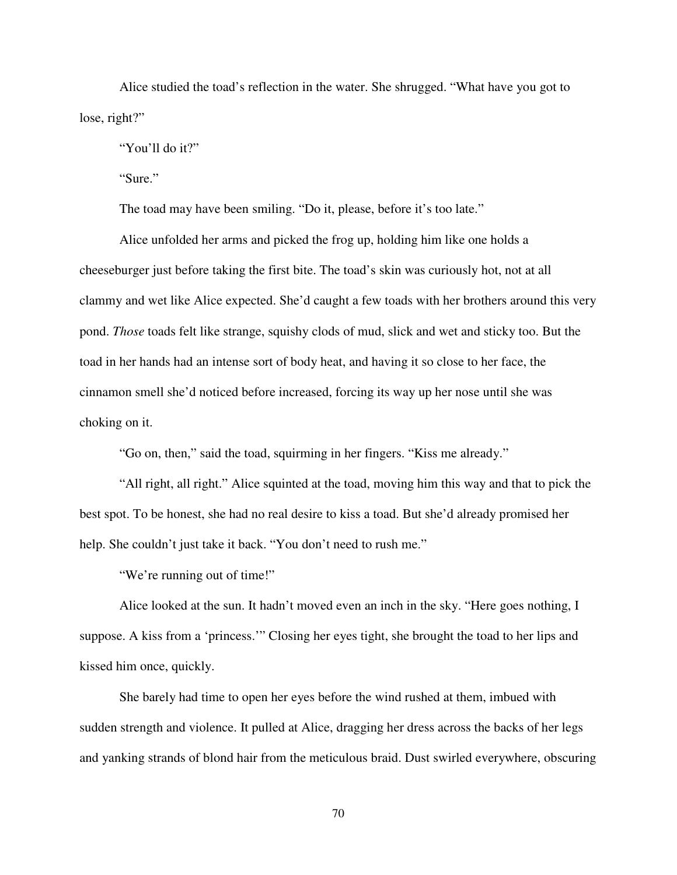Alice studied the toad's reflection in the water. She shrugged. "What have you got to lose, right?"

"You'll do it?"

"Sure."

The toad may have been smiling. "Do it, please, before it's too late."

Alice unfolded her arms and picked the frog up, holding him like one holds a cheeseburger just before taking the first bite. The toad's skin was curiously hot, not at all clammy and wet like Alice expected. She'd caught a few toads with her brothers around this very pond. *Those* toads felt like strange, squishy clods of mud, slick and wet and sticky too. But the toad in her hands had an intense sort of body heat, and having it so close to her face, the cinnamon smell she'd noticed before increased, forcing its way up her nose until she was choking on it.

"Go on, then," said the toad, squirming in her fingers. "Kiss me already."

"All right, all right." Alice squinted at the toad, moving him this way and that to pick the best spot. To be honest, she had no real desire to kiss a toad. But she'd already promised her help. She couldn't just take it back. "You don't need to rush me."

"We're running out of time!"

Alice looked at the sun. It hadn't moved even an inch in the sky. "Here goes nothing, I suppose. A kiss from a 'princess.'" Closing her eyes tight, she brought the toad to her lips and kissed him once, quickly.

She barely had time to open her eyes before the wind rushed at them, imbued with sudden strength and violence. It pulled at Alice, dragging her dress across the backs of her legs and yanking strands of blond hair from the meticulous braid. Dust swirled everywhere, obscuring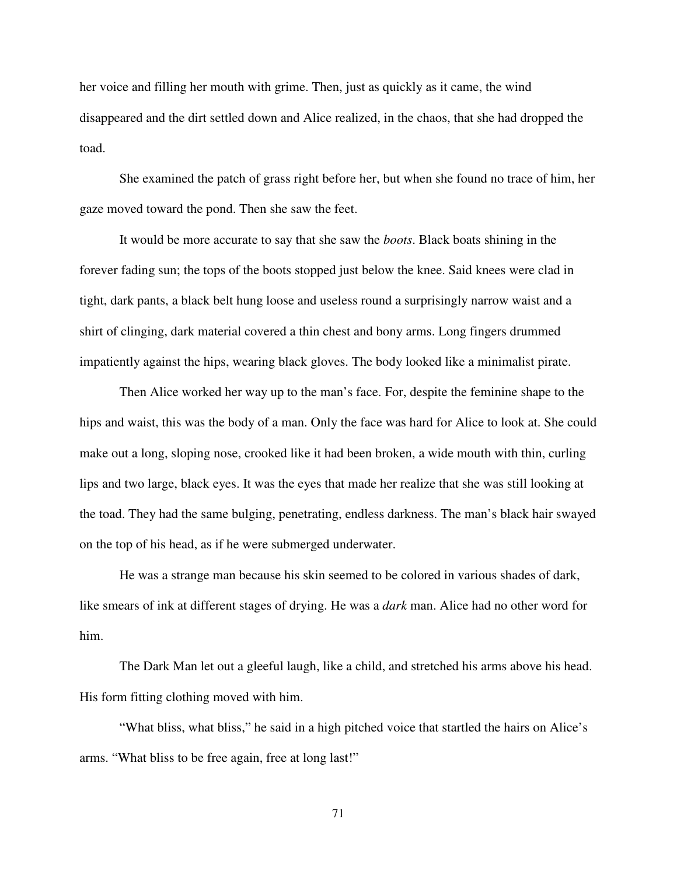her voice and filling her mouth with grime. Then, just as quickly as it came, the wind disappeared and the dirt settled down and Alice realized, in the chaos, that she had dropped the toad.

She examined the patch of grass right before her, but when she found no trace of him, her gaze moved toward the pond. Then she saw the feet.

It would be more accurate to say that she saw the *boots*. Black boats shining in the forever fading sun; the tops of the boots stopped just below the knee. Said knees were clad in tight, dark pants, a black belt hung loose and useless round a surprisingly narrow waist and a shirt of clinging, dark material covered a thin chest and bony arms. Long fingers drummed impatiently against the hips, wearing black gloves. The body looked like a minimalist pirate.

Then Alice worked her way up to the man's face. For, despite the feminine shape to the hips and waist, this was the body of a man. Only the face was hard for Alice to look at. She could make out a long, sloping nose, crooked like it had been broken, a wide mouth with thin, curling lips and two large, black eyes. It was the eyes that made her realize that she was still looking at the toad. They had the same bulging, penetrating, endless darkness. The man's black hair swayed on the top of his head, as if he were submerged underwater.

He was a strange man because his skin seemed to be colored in various shades of dark, like smears of ink at different stages of drying. He was a *dark* man. Alice had no other word for him.

The Dark Man let out a gleeful laugh, like a child, and stretched his arms above his head. His form fitting clothing moved with him.

"What bliss, what bliss," he said in a high pitched voice that startled the hairs on Alice's arms. "What bliss to be free again, free at long last!"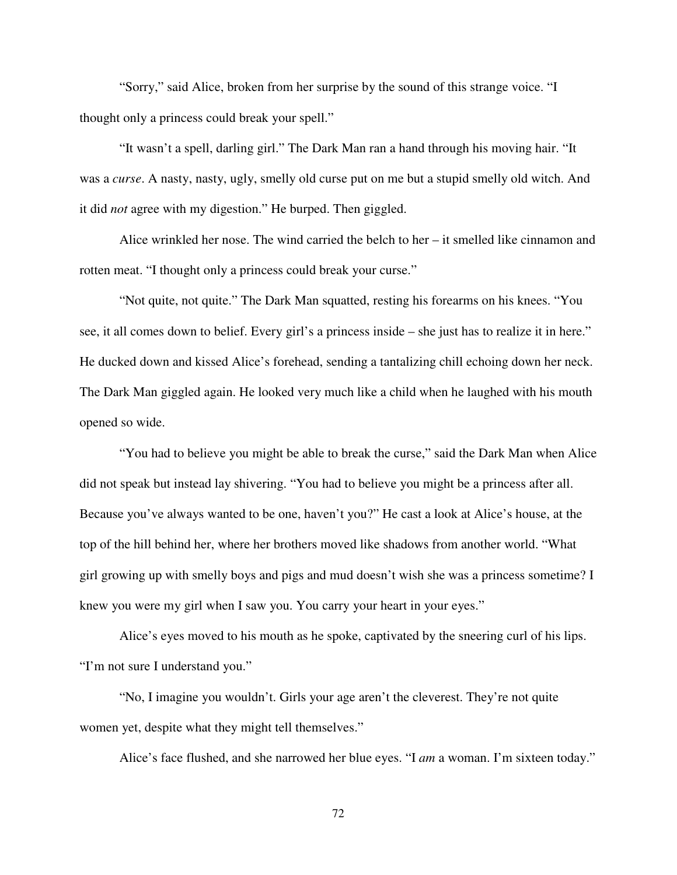"Sorry," said Alice, broken from her surprise by the sound of this strange voice. "I thought only a princess could break your spell."

"It wasn't a spell, darling girl." The Dark Man ran a hand through his moving hair. "It was a *curse*. A nasty, nasty, ugly, smelly old curse put on me but a stupid smelly old witch. And it did *not* agree with my digestion." He burped. Then giggled.

Alice wrinkled her nose. The wind carried the belch to her – it smelled like cinnamon and rotten meat. "I thought only a princess could break your curse."

"Not quite, not quite." The Dark Man squatted, resting his forearms on his knees. "You see, it all comes down to belief. Every girl's a princess inside – she just has to realize it in here." He ducked down and kissed Alice's forehead, sending a tantalizing chill echoing down her neck. The Dark Man giggled again. He looked very much like a child when he laughed with his mouth opened so wide.

"You had to believe you might be able to break the curse," said the Dark Man when Alice did not speak but instead lay shivering. "You had to believe you might be a princess after all. Because you've always wanted to be one, haven't you?" He cast a look at Alice's house, at the top of the hill behind her, where her brothers moved like shadows from another world. "What girl growing up with smelly boys and pigs and mud doesn't wish she was a princess sometime? I knew you were my girl when I saw you. You carry your heart in your eyes."

Alice's eyes moved to his mouth as he spoke, captivated by the sneering curl of his lips. "I'm not sure I understand you."

"No, I imagine you wouldn't. Girls your age aren't the cleverest. They're not quite women yet, despite what they might tell themselves."

Alice's face flushed, and she narrowed her blue eyes. "I *am* a woman. I'm sixteen today."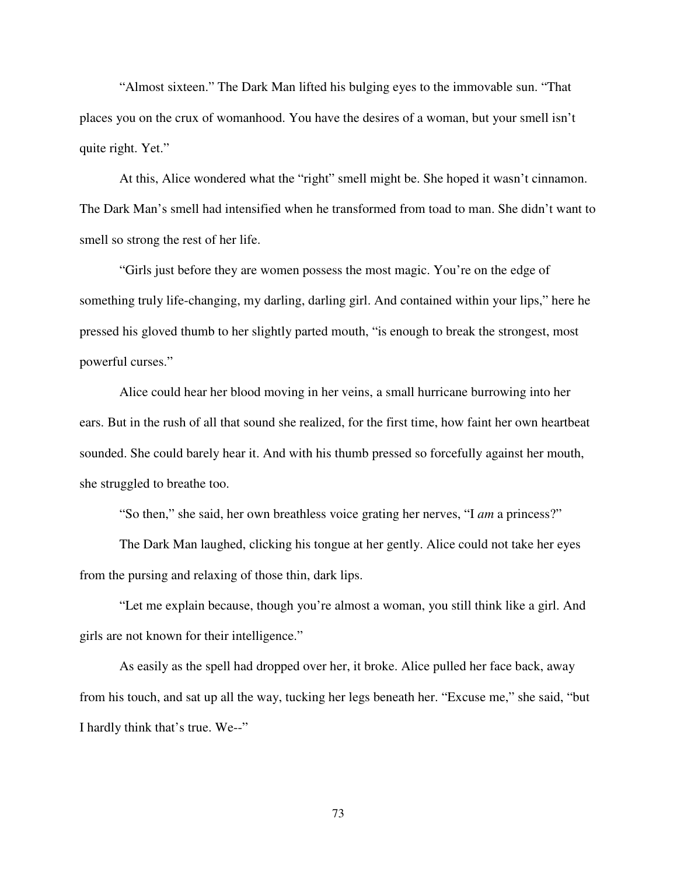"Almost sixteen." The Dark Man lifted his bulging eyes to the immovable sun. "That places you on the crux of womanhood. You have the desires of a woman, but your smell isn't quite right. Yet."

At this, Alice wondered what the "right" smell might be. She hoped it wasn't cinnamon. The Dark Man's smell had intensified when he transformed from toad to man. She didn't want to smell so strong the rest of her life.

"Girls just before they are women possess the most magic. You're on the edge of something truly life-changing, my darling, darling girl. And contained within your lips," here he pressed his gloved thumb to her slightly parted mouth, "is enough to break the strongest, most powerful curses."

Alice could hear her blood moving in her veins, a small hurricane burrowing into her ears. But in the rush of all that sound she realized, for the first time, how faint her own heartbeat sounded. She could barely hear it. And with his thumb pressed so forcefully against her mouth, she struggled to breathe too.

"So then," she said, her own breathless voice grating her nerves, "I *am* a princess?"

The Dark Man laughed, clicking his tongue at her gently. Alice could not take her eyes from the pursing and relaxing of those thin, dark lips.

"Let me explain because, though you're almost a woman, you still think like a girl. And girls are not known for their intelligence."

As easily as the spell had dropped over her, it broke. Alice pulled her face back, away from his touch, and sat up all the way, tucking her legs beneath her. "Excuse me," she said, "but I hardly think that's true. We--"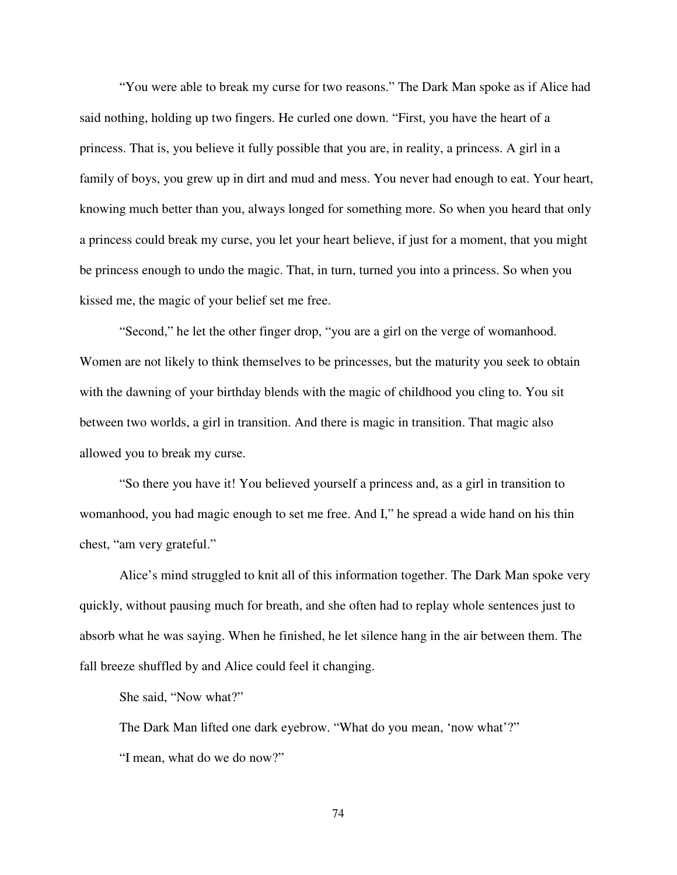"You were able to break my curse for two reasons." The Dark Man spoke as if Alice had said nothing, holding up two fingers. He curled one down. "First, you have the heart of a princess. That is, you believe it fully possible that you are, in reality, a princess. A girl in a family of boys, you grew up in dirt and mud and mess. You never had enough to eat. Your heart, knowing much better than you, always longed for something more. So when you heard that only a princess could break my curse, you let your heart believe, if just for a moment, that you might be princess enough to undo the magic. That, in turn, turned you into a princess. So when you kissed me, the magic of your belief set me free.

"Second," he let the other finger drop, "you are a girl on the verge of womanhood. Women are not likely to think themselves to be princesses, but the maturity you seek to obtain with the dawning of your birthday blends with the magic of childhood you cling to. You sit between two worlds, a girl in transition. And there is magic in transition. That magic also allowed you to break my curse.

"So there you have it! You believed yourself a princess and, as a girl in transition to womanhood, you had magic enough to set me free. And I," he spread a wide hand on his thin chest, "am very grateful."

Alice's mind struggled to knit all of this information together. The Dark Man spoke very quickly, without pausing much for breath, and she often had to replay whole sentences just to absorb what he was saying. When he finished, he let silence hang in the air between them. The fall breeze shuffled by and Alice could feel it changing.

She said, "Now what?"

The Dark Man lifted one dark eyebrow. "What do you mean, 'now what'?" "I mean, what do we do now?"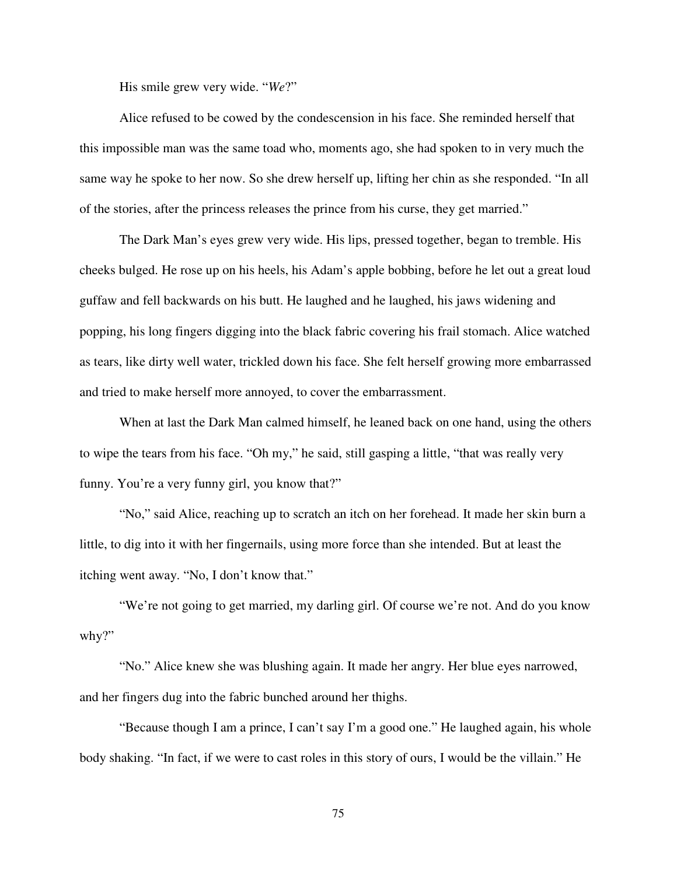His smile grew very wide. "*We*?"

Alice refused to be cowed by the condescension in his face. She reminded herself that this impossible man was the same toad who, moments ago, she had spoken to in very much the same way he spoke to her now. So she drew herself up, lifting her chin as she responded. "In all of the stories, after the princess releases the prince from his curse, they get married."

The Dark Man's eyes grew very wide. His lips, pressed together, began to tremble. His cheeks bulged. He rose up on his heels, his Adam's apple bobbing, before he let out a great loud guffaw and fell backwards on his butt. He laughed and he laughed, his jaws widening and popping, his long fingers digging into the black fabric covering his frail stomach. Alice watched as tears, like dirty well water, trickled down his face. She felt herself growing more embarrassed and tried to make herself more annoyed, to cover the embarrassment.

When at last the Dark Man calmed himself, he leaned back on one hand, using the others to wipe the tears from his face. "Oh my," he said, still gasping a little, "that was really very funny. You're a very funny girl, you know that?"

"No," said Alice, reaching up to scratch an itch on her forehead. It made her skin burn a little, to dig into it with her fingernails, using more force than she intended. But at least the itching went away. "No, I don't know that."

"We're not going to get married, my darling girl. Of course we're not. And do you know why?"

"No." Alice knew she was blushing again. It made her angry. Her blue eyes narrowed, and her fingers dug into the fabric bunched around her thighs.

"Because though I am a prince, I can't say I'm a good one." He laughed again, his whole body shaking. "In fact, if we were to cast roles in this story of ours, I would be the villain." He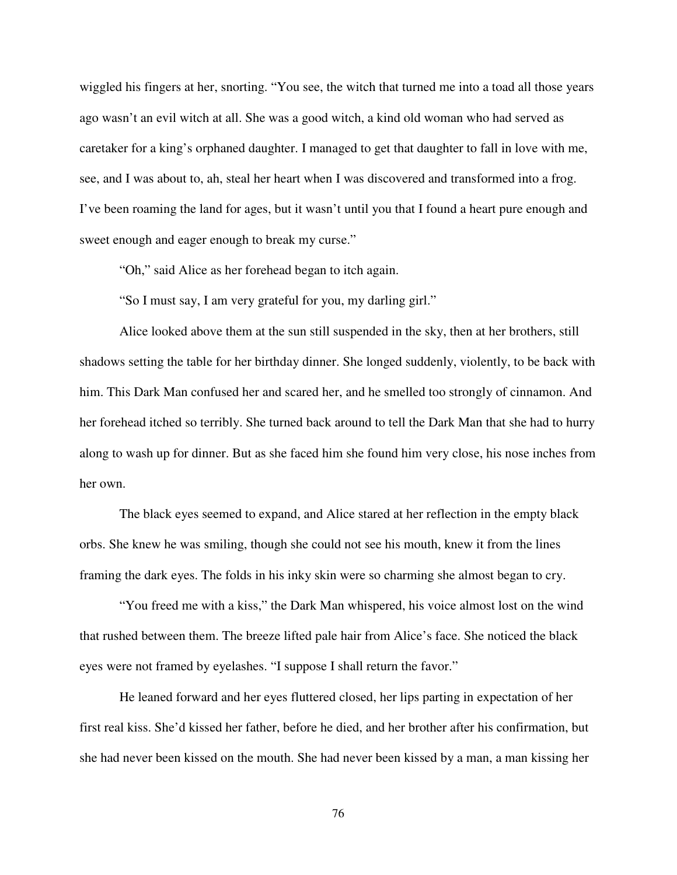wiggled his fingers at her, snorting. "You see, the witch that turned me into a toad all those years ago wasn't an evil witch at all. She was a good witch, a kind old woman who had served as caretaker for a king's orphaned daughter. I managed to get that daughter to fall in love with me, see, and I was about to, ah, steal her heart when I was discovered and transformed into a frog. I've been roaming the land for ages, but it wasn't until you that I found a heart pure enough and sweet enough and eager enough to break my curse."

"Oh," said Alice as her forehead began to itch again.

"So I must say, I am very grateful for you, my darling girl."

Alice looked above them at the sun still suspended in the sky, then at her brothers, still shadows setting the table for her birthday dinner. She longed suddenly, violently, to be back with him. This Dark Man confused her and scared her, and he smelled too strongly of cinnamon. And her forehead itched so terribly. She turned back around to tell the Dark Man that she had to hurry along to wash up for dinner. But as she faced him she found him very close, his nose inches from her own.

The black eyes seemed to expand, and Alice stared at her reflection in the empty black orbs. She knew he was smiling, though she could not see his mouth, knew it from the lines framing the dark eyes. The folds in his inky skin were so charming she almost began to cry.

"You freed me with a kiss," the Dark Man whispered, his voice almost lost on the wind that rushed between them. The breeze lifted pale hair from Alice's face. She noticed the black eyes were not framed by eyelashes. "I suppose I shall return the favor."

He leaned forward and her eyes fluttered closed, her lips parting in expectation of her first real kiss. She'd kissed her father, before he died, and her brother after his confirmation, but she had never been kissed on the mouth. She had never been kissed by a man, a man kissing her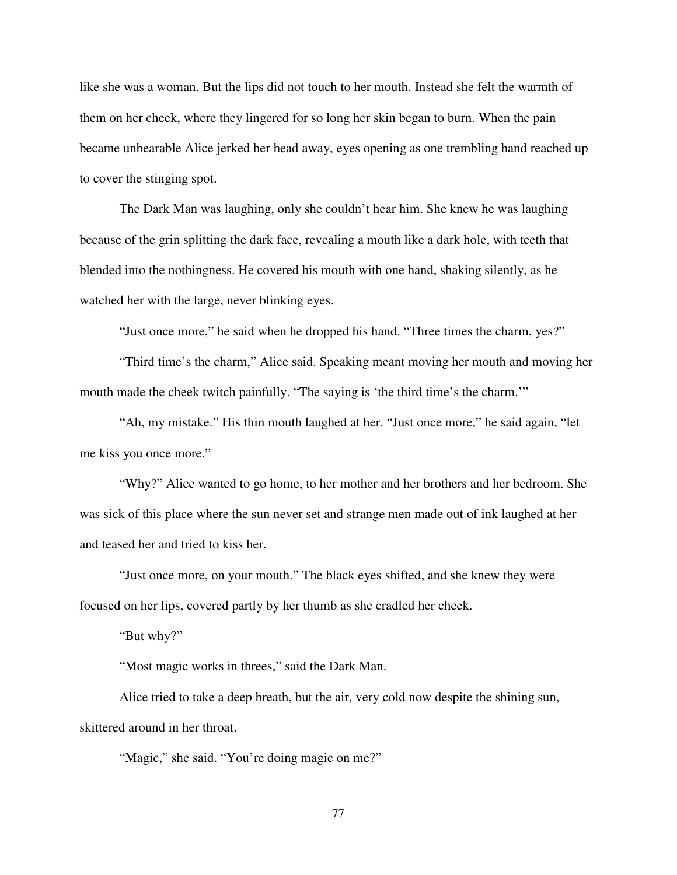like she was a woman. But the lips did not touch to her mouth. Instead she felt the warmth of them on her cheek, where they lingered for so long her skin began to burn. When the pain became unbearable Alice jerked her head away, eyes opening as one trembling hand reached up to cover the stinging spot.

The Dark Man was laughing, only she couldn't hear him. She knew he was laughing because of the grin splitting the dark face, revealing a mouth like a dark hole, with teeth that blended into the nothingness. He covered his mouth with one hand, shaking silently, as he watched her with the large, never blinking eyes.

"Just once more," he said when he dropped his hand. "Three times the charm, yes?"

"Third time's the charm," Alice said. Speaking meant moving her mouth and moving her mouth made the cheek twitch painfully. "The saying is 'the third time's the charm.'"

"Ah, my mistake." His thin mouth laughed at her. "Just once more," he said again, "let me kiss you once more."

"Why?" Alice wanted to go home, to her mother and her brothers and her bedroom. She was sick of this place where the sun never set and strange men made out of ink laughed at her and teased her and tried to kiss her.

"Just once more, on your mouth." The black eyes shifted, and she knew they were focused on her lips, covered partly by her thumb as she cradled her cheek.

"But why?"

"Most magic works in threes," said the Dark Man.

Alice tried to take a deep breath, but the air, very cold now despite the shining sun, skittered around in her throat.

"Magic," she said. "You're doing magic on me?"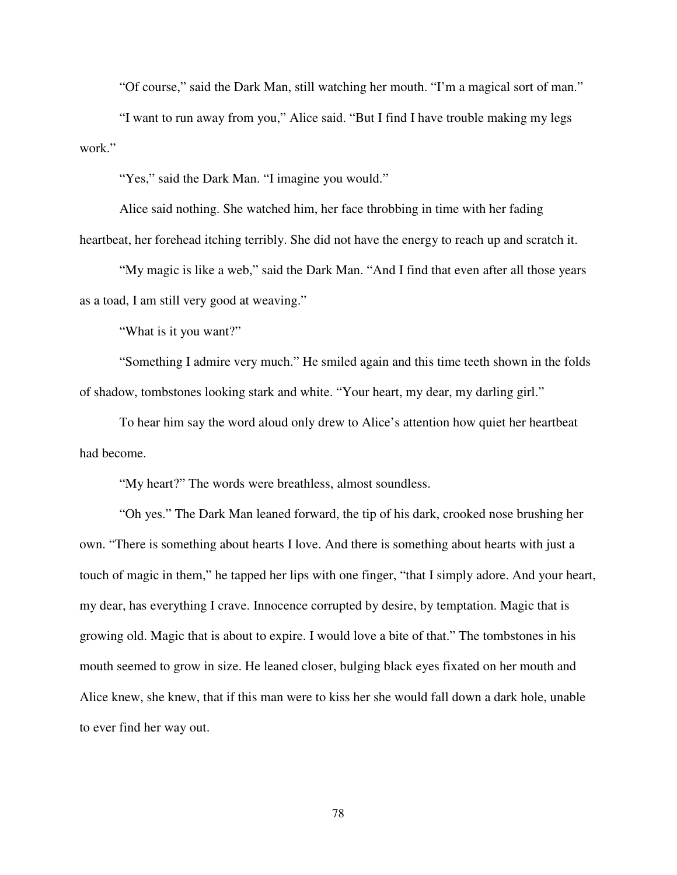"Of course," said the Dark Man, still watching her mouth. "I'm a magical sort of man."

"I want to run away from you," Alice said. "But I find I have trouble making my legs work."

"Yes," said the Dark Man. "I imagine you would."

Alice said nothing. She watched him, her face throbbing in time with her fading heartbeat, her forehead itching terribly. She did not have the energy to reach up and scratch it.

"My magic is like a web," said the Dark Man. "And I find that even after all those years as a toad, I am still very good at weaving."

"What is it you want?"

"Something I admire very much." He smiled again and this time teeth shown in the folds of shadow, tombstones looking stark and white. "Your heart, my dear, my darling girl."

To hear him say the word aloud only drew to Alice's attention how quiet her heartbeat had become.

"My heart?" The words were breathless, almost soundless.

"Oh yes." The Dark Man leaned forward, the tip of his dark, crooked nose brushing her own. "There is something about hearts I love. And there is something about hearts with just a touch of magic in them," he tapped her lips with one finger, "that I simply adore. And your heart, my dear, has everything I crave. Innocence corrupted by desire, by temptation. Magic that is growing old. Magic that is about to expire. I would love a bite of that." The tombstones in his mouth seemed to grow in size. He leaned closer, bulging black eyes fixated on her mouth and Alice knew, she knew, that if this man were to kiss her she would fall down a dark hole, unable to ever find her way out.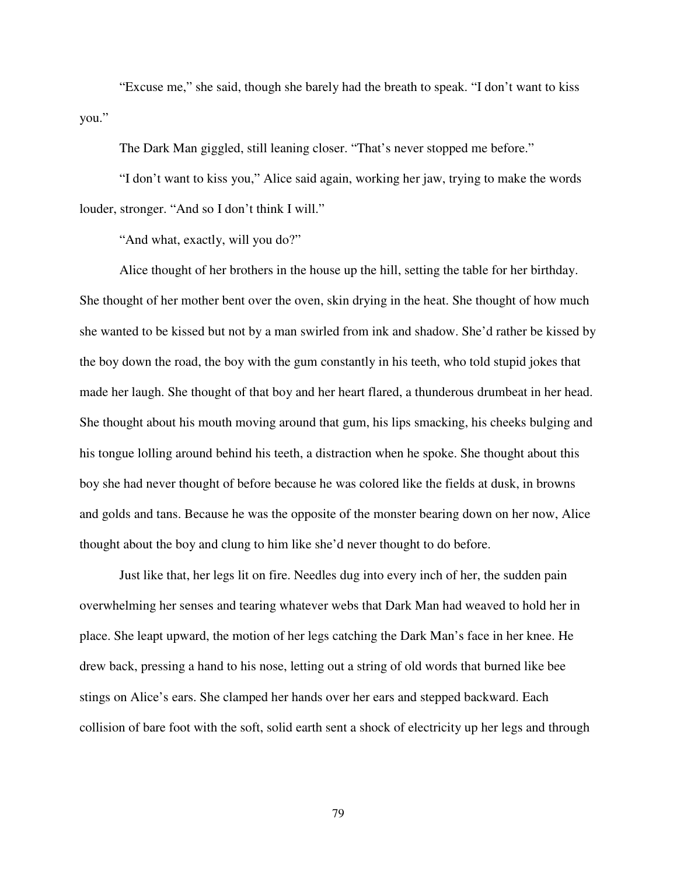"Excuse me," she said, though she barely had the breath to speak. "I don't want to kiss you."

The Dark Man giggled, still leaning closer. "That's never stopped me before."

"I don't want to kiss you," Alice said again, working her jaw, trying to make the words louder, stronger. "And so I don't think I will."

"And what, exactly, will you do?"

Alice thought of her brothers in the house up the hill, setting the table for her birthday. She thought of her mother bent over the oven, skin drying in the heat. She thought of how much she wanted to be kissed but not by a man swirled from ink and shadow. She'd rather be kissed by the boy down the road, the boy with the gum constantly in his teeth, who told stupid jokes that made her laugh. She thought of that boy and her heart flared, a thunderous drumbeat in her head. She thought about his mouth moving around that gum, his lips smacking, his cheeks bulging and his tongue lolling around behind his teeth, a distraction when he spoke. She thought about this boy she had never thought of before because he was colored like the fields at dusk, in browns and golds and tans. Because he was the opposite of the monster bearing down on her now, Alice thought about the boy and clung to him like she'd never thought to do before.

Just like that, her legs lit on fire. Needles dug into every inch of her, the sudden pain overwhelming her senses and tearing whatever webs that Dark Man had weaved to hold her in place. She leapt upward, the motion of her legs catching the Dark Man's face in her knee. He drew back, pressing a hand to his nose, letting out a string of old words that burned like bee stings on Alice's ears. She clamped her hands over her ears and stepped backward. Each collision of bare foot with the soft, solid earth sent a shock of electricity up her legs and through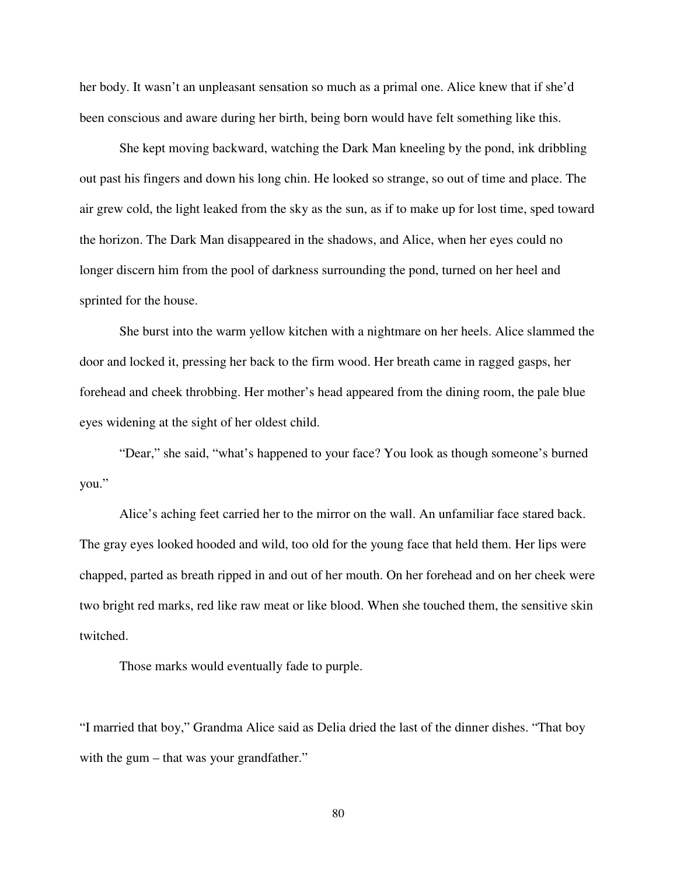her body. It wasn't an unpleasant sensation so much as a primal one. Alice knew that if she'd been conscious and aware during her birth, being born would have felt something like this.

She kept moving backward, watching the Dark Man kneeling by the pond, ink dribbling out past his fingers and down his long chin. He looked so strange, so out of time and place. The air grew cold, the light leaked from the sky as the sun, as if to make up for lost time, sped toward the horizon. The Dark Man disappeared in the shadows, and Alice, when her eyes could no longer discern him from the pool of darkness surrounding the pond, turned on her heel and sprinted for the house.

She burst into the warm yellow kitchen with a nightmare on her heels. Alice slammed the door and locked it, pressing her back to the firm wood. Her breath came in ragged gasps, her forehead and cheek throbbing. Her mother's head appeared from the dining room, the pale blue eyes widening at the sight of her oldest child.

"Dear," she said, "what's happened to your face? You look as though someone's burned you."

Alice's aching feet carried her to the mirror on the wall. An unfamiliar face stared back. The gray eyes looked hooded and wild, too old for the young face that held them. Her lips were chapped, parted as breath ripped in and out of her mouth. On her forehead and on her cheek were two bright red marks, red like raw meat or like blood. When she touched them, the sensitive skin twitched.

Those marks would eventually fade to purple.

"I married that boy," Grandma Alice said as Delia dried the last of the dinner dishes. "That boy with the gum – that was your grandfather."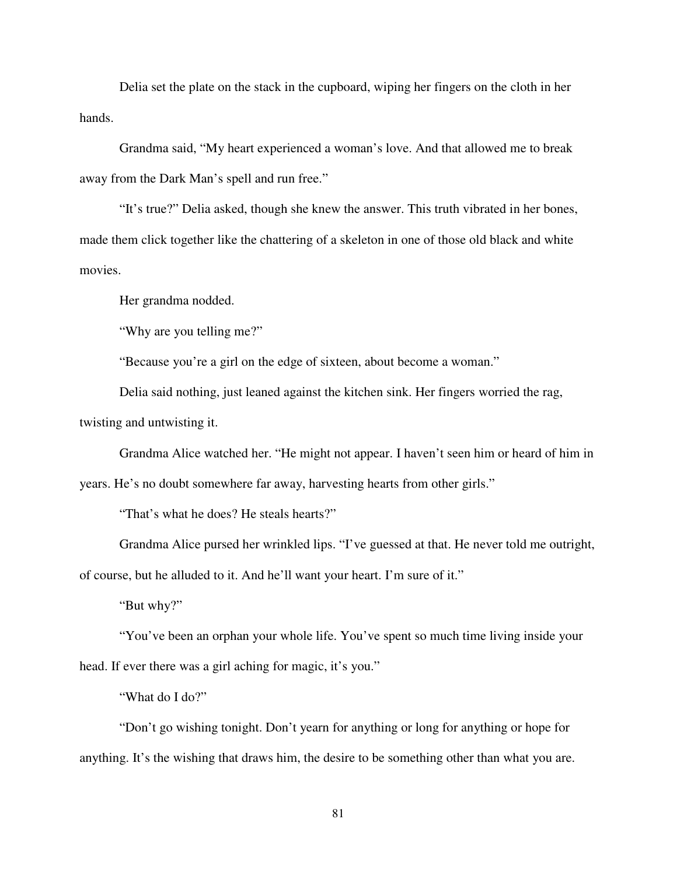Delia set the plate on the stack in the cupboard, wiping her fingers on the cloth in her hands.

Grandma said, "My heart experienced a woman's love. And that allowed me to break away from the Dark Man's spell and run free."

"It's true?" Delia asked, though she knew the answer. This truth vibrated in her bones, made them click together like the chattering of a skeleton in one of those old black and white movies.

Her grandma nodded.

"Why are you telling me?"

"Because you're a girl on the edge of sixteen, about become a woman."

Delia said nothing, just leaned against the kitchen sink. Her fingers worried the rag, twisting and untwisting it.

Grandma Alice watched her. "He might not appear. I haven't seen him or heard of him in

years. He's no doubt somewhere far away, harvesting hearts from other girls."

"That's what he does? He steals hearts?"

Grandma Alice pursed her wrinkled lips. "I've guessed at that. He never told me outright, of course, but he alluded to it. And he'll want your heart. I'm sure of it."

"But why?"

"You've been an orphan your whole life. You've spent so much time living inside your head. If ever there was a girl aching for magic, it's you."

"What do I do?"

"Don't go wishing tonight. Don't yearn for anything or long for anything or hope for anything. It's the wishing that draws him, the desire to be something other than what you are.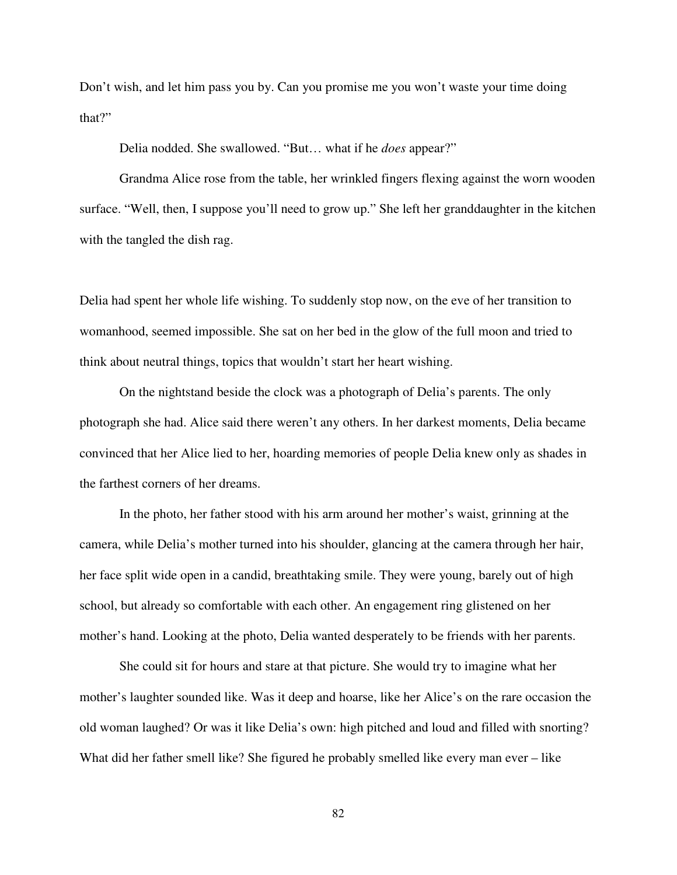Don't wish, and let him pass you by. Can you promise me you won't waste your time doing that?"

Delia nodded. She swallowed. "But… what if he *does* appear?"

Grandma Alice rose from the table, her wrinkled fingers flexing against the worn wooden surface. "Well, then, I suppose you'll need to grow up." She left her granddaughter in the kitchen with the tangled the dish rag.

Delia had spent her whole life wishing. To suddenly stop now, on the eve of her transition to womanhood, seemed impossible. She sat on her bed in the glow of the full moon and tried to think about neutral things, topics that wouldn't start her heart wishing.

On the nightstand beside the clock was a photograph of Delia's parents. The only photograph she had. Alice said there weren't any others. In her darkest moments, Delia became convinced that her Alice lied to her, hoarding memories of people Delia knew only as shades in the farthest corners of her dreams.

In the photo, her father stood with his arm around her mother's waist, grinning at the camera, while Delia's mother turned into his shoulder, glancing at the camera through her hair, her face split wide open in a candid, breathtaking smile. They were young, barely out of high school, but already so comfortable with each other. An engagement ring glistened on her mother's hand. Looking at the photo, Delia wanted desperately to be friends with her parents.

She could sit for hours and stare at that picture. She would try to imagine what her mother's laughter sounded like. Was it deep and hoarse, like her Alice's on the rare occasion the old woman laughed? Or was it like Delia's own: high pitched and loud and filled with snorting? What did her father smell like? She figured he probably smelled like every man ever – like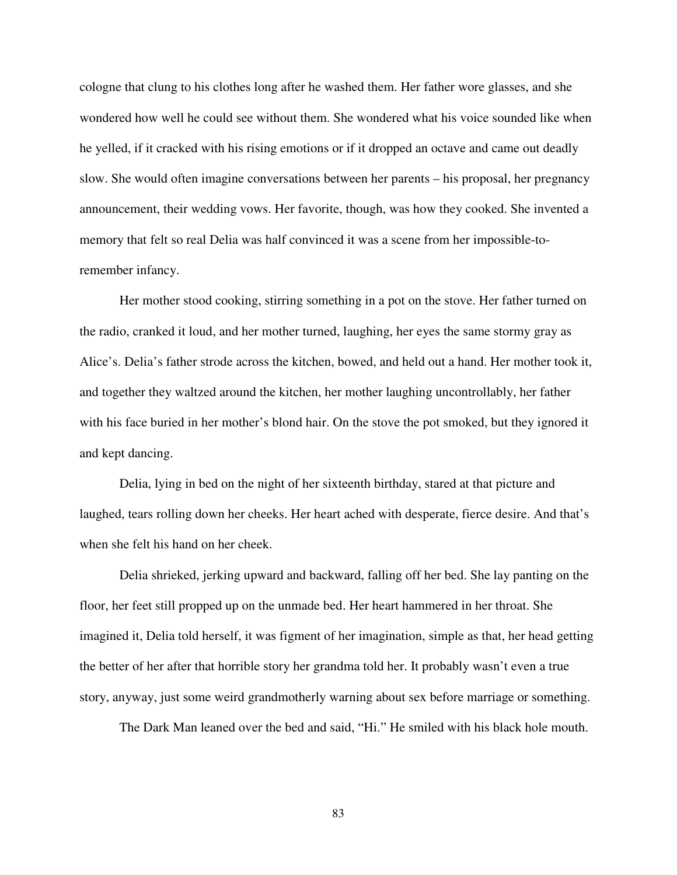cologne that clung to his clothes long after he washed them. Her father wore glasses, and she wondered how well he could see without them. She wondered what his voice sounded like when he yelled, if it cracked with his rising emotions or if it dropped an octave and came out deadly slow. She would often imagine conversations between her parents – his proposal, her pregnancy announcement, their wedding vows. Her favorite, though, was how they cooked. She invented a memory that felt so real Delia was half convinced it was a scene from her impossible-toremember infancy.

Her mother stood cooking, stirring something in a pot on the stove. Her father turned on the radio, cranked it loud, and her mother turned, laughing, her eyes the same stormy gray as Alice's. Delia's father strode across the kitchen, bowed, and held out a hand. Her mother took it, and together they waltzed around the kitchen, her mother laughing uncontrollably, her father with his face buried in her mother's blond hair. On the stove the pot smoked, but they ignored it and kept dancing.

Delia, lying in bed on the night of her sixteenth birthday, stared at that picture and laughed, tears rolling down her cheeks. Her heart ached with desperate, fierce desire. And that's when she felt his hand on her cheek.

Delia shrieked, jerking upward and backward, falling off her bed. She lay panting on the floor, her feet still propped up on the unmade bed. Her heart hammered in her throat. She imagined it, Delia told herself, it was figment of her imagination, simple as that, her head getting the better of her after that horrible story her grandma told her. It probably wasn't even a true story, anyway, just some weird grandmotherly warning about sex before marriage or something.

The Dark Man leaned over the bed and said, "Hi." He smiled with his black hole mouth.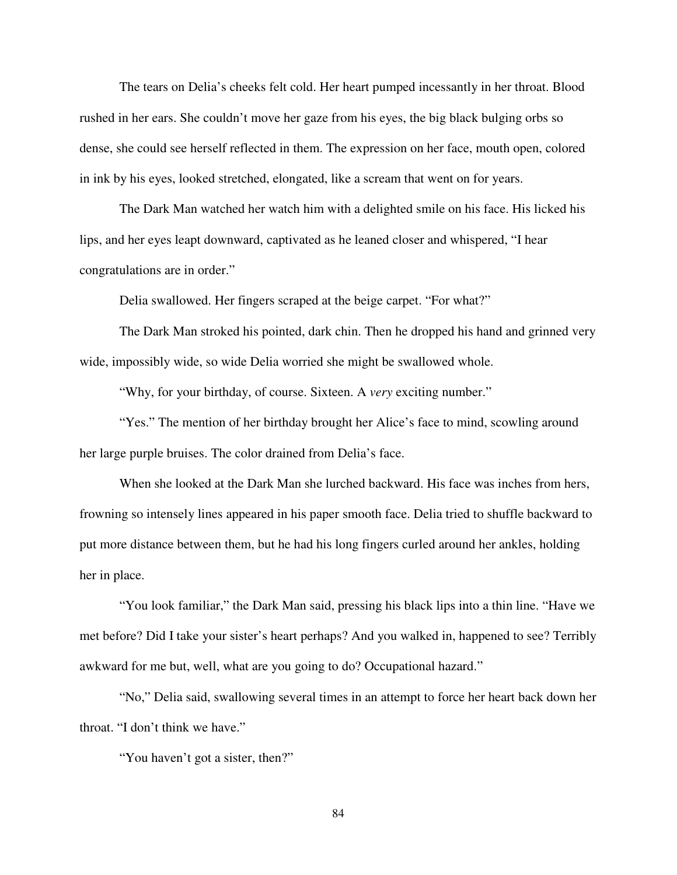The tears on Delia's cheeks felt cold. Her heart pumped incessantly in her throat. Blood rushed in her ears. She couldn't move her gaze from his eyes, the big black bulging orbs so dense, she could see herself reflected in them. The expression on her face, mouth open, colored in ink by his eyes, looked stretched, elongated, like a scream that went on for years.

The Dark Man watched her watch him with a delighted smile on his face. His licked his lips, and her eyes leapt downward, captivated as he leaned closer and whispered, "I hear congratulations are in order."

Delia swallowed. Her fingers scraped at the beige carpet. "For what?"

The Dark Man stroked his pointed, dark chin. Then he dropped his hand and grinned very wide, impossibly wide, so wide Delia worried she might be swallowed whole.

"Why, for your birthday, of course. Sixteen. A *very* exciting number."

"Yes." The mention of her birthday brought her Alice's face to mind, scowling around her large purple bruises. The color drained from Delia's face.

When she looked at the Dark Man she lurched backward. His face was inches from hers, frowning so intensely lines appeared in his paper smooth face. Delia tried to shuffle backward to put more distance between them, but he had his long fingers curled around her ankles, holding her in place.

"You look familiar," the Dark Man said, pressing his black lips into a thin line. "Have we met before? Did I take your sister's heart perhaps? And you walked in, happened to see? Terribly awkward for me but, well, what are you going to do? Occupational hazard."

"No," Delia said, swallowing several times in an attempt to force her heart back down her throat. "I don't think we have."

"You haven't got a sister, then?"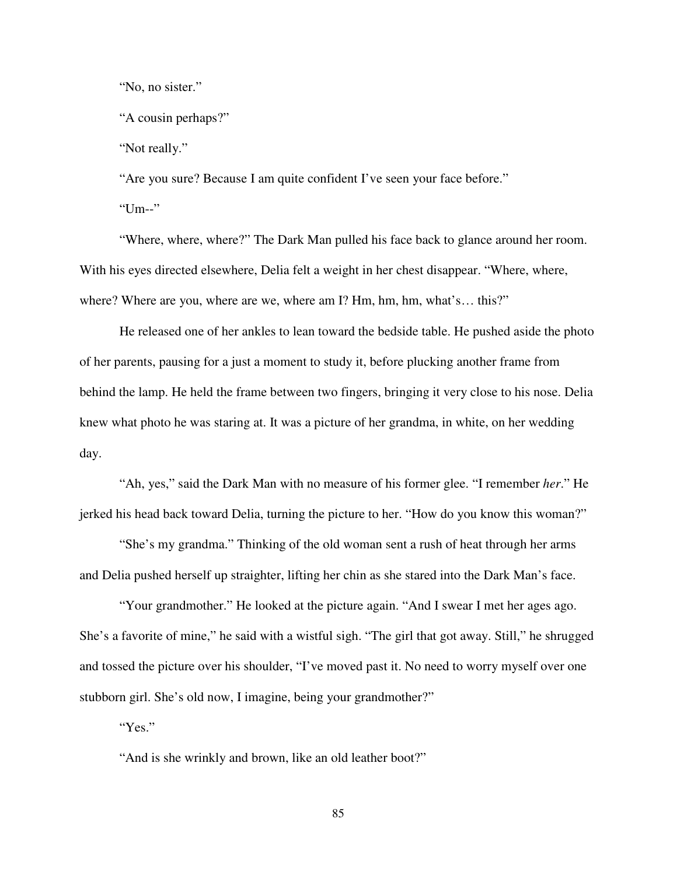"No, no sister."

"A cousin perhaps?"

"Not really."

"Are you sure? Because I am quite confident I've seen your face before."

"Um--"

"Where, where, where?" The Dark Man pulled his face back to glance around her room. With his eyes directed elsewhere, Delia felt a weight in her chest disappear. "Where, where, where? Where are you, where are we, where am I? Hm, hm, hm, what's... this?"

He released one of her ankles to lean toward the bedside table. He pushed aside the photo of her parents, pausing for a just a moment to study it, before plucking another frame from behind the lamp. He held the frame between two fingers, bringing it very close to his nose. Delia knew what photo he was staring at. It was a picture of her grandma, in white, on her wedding day.

"Ah, yes," said the Dark Man with no measure of his former glee. "I remember *her*." He jerked his head back toward Delia, turning the picture to her. "How do you know this woman?"

"She's my grandma." Thinking of the old woman sent a rush of heat through her arms and Delia pushed herself up straighter, lifting her chin as she stared into the Dark Man's face.

"Your grandmother." He looked at the picture again. "And I swear I met her ages ago. She's a favorite of mine," he said with a wistful sigh. "The girl that got away. Still," he shrugged and tossed the picture over his shoulder, "I've moved past it. No need to worry myself over one stubborn girl. She's old now, I imagine, being your grandmother?"

"Yes."

"And is she wrinkly and brown, like an old leather boot?"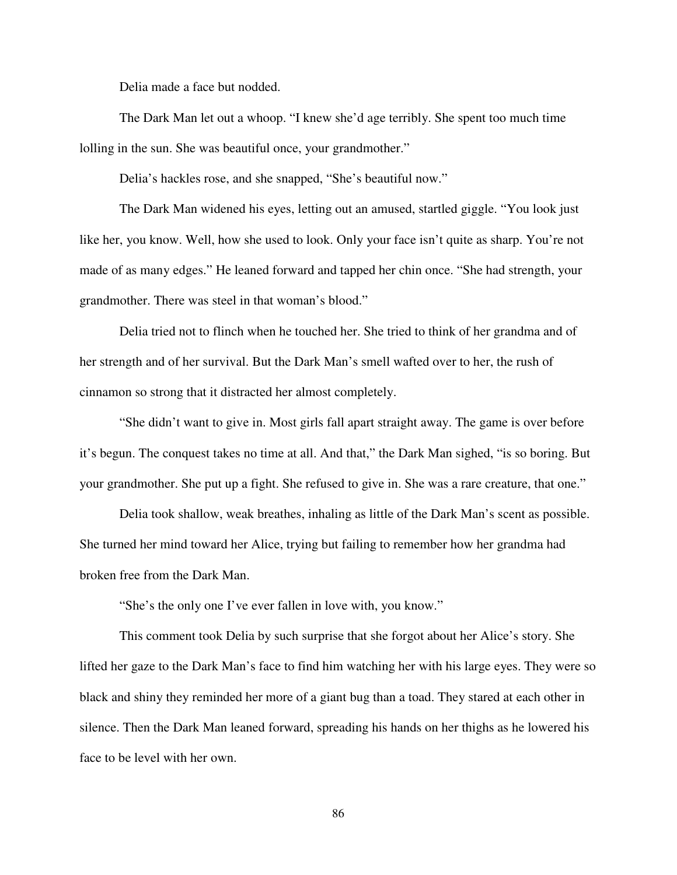Delia made a face but nodded.

The Dark Man let out a whoop. "I knew she'd age terribly. She spent too much time lolling in the sun. She was beautiful once, your grandmother."

Delia's hackles rose, and she snapped, "She's beautiful now."

The Dark Man widened his eyes, letting out an amused, startled giggle. "You look just like her, you know. Well, how she used to look. Only your face isn't quite as sharp. You're not made of as many edges." He leaned forward and tapped her chin once. "She had strength, your grandmother. There was steel in that woman's blood."

Delia tried not to flinch when he touched her. She tried to think of her grandma and of her strength and of her survival. But the Dark Man's smell wafted over to her, the rush of cinnamon so strong that it distracted her almost completely.

"She didn't want to give in. Most girls fall apart straight away. The game is over before it's begun. The conquest takes no time at all. And that," the Dark Man sighed, "is so boring. But your grandmother. She put up a fight. She refused to give in. She was a rare creature, that one."

Delia took shallow, weak breathes, inhaling as little of the Dark Man's scent as possible. She turned her mind toward her Alice, trying but failing to remember how her grandma had broken free from the Dark Man.

"She's the only one I've ever fallen in love with, you know."

This comment took Delia by such surprise that she forgot about her Alice's story. She lifted her gaze to the Dark Man's face to find him watching her with his large eyes. They were so black and shiny they reminded her more of a giant bug than a toad. They stared at each other in silence. Then the Dark Man leaned forward, spreading his hands on her thighs as he lowered his face to be level with her own.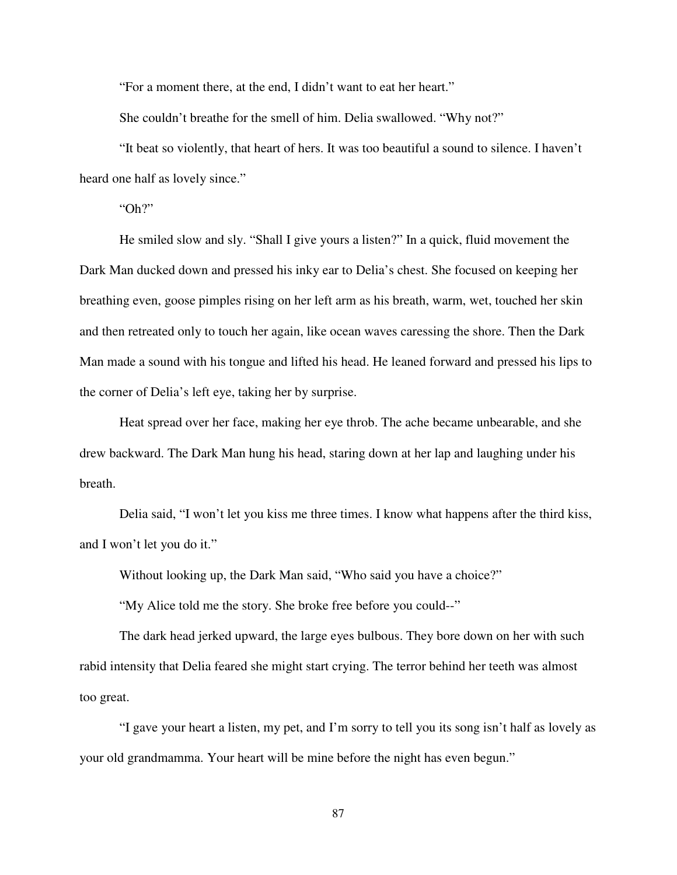"For a moment there, at the end, I didn't want to eat her heart."

She couldn't breathe for the smell of him. Delia swallowed. "Why not?"

"It beat so violently, that heart of hers. It was too beautiful a sound to silence. I haven't heard one half as lovely since."

"Oh?"

He smiled slow and sly. "Shall I give yours a listen?" In a quick, fluid movement the Dark Man ducked down and pressed his inky ear to Delia's chest. She focused on keeping her breathing even, goose pimples rising on her left arm as his breath, warm, wet, touched her skin and then retreated only to touch her again, like ocean waves caressing the shore. Then the Dark Man made a sound with his tongue and lifted his head. He leaned forward and pressed his lips to the corner of Delia's left eye, taking her by surprise.

Heat spread over her face, making her eye throb. The ache became unbearable, and she drew backward. The Dark Man hung his head, staring down at her lap and laughing under his breath.

Delia said, "I won't let you kiss me three times. I know what happens after the third kiss, and I won't let you do it."

Without looking up, the Dark Man said, "Who said you have a choice?"

"My Alice told me the story. She broke free before you could--"

The dark head jerked upward, the large eyes bulbous. They bore down on her with such rabid intensity that Delia feared she might start crying. The terror behind her teeth was almost too great.

"I gave your heart a listen, my pet, and I'm sorry to tell you its song isn't half as lovely as your old grandmamma. Your heart will be mine before the night has even begun."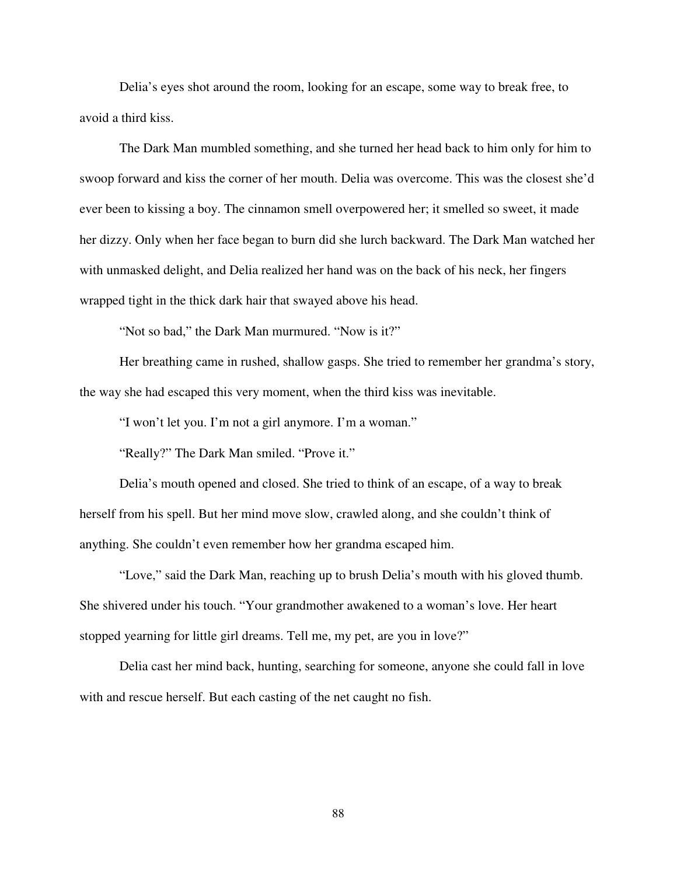Delia's eyes shot around the room, looking for an escape, some way to break free, to avoid a third kiss.

The Dark Man mumbled something, and she turned her head back to him only for him to swoop forward and kiss the corner of her mouth. Delia was overcome. This was the closest she'd ever been to kissing a boy. The cinnamon smell overpowered her; it smelled so sweet, it made her dizzy. Only when her face began to burn did she lurch backward. The Dark Man watched her with unmasked delight, and Delia realized her hand was on the back of his neck, her fingers wrapped tight in the thick dark hair that swayed above his head.

"Not so bad," the Dark Man murmured. "Now is it?"

Her breathing came in rushed, shallow gasps. She tried to remember her grandma's story, the way she had escaped this very moment, when the third kiss was inevitable.

"I won't let you. I'm not a girl anymore. I'm a woman."

"Really?" The Dark Man smiled. "Prove it."

Delia's mouth opened and closed. She tried to think of an escape, of a way to break herself from his spell. But her mind move slow, crawled along, and she couldn't think of anything. She couldn't even remember how her grandma escaped him.

"Love," said the Dark Man, reaching up to brush Delia's mouth with his gloved thumb. She shivered under his touch. "Your grandmother awakened to a woman's love. Her heart stopped yearning for little girl dreams. Tell me, my pet, are you in love?"

Delia cast her mind back, hunting, searching for someone, anyone she could fall in love with and rescue herself. But each casting of the net caught no fish.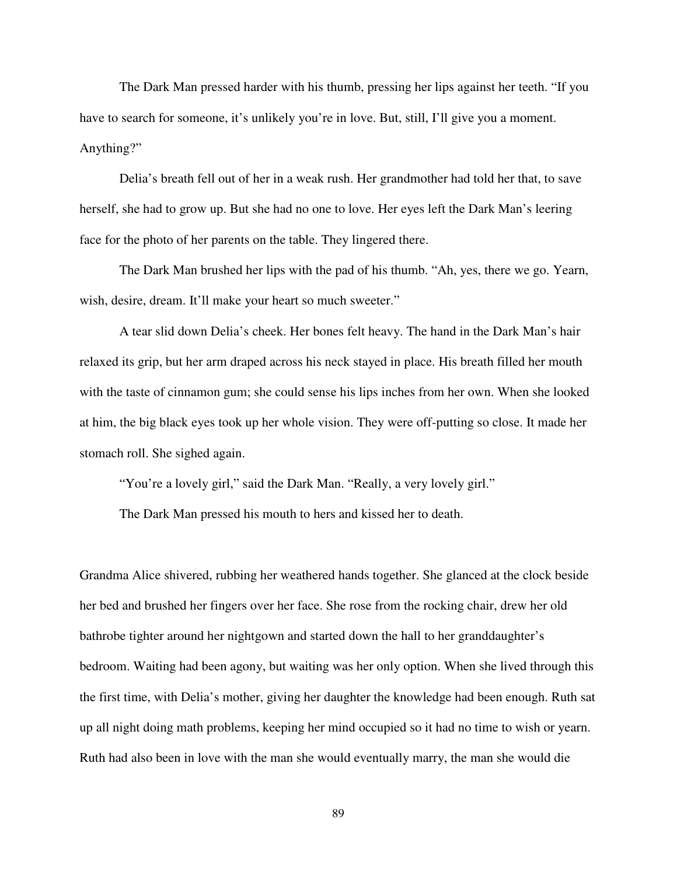The Dark Man pressed harder with his thumb, pressing her lips against her teeth. "If you have to search for someone, it's unlikely you're in love. But, still, I'll give you a moment. Anything?"

Delia's breath fell out of her in a weak rush. Her grandmother had told her that, to save herself, she had to grow up. But she had no one to love. Her eyes left the Dark Man's leering face for the photo of her parents on the table. They lingered there.

The Dark Man brushed her lips with the pad of his thumb. "Ah, yes, there we go. Yearn, wish, desire, dream. It'll make your heart so much sweeter."

A tear slid down Delia's cheek. Her bones felt heavy. The hand in the Dark Man's hair relaxed its grip, but her arm draped across his neck stayed in place. His breath filled her mouth with the taste of cinnamon gum; she could sense his lips inches from her own. When she looked at him, the big black eyes took up her whole vision. They were off-putting so close. It made her stomach roll. She sighed again.

"You're a lovely girl," said the Dark Man. "Really, a very lovely girl."

The Dark Man pressed his mouth to hers and kissed her to death.

Grandma Alice shivered, rubbing her weathered hands together. She glanced at the clock beside her bed and brushed her fingers over her face. She rose from the rocking chair, drew her old bathrobe tighter around her nightgown and started down the hall to her granddaughter's bedroom. Waiting had been agony, but waiting was her only option. When she lived through this the first time, with Delia's mother, giving her daughter the knowledge had been enough. Ruth sat up all night doing math problems, keeping her mind occupied so it had no time to wish or yearn. Ruth had also been in love with the man she would eventually marry, the man she would die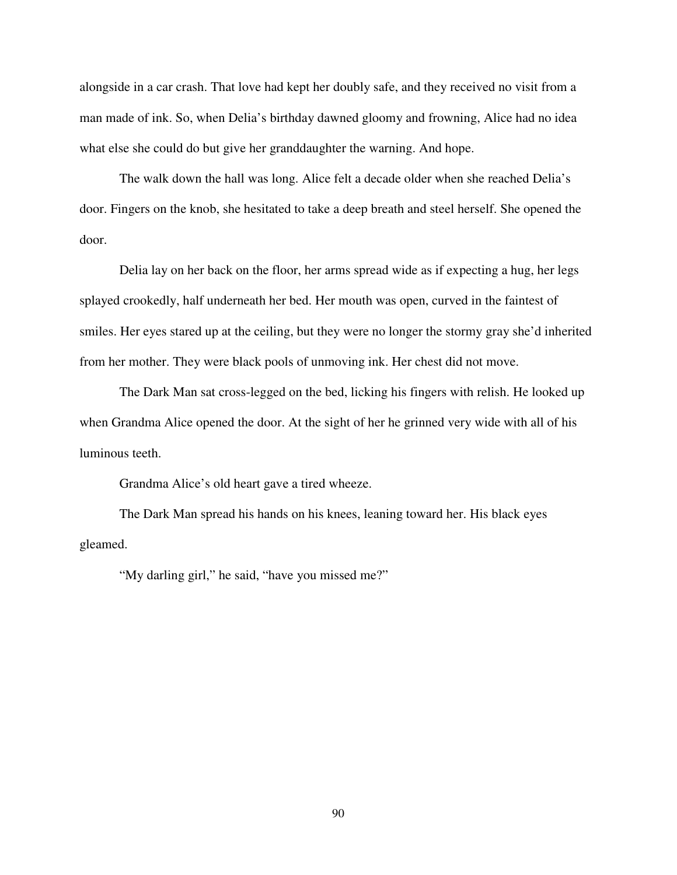alongside in a car crash. That love had kept her doubly safe, and they received no visit from a man made of ink. So, when Delia's birthday dawned gloomy and frowning, Alice had no idea what else she could do but give her granddaughter the warning. And hope.

The walk down the hall was long. Alice felt a decade older when she reached Delia's door. Fingers on the knob, she hesitated to take a deep breath and steel herself. She opened the door.

Delia lay on her back on the floor, her arms spread wide as if expecting a hug, her legs splayed crookedly, half underneath her bed. Her mouth was open, curved in the faintest of smiles. Her eyes stared up at the ceiling, but they were no longer the stormy gray she'd inherited from her mother. They were black pools of unmoving ink. Her chest did not move.

The Dark Man sat cross-legged on the bed, licking his fingers with relish. He looked up when Grandma Alice opened the door. At the sight of her he grinned very wide with all of his luminous teeth.

Grandma Alice's old heart gave a tired wheeze.

The Dark Man spread his hands on his knees, leaning toward her. His black eyes gleamed.

"My darling girl," he said, "have you missed me?"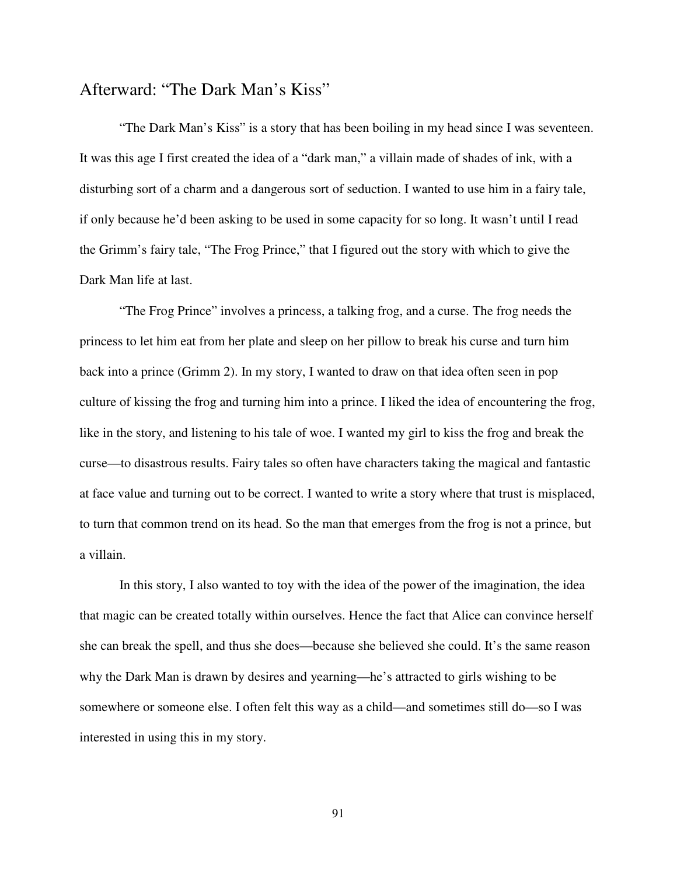## Afterward: "The Dark Man's Kiss"

 "The Dark Man's Kiss" is a story that has been boiling in my head since I was seventeen. It was this age I first created the idea of a "dark man," a villain made of shades of ink, with a disturbing sort of a charm and a dangerous sort of seduction. I wanted to use him in a fairy tale, if only because he'd been asking to be used in some capacity for so long. It wasn't until I read the Grimm's fairy tale, "The Frog Prince," that I figured out the story with which to give the Dark Man life at last.

 "The Frog Prince" involves a princess, a talking frog, and a curse. The frog needs the princess to let him eat from her plate and sleep on her pillow to break his curse and turn him back into a prince (Grimm 2). In my story, I wanted to draw on that idea often seen in pop culture of kissing the frog and turning him into a prince. I liked the idea of encountering the frog, like in the story, and listening to his tale of woe. I wanted my girl to kiss the frog and break the curse—to disastrous results. Fairy tales so often have characters taking the magical and fantastic at face value and turning out to be correct. I wanted to write a story where that trust is misplaced, to turn that common trend on its head. So the man that emerges from the frog is not a prince, but a villain.

 In this story, I also wanted to toy with the idea of the power of the imagination, the idea that magic can be created totally within ourselves. Hence the fact that Alice can convince herself she can break the spell, and thus she does—because she believed she could. It's the same reason why the Dark Man is drawn by desires and yearning—he's attracted to girls wishing to be somewhere or someone else. I often felt this way as a child—and sometimes still do—so I was interested in using this in my story.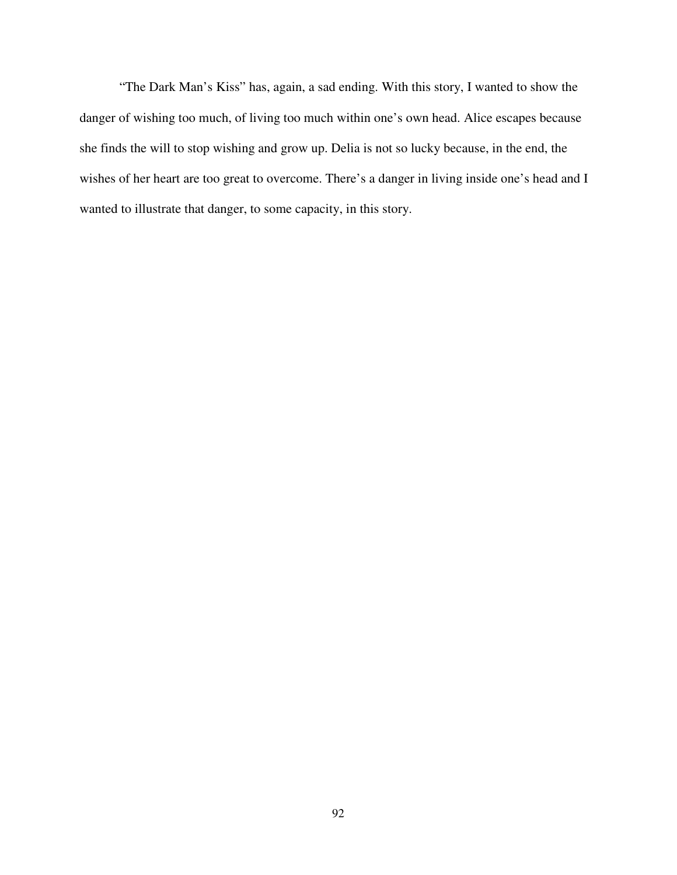"The Dark Man's Kiss" has, again, a sad ending. With this story, I wanted to show the danger of wishing too much, of living too much within one's own head. Alice escapes because she finds the will to stop wishing and grow up. Delia is not so lucky because, in the end, the wishes of her heart are too great to overcome. There's a danger in living inside one's head and I wanted to illustrate that danger, to some capacity, in this story.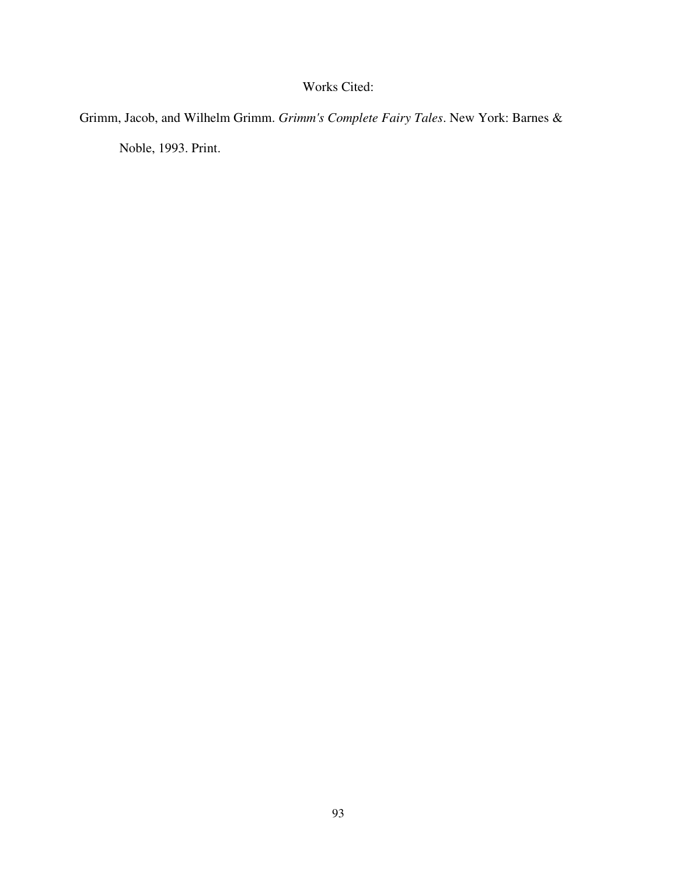## Works Cited:

Grimm, Jacob, and Wilhelm Grimm. *Grimm's Complete Fairy Tales*. New York: Barnes &

Noble, 1993. Print.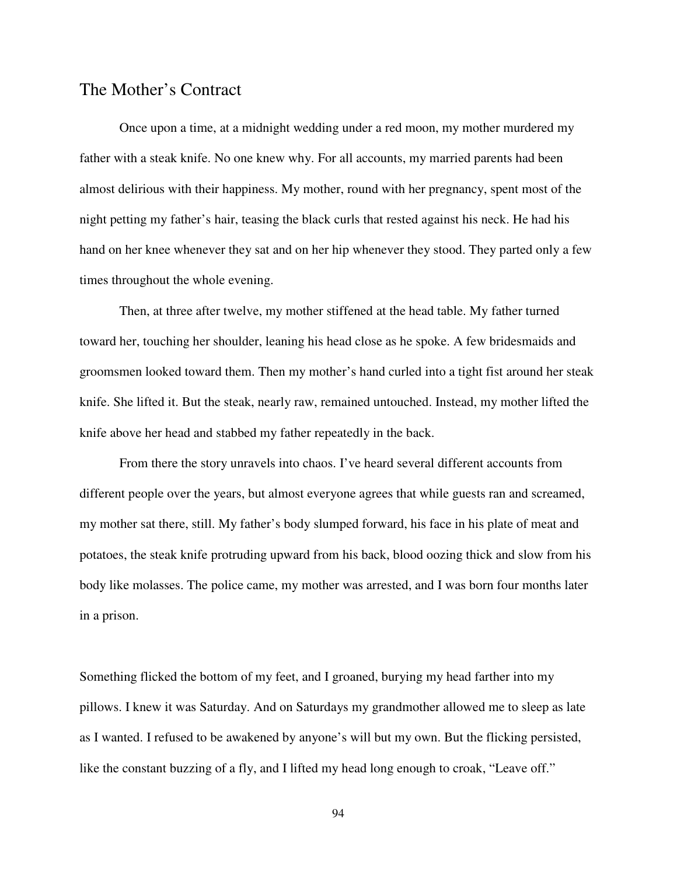## The Mother's Contract

 Once upon a time, at a midnight wedding under a red moon, my mother murdered my father with a steak knife. No one knew why. For all accounts, my married parents had been almost delirious with their happiness. My mother, round with her pregnancy, spent most of the night petting my father's hair, teasing the black curls that rested against his neck. He had his hand on her knee whenever they sat and on her hip whenever they stood. They parted only a few times throughout the whole evening.

 Then, at three after twelve, my mother stiffened at the head table. My father turned toward her, touching her shoulder, leaning his head close as he spoke. A few bridesmaids and groomsmen looked toward them. Then my mother's hand curled into a tight fist around her steak knife. She lifted it. But the steak, nearly raw, remained untouched. Instead, my mother lifted the knife above her head and stabbed my father repeatedly in the back.

 From there the story unravels into chaos. I've heard several different accounts from different people over the years, but almost everyone agrees that while guests ran and screamed, my mother sat there, still. My father's body slumped forward, his face in his plate of meat and potatoes, the steak knife protruding upward from his back, blood oozing thick and slow from his body like molasses. The police came, my mother was arrested, and I was born four months later in a prison.

Something flicked the bottom of my feet, and I groaned, burying my head farther into my pillows. I knew it was Saturday. And on Saturdays my grandmother allowed me to sleep as late as I wanted. I refused to be awakened by anyone's will but my own. But the flicking persisted, like the constant buzzing of a fly, and I lifted my head long enough to croak, "Leave off."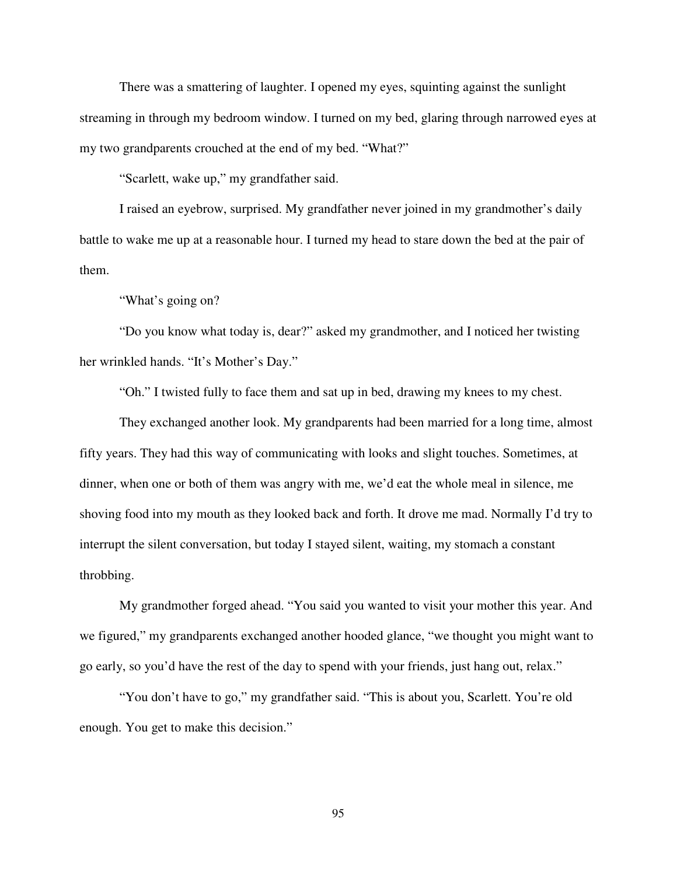There was a smattering of laughter. I opened my eyes, squinting against the sunlight streaming in through my bedroom window. I turned on my bed, glaring through narrowed eyes at my two grandparents crouched at the end of my bed. "What?"

"Scarlett, wake up," my grandfather said.

 I raised an eyebrow, surprised. My grandfather never joined in my grandmother's daily battle to wake me up at a reasonable hour. I turned my head to stare down the bed at the pair of them.

"What's going on?

 "Do you know what today is, dear?" asked my grandmother, and I noticed her twisting her wrinkled hands. "It's Mother's Day."

"Oh." I twisted fully to face them and sat up in bed, drawing my knees to my chest.

 They exchanged another look. My grandparents had been married for a long time, almost fifty years. They had this way of communicating with looks and slight touches. Sometimes, at dinner, when one or both of them was angry with me, we'd eat the whole meal in silence, me shoving food into my mouth as they looked back and forth. It drove me mad. Normally I'd try to interrupt the silent conversation, but today I stayed silent, waiting, my stomach a constant throbbing.

My grandmother forged ahead. "You said you wanted to visit your mother this year. And we figured," my grandparents exchanged another hooded glance, "we thought you might want to go early, so you'd have the rest of the day to spend with your friends, just hang out, relax."

 "You don't have to go," my grandfather said. "This is about you, Scarlett. You're old enough. You get to make this decision."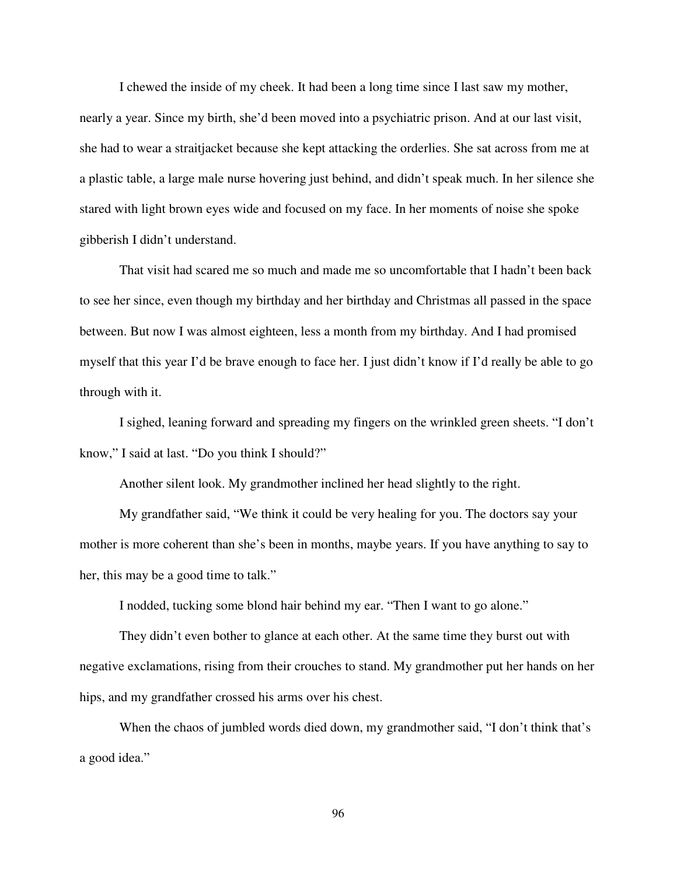I chewed the inside of my cheek. It had been a long time since I last saw my mother, nearly a year. Since my birth, she'd been moved into a psychiatric prison. And at our last visit, she had to wear a straitjacket because she kept attacking the orderlies. She sat across from me at a plastic table, a large male nurse hovering just behind, and didn't speak much. In her silence she stared with light brown eyes wide and focused on my face. In her moments of noise she spoke gibberish I didn't understand.

 That visit had scared me so much and made me so uncomfortable that I hadn't been back to see her since, even though my birthday and her birthday and Christmas all passed in the space between. But now I was almost eighteen, less a month from my birthday. And I had promised myself that this year I'd be brave enough to face her. I just didn't know if I'd really be able to go through with it.

 I sighed, leaning forward and spreading my fingers on the wrinkled green sheets. "I don't know," I said at last. "Do you think I should?"

Another silent look. My grandmother inclined her head slightly to the right.

My grandfather said, "We think it could be very healing for you. The doctors say your mother is more coherent than she's been in months, maybe years. If you have anything to say to her, this may be a good time to talk."

I nodded, tucking some blond hair behind my ear. "Then I want to go alone."

 They didn't even bother to glance at each other. At the same time they burst out with negative exclamations, rising from their crouches to stand. My grandmother put her hands on her hips, and my grandfather crossed his arms over his chest.

When the chaos of jumbled words died down, my grandmother said, "I don't think that's a good idea."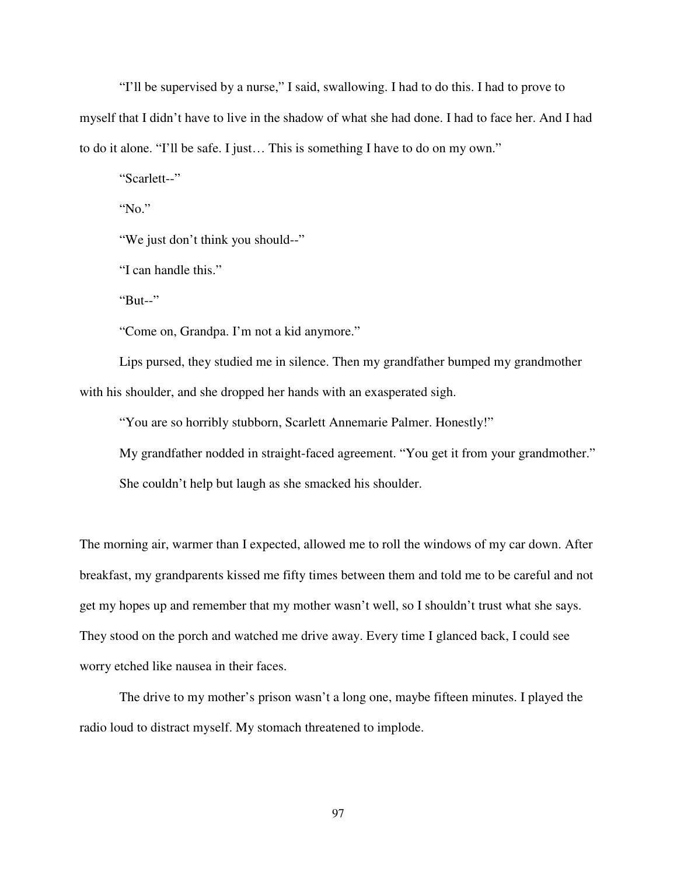"I'll be supervised by a nurse," I said, swallowing. I had to do this. I had to prove to myself that I didn't have to live in the shadow of what she had done. I had to face her. And I had to do it alone. "I'll be safe. I just… This is something I have to do on my own."

"Scarlett--"

"No."

"We just don't think you should--"

"I can handle this."

"But--"

"Come on, Grandpa. I'm not a kid anymore."

 Lips pursed, they studied me in silence. Then my grandfather bumped my grandmother with his shoulder, and she dropped her hands with an exasperated sigh.

"You are so horribly stubborn, Scarlett Annemarie Palmer. Honestly!"

My grandfather nodded in straight-faced agreement. "You get it from your grandmother."

She couldn't help but laugh as she smacked his shoulder.

The morning air, warmer than I expected, allowed me to roll the windows of my car down. After breakfast, my grandparents kissed me fifty times between them and told me to be careful and not get my hopes up and remember that my mother wasn't well, so I shouldn't trust what she says. They stood on the porch and watched me drive away. Every time I glanced back, I could see worry etched like nausea in their faces.

 The drive to my mother's prison wasn't a long one, maybe fifteen minutes. I played the radio loud to distract myself. My stomach threatened to implode.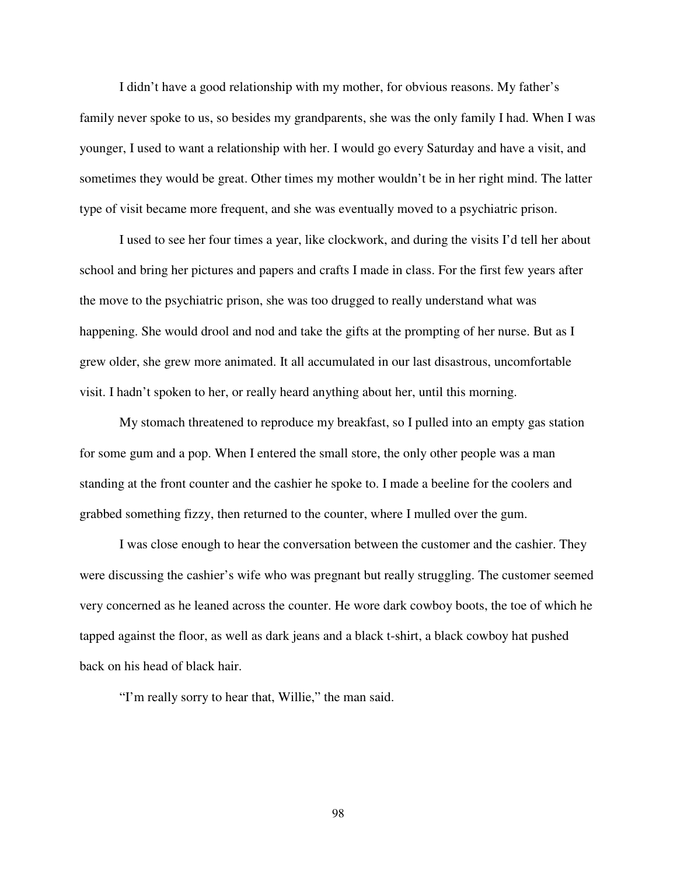I didn't have a good relationship with my mother, for obvious reasons. My father's family never spoke to us, so besides my grandparents, she was the only family I had. When I was younger, I used to want a relationship with her. I would go every Saturday and have a visit, and sometimes they would be great. Other times my mother wouldn't be in her right mind. The latter type of visit became more frequent, and she was eventually moved to a psychiatric prison.

 I used to see her four times a year, like clockwork, and during the visits I'd tell her about school and bring her pictures and papers and crafts I made in class. For the first few years after the move to the psychiatric prison, she was too drugged to really understand what was happening. She would drool and nod and take the gifts at the prompting of her nurse. But as I grew older, she grew more animated. It all accumulated in our last disastrous, uncomfortable visit. I hadn't spoken to her, or really heard anything about her, until this morning.

 My stomach threatened to reproduce my breakfast, so I pulled into an empty gas station for some gum and a pop. When I entered the small store, the only other people was a man standing at the front counter and the cashier he spoke to. I made a beeline for the coolers and grabbed something fizzy, then returned to the counter, where I mulled over the gum.

 I was close enough to hear the conversation between the customer and the cashier. They were discussing the cashier's wife who was pregnant but really struggling. The customer seemed very concerned as he leaned across the counter. He wore dark cowboy boots, the toe of which he tapped against the floor, as well as dark jeans and a black t-shirt, a black cowboy hat pushed back on his head of black hair.

"I'm really sorry to hear that, Willie," the man said.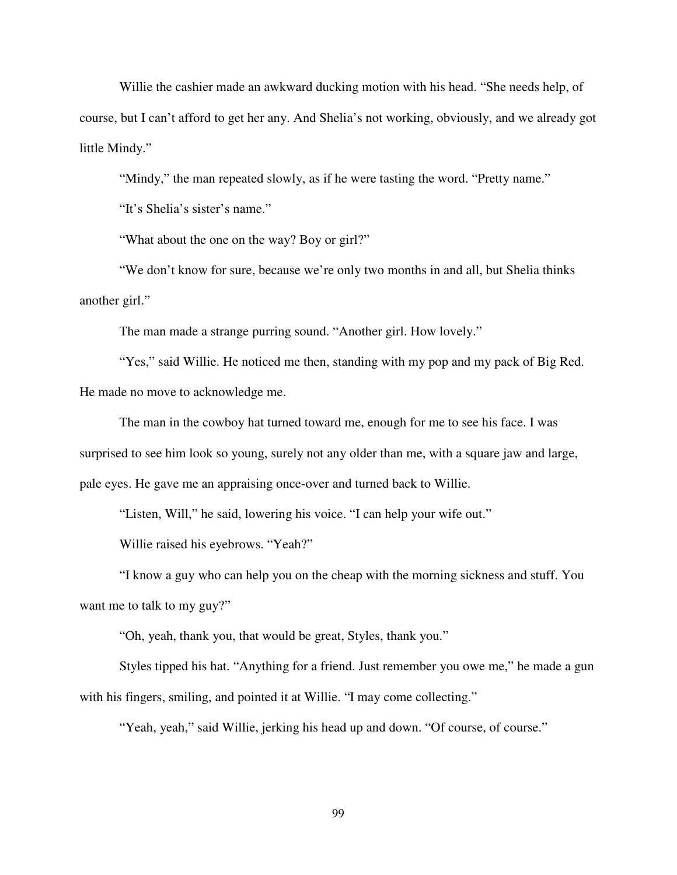Willie the cashier made an awkward ducking motion with his head. "She needs help, of course, but I can't afford to get her any. And Shelia's not working, obviously, and we already got little Mindy."

"Mindy," the man repeated slowly, as if he were tasting the word. "Pretty name."

"It's Shelia's sister's name."

"What about the one on the way? Boy or girl?"

 "We don't know for sure, because we're only two months in and all, but Shelia thinks another girl."

The man made a strange purring sound. "Another girl. How lovely."

 "Yes," said Willie. He noticed me then, standing with my pop and my pack of Big Red. He made no move to acknowledge me.

 The man in the cowboy hat turned toward me, enough for me to see his face. I was surprised to see him look so young, surely not any older than me, with a square jaw and large, pale eyes. He gave me an appraising once-over and turned back to Willie.

"Listen, Will," he said, lowering his voice. "I can help your wife out."

Willie raised his eyebrows. "Yeah?"

 "I know a guy who can help you on the cheap with the morning sickness and stuff. You want me to talk to my guy?"

"Oh, yeah, thank you, that would be great, Styles, thank you."

 Styles tipped his hat. "Anything for a friend. Just remember you owe me," he made a gun with his fingers, smiling, and pointed it at Willie. "I may come collecting."

"Yeah, yeah," said Willie, jerking his head up and down. "Of course, of course."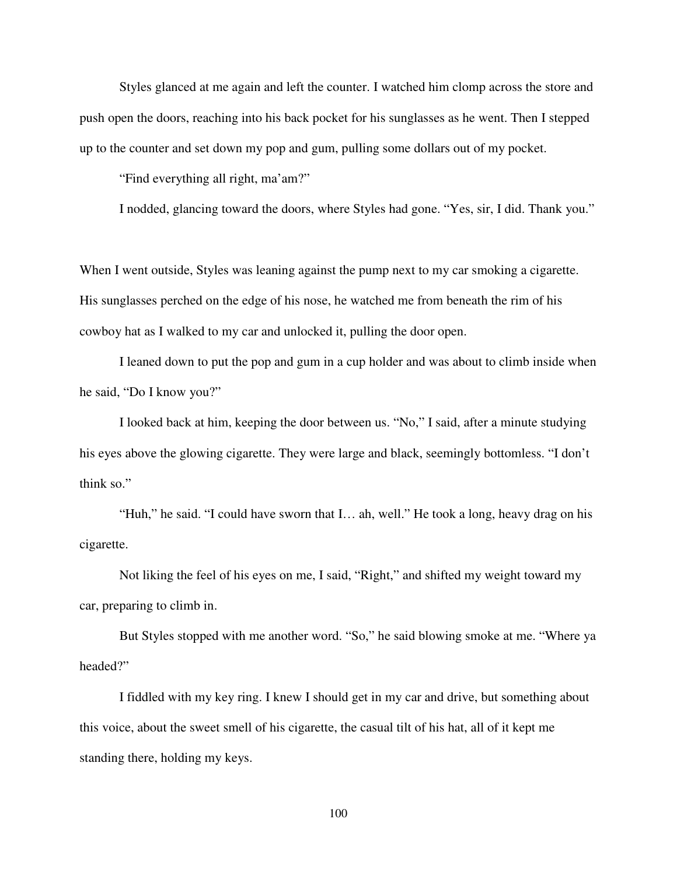Styles glanced at me again and left the counter. I watched him clomp across the store and push open the doors, reaching into his back pocket for his sunglasses as he went. Then I stepped up to the counter and set down my pop and gum, pulling some dollars out of my pocket.

"Find everything all right, ma'am?"

I nodded, glancing toward the doors, where Styles had gone. "Yes, sir, I did. Thank you."

When I went outside, Styles was leaning against the pump next to my car smoking a cigarette. His sunglasses perched on the edge of his nose, he watched me from beneath the rim of his cowboy hat as I walked to my car and unlocked it, pulling the door open.

I leaned down to put the pop and gum in a cup holder and was about to climb inside when he said, "Do I know you?"

 I looked back at him, keeping the door between us. "No," I said, after a minute studying his eyes above the glowing cigarette. They were large and black, seemingly bottomless. "I don't think so."

 "Huh," he said. "I could have sworn that I… ah, well." He took a long, heavy drag on his cigarette.

 Not liking the feel of his eyes on me, I said, "Right," and shifted my weight toward my car, preparing to climb in.

 But Styles stopped with me another word. "So," he said blowing smoke at me. "Where ya headed?"

 I fiddled with my key ring. I knew I should get in my car and drive, but something about this voice, about the sweet smell of his cigarette, the casual tilt of his hat, all of it kept me standing there, holding my keys.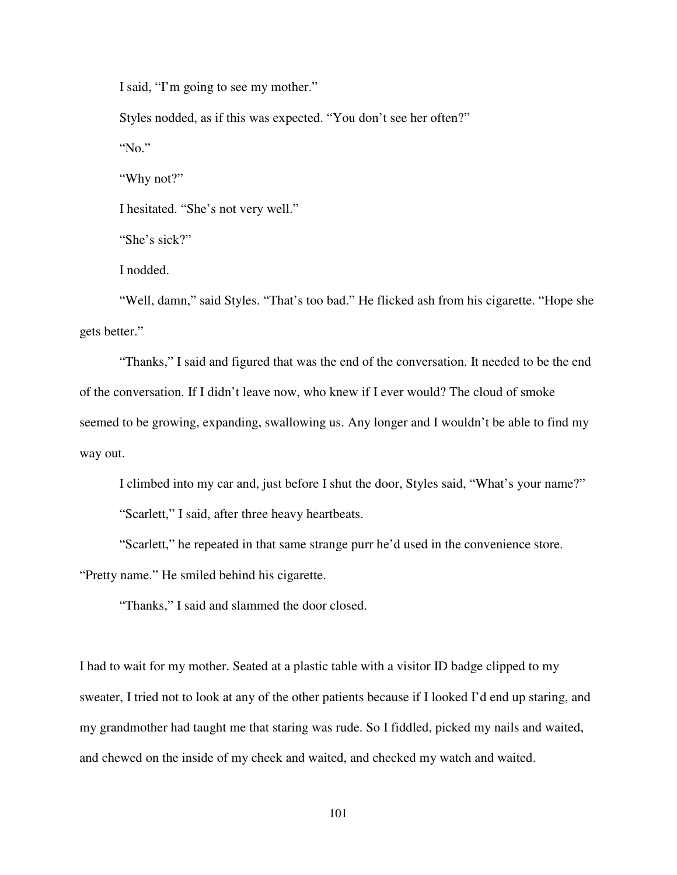I said, "I'm going to see my mother."

Styles nodded, as if this was expected. "You don't see her often?"

"No."

"Why not?"

I hesitated. "She's not very well."

"She's sick?"

I nodded.

 "Well, damn," said Styles. "That's too bad." He flicked ash from his cigarette. "Hope she gets better."

 "Thanks," I said and figured that was the end of the conversation. It needed to be the end of the conversation. If I didn't leave now, who knew if I ever would? The cloud of smoke seemed to be growing, expanding, swallowing us. Any longer and I wouldn't be able to find my way out.

I climbed into my car and, just before I shut the door, Styles said, "What's your name?"

"Scarlett," I said, after three heavy heartbeats.

"Scarlett," he repeated in that same strange purr he'd used in the convenience store.

"Pretty name." He smiled behind his cigarette.

"Thanks," I said and slammed the door closed.

I had to wait for my mother. Seated at a plastic table with a visitor ID badge clipped to my sweater, I tried not to look at any of the other patients because if I looked I'd end up staring, and my grandmother had taught me that staring was rude. So I fiddled, picked my nails and waited, and chewed on the inside of my cheek and waited, and checked my watch and waited.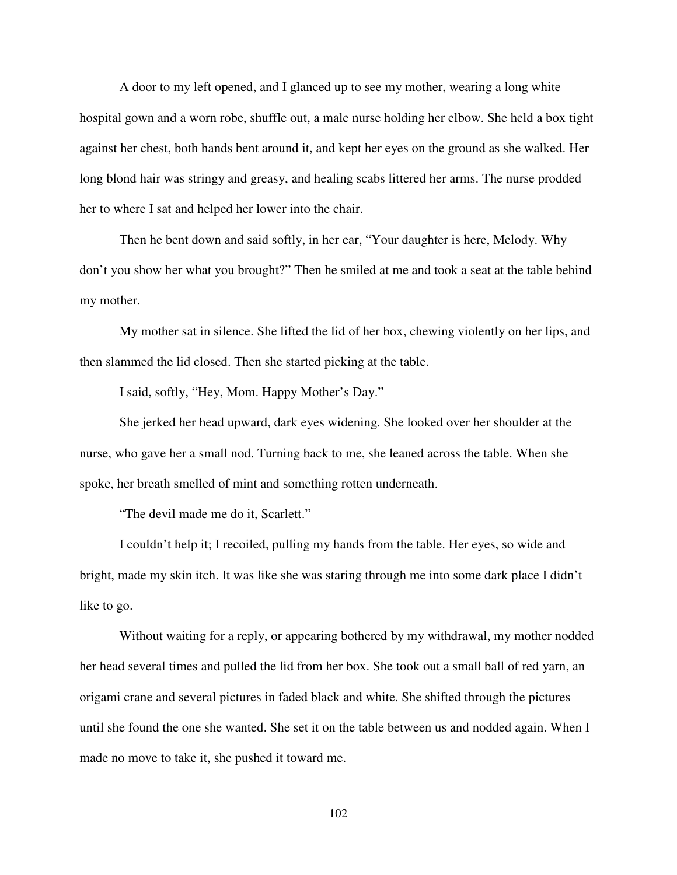A door to my left opened, and I glanced up to see my mother, wearing a long white hospital gown and a worn robe, shuffle out, a male nurse holding her elbow. She held a box tight against her chest, both hands bent around it, and kept her eyes on the ground as she walked. Her long blond hair was stringy and greasy, and healing scabs littered her arms. The nurse prodded her to where I sat and helped her lower into the chair.

Then he bent down and said softly, in her ear, "Your daughter is here, Melody. Why don't you show her what you brought?" Then he smiled at me and took a seat at the table behind my mother.

 My mother sat in silence. She lifted the lid of her box, chewing violently on her lips, and then slammed the lid closed. Then she started picking at the table.

I said, softly, "Hey, Mom. Happy Mother's Day."

 She jerked her head upward, dark eyes widening. She looked over her shoulder at the nurse, who gave her a small nod. Turning back to me, she leaned across the table. When she spoke, her breath smelled of mint and something rotten underneath.

"The devil made me do it, Scarlett."

 I couldn't help it; I recoiled, pulling my hands from the table. Her eyes, so wide and bright, made my skin itch. It was like she was staring through me into some dark place I didn't like to go.

 Without waiting for a reply, or appearing bothered by my withdrawal, my mother nodded her head several times and pulled the lid from her box. She took out a small ball of red yarn, an origami crane and several pictures in faded black and white. She shifted through the pictures until she found the one she wanted. She set it on the table between us and nodded again. When I made no move to take it, she pushed it toward me.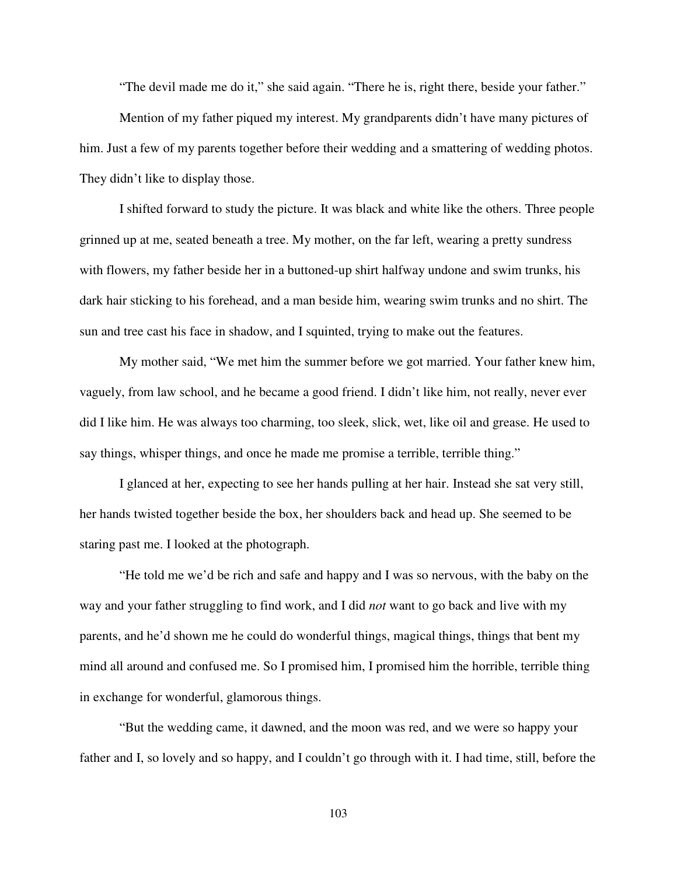"The devil made me do it," she said again. "There he is, right there, beside your father."

 Mention of my father piqued my interest. My grandparents didn't have many pictures of him. Just a few of my parents together before their wedding and a smattering of wedding photos. They didn't like to display those.

 I shifted forward to study the picture. It was black and white like the others. Three people grinned up at me, seated beneath a tree. My mother, on the far left, wearing a pretty sundress with flowers, my father beside her in a buttoned-up shirt halfway undone and swim trunks, his dark hair sticking to his forehead, and a man beside him, wearing swim trunks and no shirt. The sun and tree cast his face in shadow, and I squinted, trying to make out the features.

 My mother said, "We met him the summer before we got married. Your father knew him, vaguely, from law school, and he became a good friend. I didn't like him, not really, never ever did I like him. He was always too charming, too sleek, slick, wet, like oil and grease. He used to say things, whisper things, and once he made me promise a terrible, terrible thing."

 I glanced at her, expecting to see her hands pulling at her hair. Instead she sat very still, her hands twisted together beside the box, her shoulders back and head up. She seemed to be staring past me. I looked at the photograph.

 "He told me we'd be rich and safe and happy and I was so nervous, with the baby on the way and your father struggling to find work, and I did *not* want to go back and live with my parents, and he'd shown me he could do wonderful things, magical things, things that bent my mind all around and confused me. So I promised him, I promised him the horrible, terrible thing in exchange for wonderful, glamorous things.

 "But the wedding came, it dawned, and the moon was red, and we were so happy your father and I, so lovely and so happy, and I couldn't go through with it. I had time, still, before the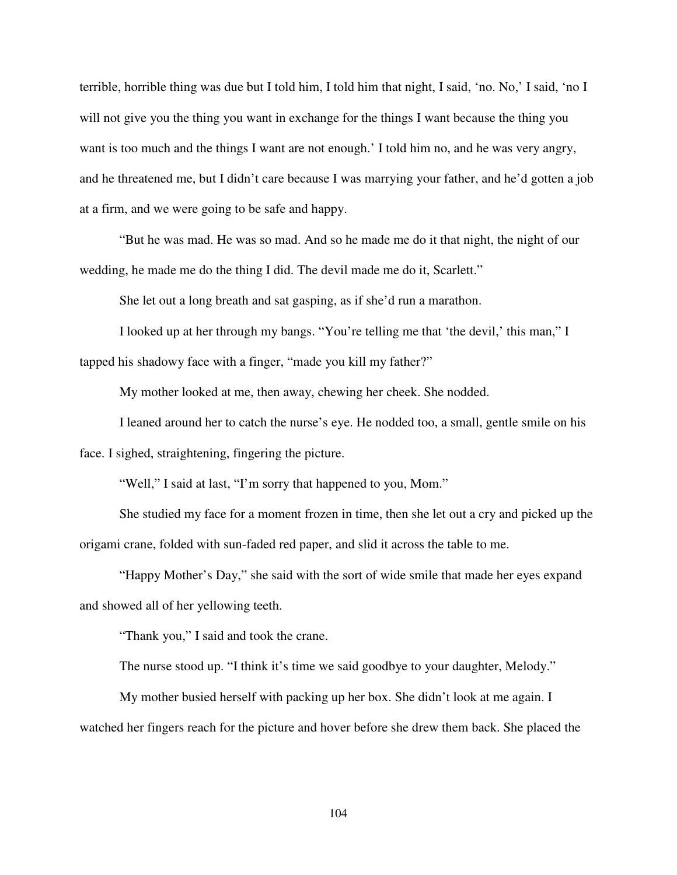terrible, horrible thing was due but I told him, I told him that night, I said, 'no. No,' I said, 'no I will not give you the thing you want in exchange for the things I want because the thing you want is too much and the things I want are not enough.' I told him no, and he was very angry, and he threatened me, but I didn't care because I was marrying your father, and he'd gotten a job at a firm, and we were going to be safe and happy.

 "But he was mad. He was so mad. And so he made me do it that night, the night of our wedding, he made me do the thing I did. The devil made me do it, Scarlett."

She let out a long breath and sat gasping, as if she'd run a marathon.

 I looked up at her through my bangs. "You're telling me that 'the devil,' this man," I tapped his shadowy face with a finger, "made you kill my father?"

My mother looked at me, then away, chewing her cheek. She nodded.

 I leaned around her to catch the nurse's eye. He nodded too, a small, gentle smile on his face. I sighed, straightening, fingering the picture.

"Well," I said at last, "I'm sorry that happened to you, Mom."

 She studied my face for a moment frozen in time, then she let out a cry and picked up the origami crane, folded with sun-faded red paper, and slid it across the table to me.

"Happy Mother's Day," she said with the sort of wide smile that made her eyes expand and showed all of her yellowing teeth.

"Thank you," I said and took the crane.

The nurse stood up. "I think it's time we said goodbye to your daughter, Melody."

 My mother busied herself with packing up her box. She didn't look at me again. I watched her fingers reach for the picture and hover before she drew them back. She placed the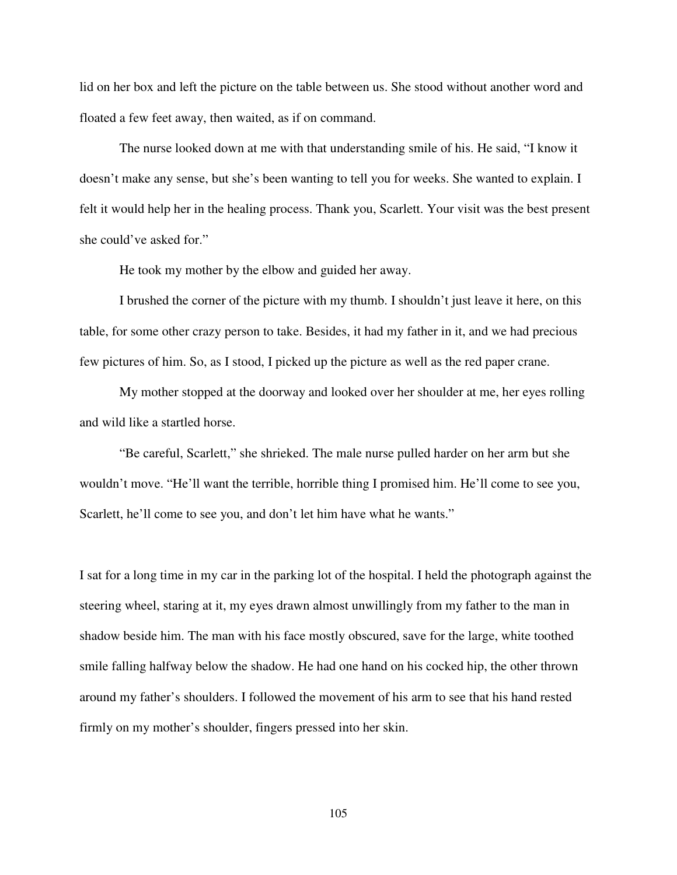lid on her box and left the picture on the table between us. She stood without another word and floated a few feet away, then waited, as if on command.

 The nurse looked down at me with that understanding smile of his. He said, "I know it doesn't make any sense, but she's been wanting to tell you for weeks. She wanted to explain. I felt it would help her in the healing process. Thank you, Scarlett. Your visit was the best present she could've asked for."

He took my mother by the elbow and guided her away.

 I brushed the corner of the picture with my thumb. I shouldn't just leave it here, on this table, for some other crazy person to take. Besides, it had my father in it, and we had precious few pictures of him. So, as I stood, I picked up the picture as well as the red paper crane.

 My mother stopped at the doorway and looked over her shoulder at me, her eyes rolling and wild like a startled horse.

"Be careful, Scarlett," she shrieked. The male nurse pulled harder on her arm but she wouldn't move. "He'll want the terrible, horrible thing I promised him. He'll come to see you, Scarlett, he'll come to see you, and don't let him have what he wants."

I sat for a long time in my car in the parking lot of the hospital. I held the photograph against the steering wheel, staring at it, my eyes drawn almost unwillingly from my father to the man in shadow beside him. The man with his face mostly obscured, save for the large, white toothed smile falling halfway below the shadow. He had one hand on his cocked hip, the other thrown around my father's shoulders. I followed the movement of his arm to see that his hand rested firmly on my mother's shoulder, fingers pressed into her skin.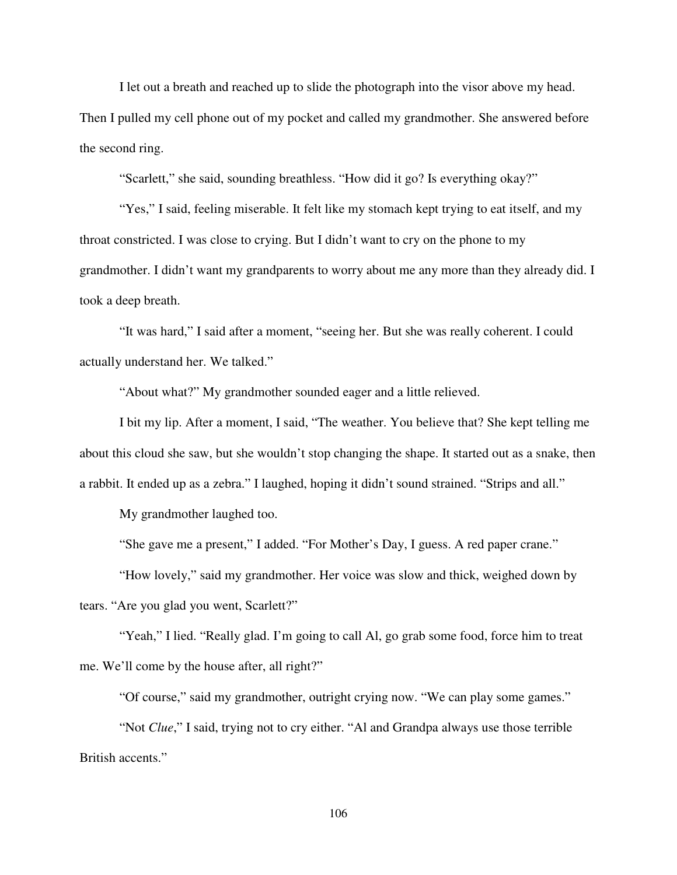I let out a breath and reached up to slide the photograph into the visor above my head.

Then I pulled my cell phone out of my pocket and called my grandmother. She answered before the second ring.

"Scarlett," she said, sounding breathless. "How did it go? Is everything okay?"

 "Yes," I said, feeling miserable. It felt like my stomach kept trying to eat itself, and my throat constricted. I was close to crying. But I didn't want to cry on the phone to my grandmother. I didn't want my grandparents to worry about me any more than they already did. I took a deep breath.

"It was hard," I said after a moment, "seeing her. But she was really coherent. I could actually understand her. We talked."

"About what?" My grandmother sounded eager and a little relieved.

 I bit my lip. After a moment, I said, "The weather. You believe that? She kept telling me about this cloud she saw, but she wouldn't stop changing the shape. It started out as a snake, then a rabbit. It ended up as a zebra." I laughed, hoping it didn't sound strained. "Strips and all."

My grandmother laughed too.

"She gave me a present," I added. "For Mother's Day, I guess. A red paper crane."

"How lovely," said my grandmother. Her voice was slow and thick, weighed down by

tears. "Are you glad you went, Scarlett?"

 "Yeah," I lied. "Really glad. I'm going to call Al, go grab some food, force him to treat me. We'll come by the house after, all right?"

"Of course," said my grandmother, outright crying now. "We can play some games."

 "Not *Clue*," I said, trying not to cry either. "Al and Grandpa always use those terrible British accents."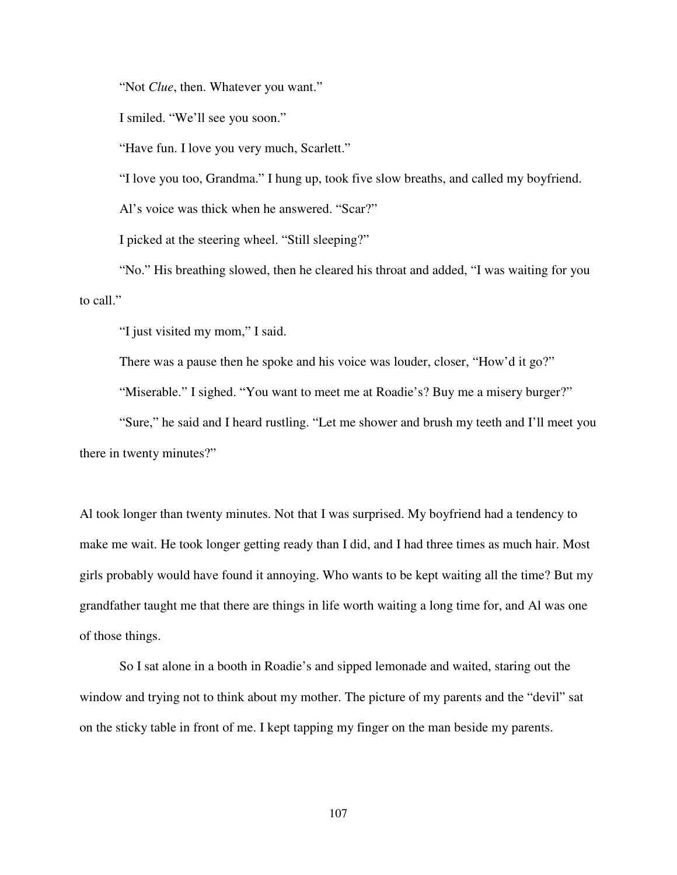"Not *Clue*, then. Whatever you want."

I smiled. "We'll see you soon."

"Have fun. I love you very much, Scarlett."

"I love you too, Grandma." I hung up, took five slow breaths, and called my boyfriend.

Al's voice was thick when he answered. "Scar?"

I picked at the steering wheel. "Still sleeping?"

 "No." His breathing slowed, then he cleared his throat and added, "I was waiting for you to call."

"I just visited my mom," I said.

There was a pause then he spoke and his voice was louder, closer, "How'd it go?"

"Miserable." I sighed. "You want to meet me at Roadie's? Buy me a misery burger?"

 "Sure," he said and I heard rustling. "Let me shower and brush my teeth and I'll meet you there in twenty minutes?"

Al took longer than twenty minutes. Not that I was surprised. My boyfriend had a tendency to make me wait. He took longer getting ready than I did, and I had three times as much hair. Most girls probably would have found it annoying. Who wants to be kept waiting all the time? But my grandfather taught me that there are things in life worth waiting a long time for, and Al was one of those things.

 So I sat alone in a booth in Roadie's and sipped lemonade and waited, staring out the window and trying not to think about my mother. The picture of my parents and the "devil" sat on the sticky table in front of me. I kept tapping my finger on the man beside my parents.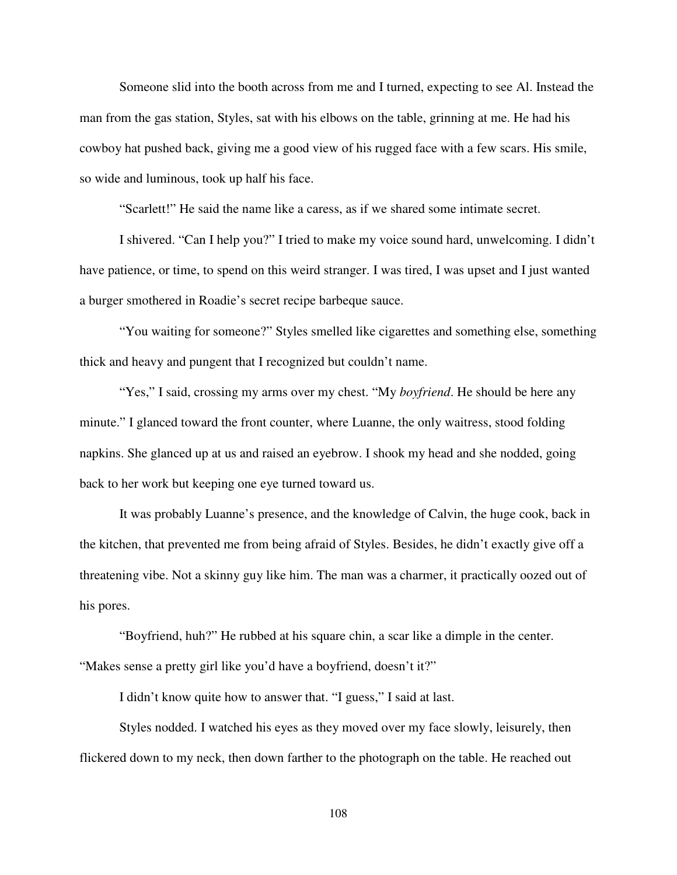Someone slid into the booth across from me and I turned, expecting to see Al. Instead the man from the gas station, Styles, sat with his elbows on the table, grinning at me. He had his cowboy hat pushed back, giving me a good view of his rugged face with a few scars. His smile, so wide and luminous, took up half his face.

"Scarlett!" He said the name like a caress, as if we shared some intimate secret.

 I shivered. "Can I help you?" I tried to make my voice sound hard, unwelcoming. I didn't have patience, or time, to spend on this weird stranger. I was tired, I was upset and I just wanted a burger smothered in Roadie's secret recipe barbeque sauce.

 "You waiting for someone?" Styles smelled like cigarettes and something else, something thick and heavy and pungent that I recognized but couldn't name.

 "Yes," I said, crossing my arms over my chest. "My *boyfriend*. He should be here any minute." I glanced toward the front counter, where Luanne, the only waitress, stood folding napkins. She glanced up at us and raised an eyebrow. I shook my head and she nodded, going back to her work but keeping one eye turned toward us.

 It was probably Luanne's presence, and the knowledge of Calvin, the huge cook, back in the kitchen, that prevented me from being afraid of Styles. Besides, he didn't exactly give off a threatening vibe. Not a skinny guy like him. The man was a charmer, it practically oozed out of his pores.

"Boyfriend, huh?" He rubbed at his square chin, a scar like a dimple in the center. "Makes sense a pretty girl like you'd have a boyfriend, doesn't it?"

I didn't know quite how to answer that. "I guess," I said at last.

Styles nodded. I watched his eyes as they moved over my face slowly, leisurely, then flickered down to my neck, then down farther to the photograph on the table. He reached out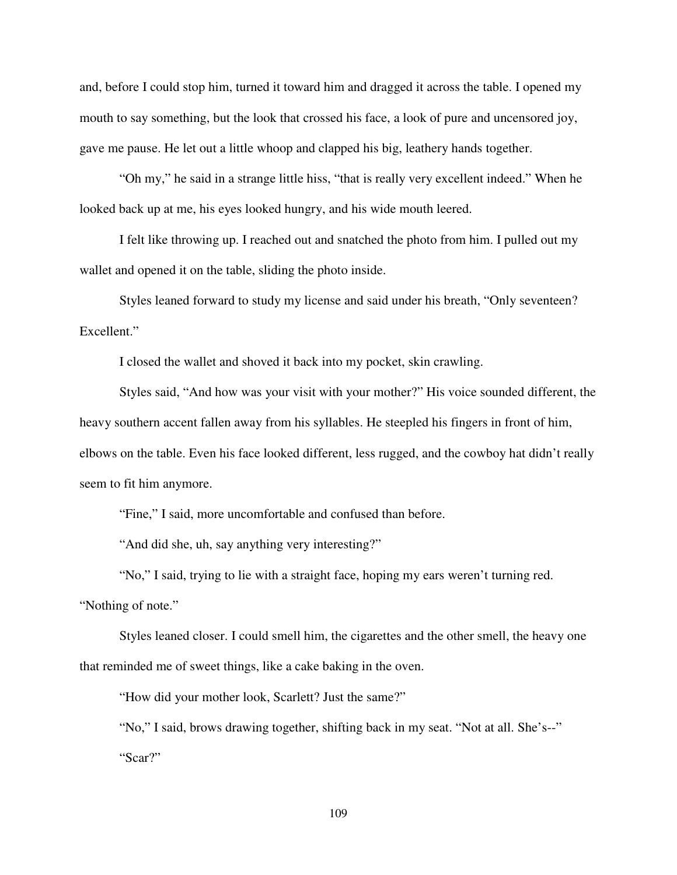and, before I could stop him, turned it toward him and dragged it across the table. I opened my mouth to say something, but the look that crossed his face, a look of pure and uncensored joy, gave me pause. He let out a little whoop and clapped his big, leathery hands together.

"Oh my," he said in a strange little hiss, "that is really very excellent indeed." When he looked back up at me, his eyes looked hungry, and his wide mouth leered.

I felt like throwing up. I reached out and snatched the photo from him. I pulled out my wallet and opened it on the table, sliding the photo inside.

Styles leaned forward to study my license and said under his breath, "Only seventeen? Excellent."

I closed the wallet and shoved it back into my pocket, skin crawling.

Styles said, "And how was your visit with your mother?" His voice sounded different, the heavy southern accent fallen away from his syllables. He steepled his fingers in front of him, elbows on the table. Even his face looked different, less rugged, and the cowboy hat didn't really seem to fit him anymore.

"Fine," I said, more uncomfortable and confused than before.

"And did she, uh, say anything very interesting?"

"No," I said, trying to lie with a straight face, hoping my ears weren't turning red.

"Nothing of note."

Styles leaned closer. I could smell him, the cigarettes and the other smell, the heavy one that reminded me of sweet things, like a cake baking in the oven.

"How did your mother look, Scarlett? Just the same?"

"No," I said, brows drawing together, shifting back in my seat. "Not at all. She's--" "Scar?"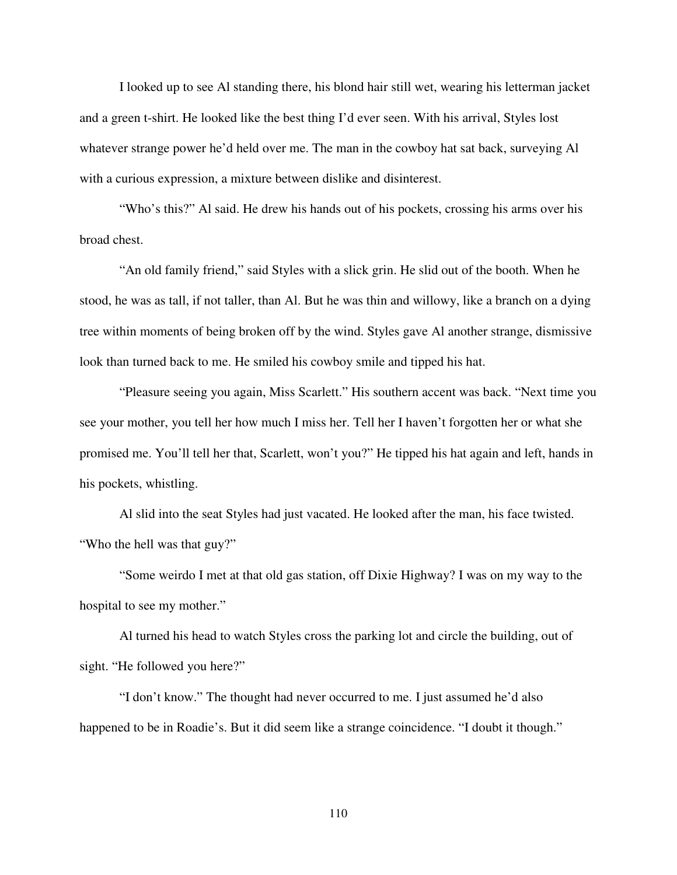I looked up to see Al standing there, his blond hair still wet, wearing his letterman jacket and a green t-shirt. He looked like the best thing I'd ever seen. With his arrival, Styles lost whatever strange power he'd held over me. The man in the cowboy hat sat back, surveying Al with a curious expression, a mixture between dislike and disinterest.

"Who's this?" Al said. He drew his hands out of his pockets, crossing his arms over his broad chest.

"An old family friend," said Styles with a slick grin. He slid out of the booth. When he stood, he was as tall, if not taller, than Al. But he was thin and willowy, like a branch on a dying tree within moments of being broken off by the wind. Styles gave Al another strange, dismissive look than turned back to me. He smiled his cowboy smile and tipped his hat.

"Pleasure seeing you again, Miss Scarlett." His southern accent was back. "Next time you see your mother, you tell her how much I miss her. Tell her I haven't forgotten her or what she promised me. You'll tell her that, Scarlett, won't you?" He tipped his hat again and left, hands in his pockets, whistling.

Al slid into the seat Styles had just vacated. He looked after the man, his face twisted. "Who the hell was that guy?"

"Some weirdo I met at that old gas station, off Dixie Highway? I was on my way to the hospital to see my mother."

Al turned his head to watch Styles cross the parking lot and circle the building, out of sight. "He followed you here?"

"I don't know." The thought had never occurred to me. I just assumed he'd also happened to be in Roadie's. But it did seem like a strange coincidence. "I doubt it though."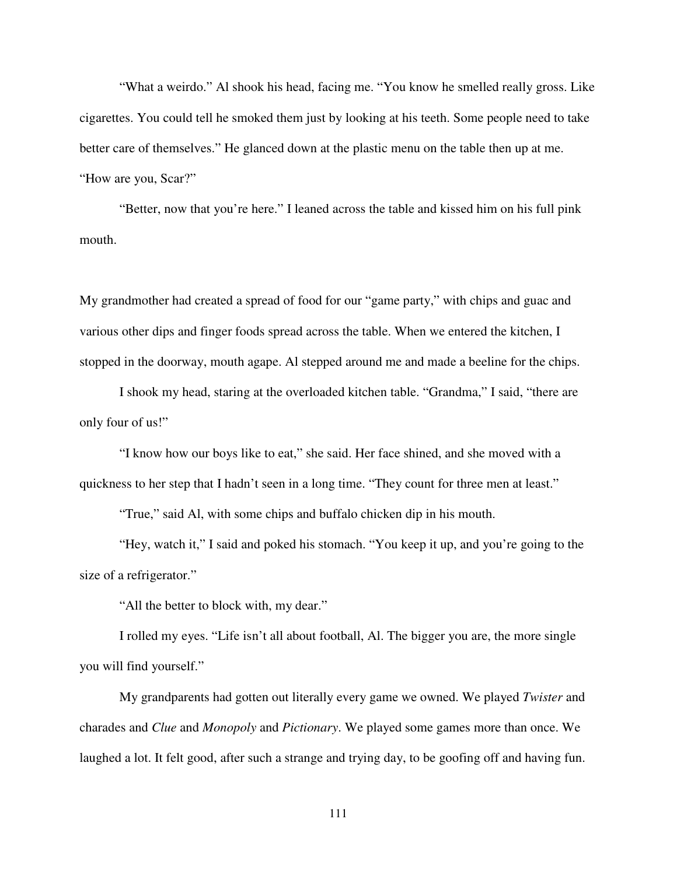"What a weirdo." Al shook his head, facing me. "You know he smelled really gross. Like cigarettes. You could tell he smoked them just by looking at his teeth. Some people need to take better care of themselves." He glanced down at the plastic menu on the table then up at me. "How are you, Scar?"

"Better, now that you're here." I leaned across the table and kissed him on his full pink mouth.

My grandmother had created a spread of food for our "game party," with chips and guac and various other dips and finger foods spread across the table. When we entered the kitchen, I stopped in the doorway, mouth agape. Al stepped around me and made a beeline for the chips.

I shook my head, staring at the overloaded kitchen table. "Grandma," I said, "there are only four of us!"

"I know how our boys like to eat," she said. Her face shined, and she moved with a quickness to her step that I hadn't seen in a long time. "They count for three men at least."

"True," said Al, with some chips and buffalo chicken dip in his mouth.

"Hey, watch it," I said and poked his stomach. "You keep it up, and you're going to the size of a refrigerator."

"All the better to block with, my dear."

I rolled my eyes. "Life isn't all about football, Al. The bigger you are, the more single you will find yourself."

My grandparents had gotten out literally every game we owned. We played *Twister* and charades and *Clue* and *Monopoly* and *Pictionary*. We played some games more than once. We laughed a lot. It felt good, after such a strange and trying day, to be goofing off and having fun.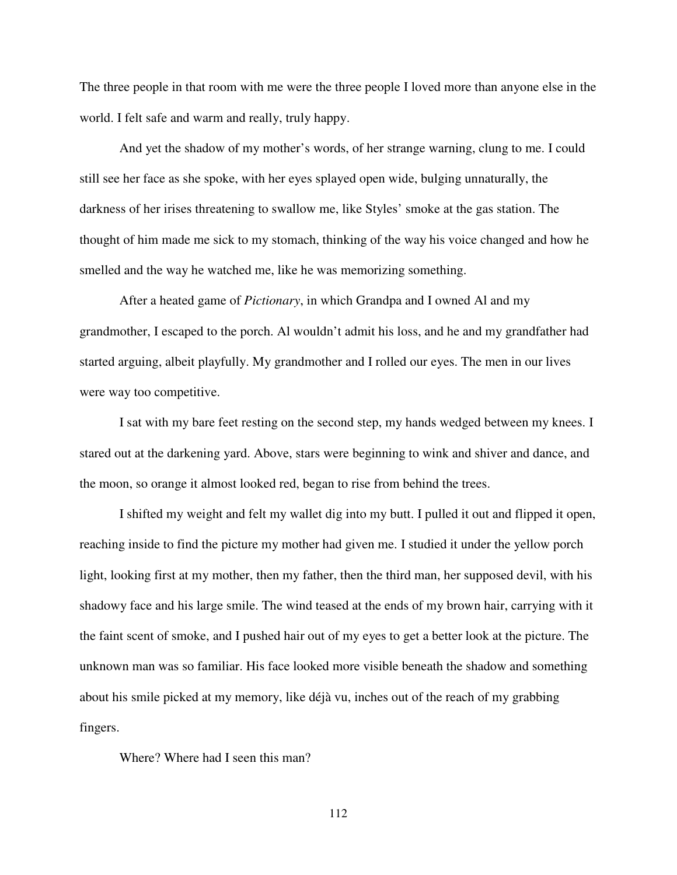The three people in that room with me were the three people I loved more than anyone else in the world. I felt safe and warm and really, truly happy.

And yet the shadow of my mother's words, of her strange warning, clung to me. I could still see her face as she spoke, with her eyes splayed open wide, bulging unnaturally, the darkness of her irises threatening to swallow me, like Styles' smoke at the gas station. The thought of him made me sick to my stomach, thinking of the way his voice changed and how he smelled and the way he watched me, like he was memorizing something.

After a heated game of *Pictionary*, in which Grandpa and I owned Al and my grandmother, I escaped to the porch. Al wouldn't admit his loss, and he and my grandfather had started arguing, albeit playfully. My grandmother and I rolled our eyes. The men in our lives were way too competitive.

I sat with my bare feet resting on the second step, my hands wedged between my knees. I stared out at the darkening yard. Above, stars were beginning to wink and shiver and dance, and the moon, so orange it almost looked red, began to rise from behind the trees.

I shifted my weight and felt my wallet dig into my butt. I pulled it out and flipped it open, reaching inside to find the picture my mother had given me. I studied it under the yellow porch light, looking first at my mother, then my father, then the third man, her supposed devil, with his shadowy face and his large smile. The wind teased at the ends of my brown hair, carrying with it the faint scent of smoke, and I pushed hair out of my eyes to get a better look at the picture. The unknown man was so familiar. His face looked more visible beneath the shadow and something about his smile picked at my memory, like déjà vu, inches out of the reach of my grabbing fingers.

Where? Where had I seen this man?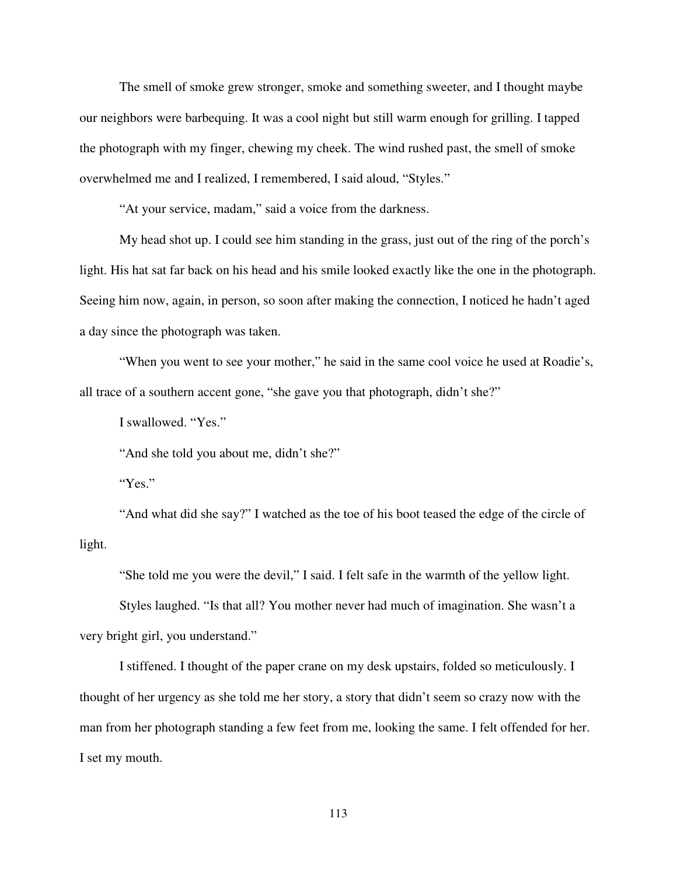The smell of smoke grew stronger, smoke and something sweeter, and I thought maybe our neighbors were barbequing. It was a cool night but still warm enough for grilling. I tapped the photograph with my finger, chewing my cheek. The wind rushed past, the smell of smoke overwhelmed me and I realized, I remembered, I said aloud, "Styles."

"At your service, madam," said a voice from the darkness.

My head shot up. I could see him standing in the grass, just out of the ring of the porch's light. His hat sat far back on his head and his smile looked exactly like the one in the photograph. Seeing him now, again, in person, so soon after making the connection, I noticed he hadn't aged a day since the photograph was taken.

"When you went to see your mother," he said in the same cool voice he used at Roadie's, all trace of a southern accent gone, "she gave you that photograph, didn't she?"

I swallowed. "Yes."

"And she told you about me, didn't she?"

"Yes."

"And what did she say?" I watched as the toe of his boot teased the edge of the circle of light.

"She told me you were the devil," I said. I felt safe in the warmth of the yellow light.

Styles laughed. "Is that all? You mother never had much of imagination. She wasn't a very bright girl, you understand."

I stiffened. I thought of the paper crane on my desk upstairs, folded so meticulously. I thought of her urgency as she told me her story, a story that didn't seem so crazy now with the man from her photograph standing a few feet from me, looking the same. I felt offended for her. I set my mouth.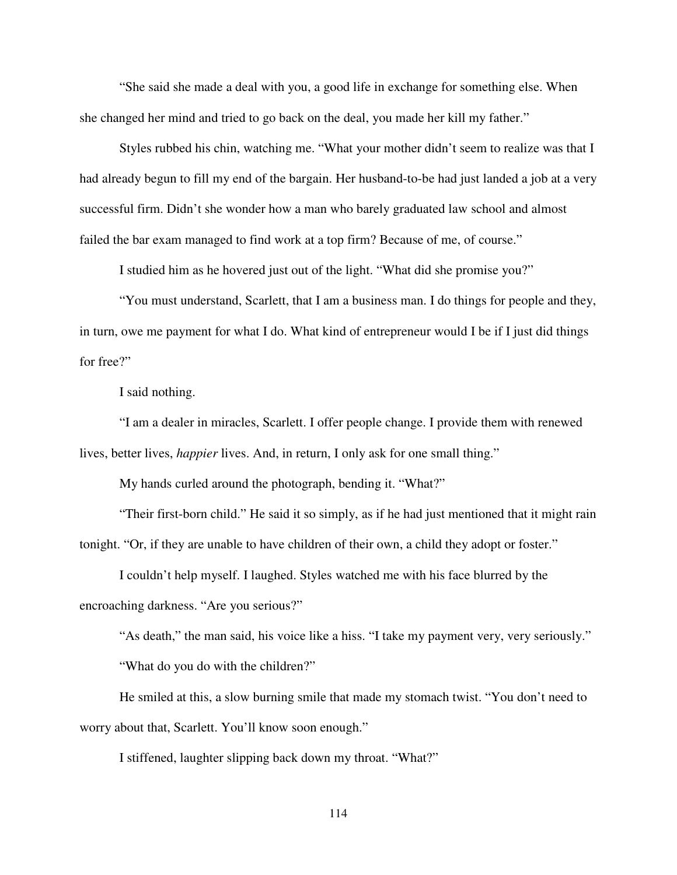"She said she made a deal with you, a good life in exchange for something else. When she changed her mind and tried to go back on the deal, you made her kill my father."

Styles rubbed his chin, watching me. "What your mother didn't seem to realize was that I had already begun to fill my end of the bargain. Her husband-to-be had just landed a job at a very successful firm. Didn't she wonder how a man who barely graduated law school and almost failed the bar exam managed to find work at a top firm? Because of me, of course."

I studied him as he hovered just out of the light. "What did she promise you?"

"You must understand, Scarlett, that I am a business man. I do things for people and they, in turn, owe me payment for what I do. What kind of entrepreneur would I be if I just did things for free?"

I said nothing.

"I am a dealer in miracles, Scarlett. I offer people change. I provide them with renewed lives, better lives, *happier* lives. And, in return, I only ask for one small thing."

My hands curled around the photograph, bending it. "What?"

"Their first-born child." He said it so simply, as if he had just mentioned that it might rain tonight. "Or, if they are unable to have children of their own, a child they adopt or foster."

I couldn't help myself. I laughed. Styles watched me with his face blurred by the encroaching darkness. "Are you serious?"

"As death," the man said, his voice like a hiss. "I take my payment very, very seriously."

"What do you do with the children?"

He smiled at this, a slow burning smile that made my stomach twist. "You don't need to worry about that, Scarlett. You'll know soon enough."

I stiffened, laughter slipping back down my throat. "What?"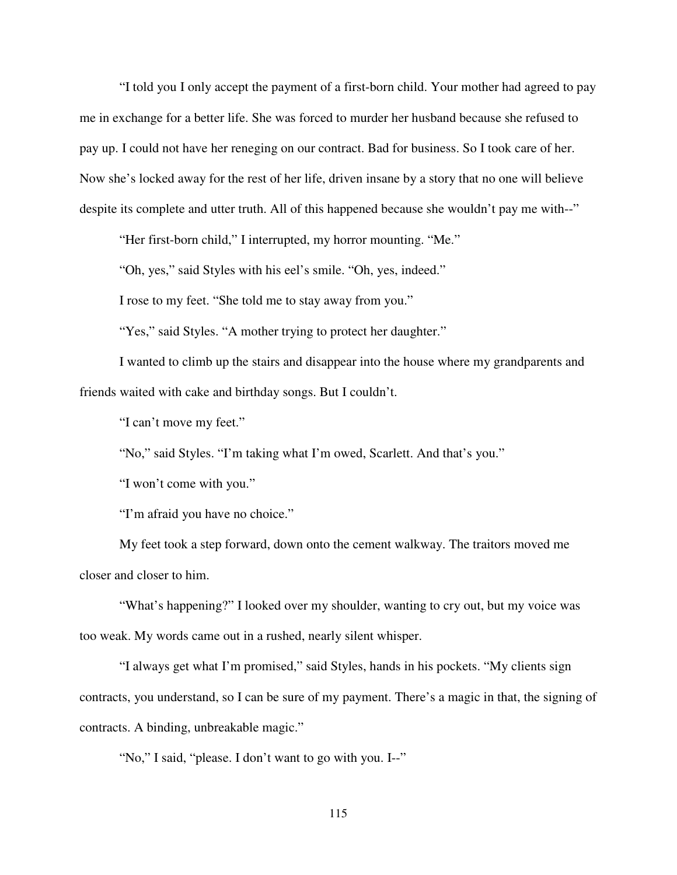"I told you I only accept the payment of a first-born child. Your mother had agreed to pay me in exchange for a better life. She was forced to murder her husband because she refused to pay up. I could not have her reneging on our contract. Bad for business. So I took care of her. Now she's locked away for the rest of her life, driven insane by a story that no one will believe despite its complete and utter truth. All of this happened because she wouldn't pay me with--"

"Her first-born child," I interrupted, my horror mounting. "Me."

"Oh, yes," said Styles with his eel's smile. "Oh, yes, indeed."

I rose to my feet. "She told me to stay away from you."

"Yes," said Styles. "A mother trying to protect her daughter."

I wanted to climb up the stairs and disappear into the house where my grandparents and friends waited with cake and birthday songs. But I couldn't.

"I can't move my feet."

"No," said Styles. "I'm taking what I'm owed, Scarlett. And that's you."

"I won't come with you."

"I'm afraid you have no choice."

My feet took a step forward, down onto the cement walkway. The traitors moved me closer and closer to him.

"What's happening?" I looked over my shoulder, wanting to cry out, but my voice was too weak. My words came out in a rushed, nearly silent whisper.

"I always get what I'm promised," said Styles, hands in his pockets. "My clients sign contracts, you understand, so I can be sure of my payment. There's a magic in that, the signing of contracts. A binding, unbreakable magic."

"No," I said, "please. I don't want to go with you. I--"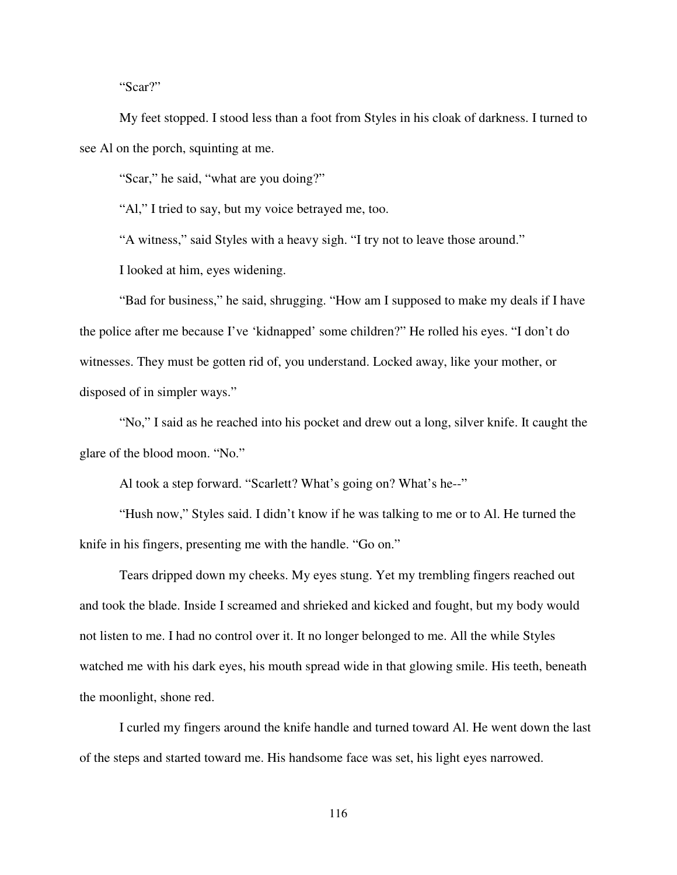"Scar?"

My feet stopped. I stood less than a foot from Styles in his cloak of darkness. I turned to see Al on the porch, squinting at me.

"Scar," he said, "what are you doing?"

"Al," I tried to say, but my voice betrayed me, too.

"A witness," said Styles with a heavy sigh. "I try not to leave those around."

I looked at him, eyes widening.

"Bad for business," he said, shrugging. "How am I supposed to make my deals if I have the police after me because I've 'kidnapped' some children?" He rolled his eyes. "I don't do witnesses. They must be gotten rid of, you understand. Locked away, like your mother, or disposed of in simpler ways."

"No," I said as he reached into his pocket and drew out a long, silver knife. It caught the glare of the blood moon. "No."

Al took a step forward. "Scarlett? What's going on? What's he--"

"Hush now," Styles said. I didn't know if he was talking to me or to Al. He turned the knife in his fingers, presenting me with the handle. "Go on."

Tears dripped down my cheeks. My eyes stung. Yet my trembling fingers reached out and took the blade. Inside I screamed and shrieked and kicked and fought, but my body would not listen to me. I had no control over it. It no longer belonged to me. All the while Styles watched me with his dark eyes, his mouth spread wide in that glowing smile. His teeth, beneath the moonlight, shone red.

I curled my fingers around the knife handle and turned toward Al. He went down the last of the steps and started toward me. His handsome face was set, his light eyes narrowed.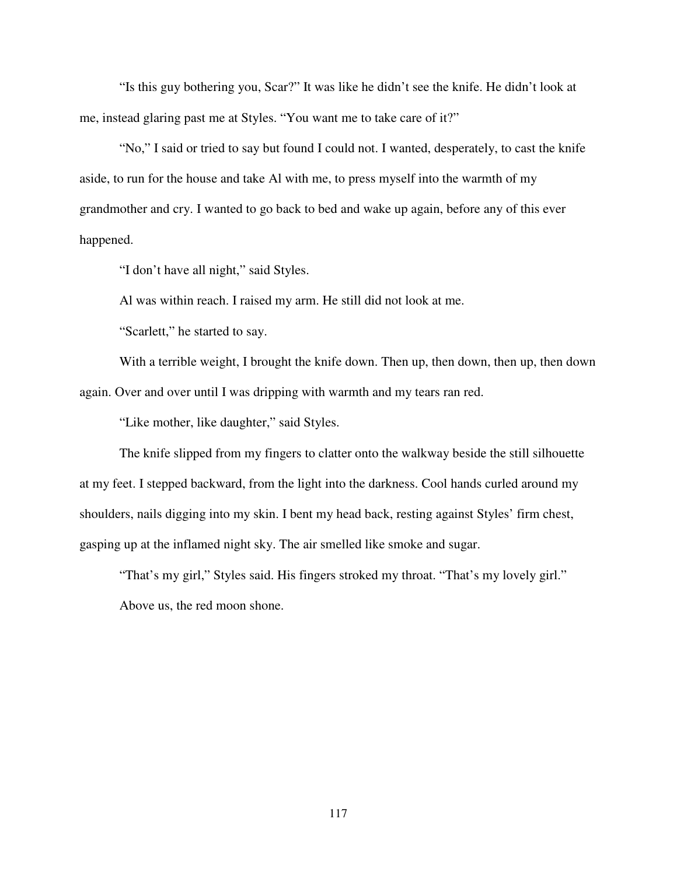"Is this guy bothering you, Scar?" It was like he didn't see the knife. He didn't look at me, instead glaring past me at Styles. "You want me to take care of it?"

"No," I said or tried to say but found I could not. I wanted, desperately, to cast the knife aside, to run for the house and take Al with me, to press myself into the warmth of my grandmother and cry. I wanted to go back to bed and wake up again, before any of this ever happened.

"I don't have all night," said Styles.

Al was within reach. I raised my arm. He still did not look at me.

"Scarlett," he started to say.

With a terrible weight, I brought the knife down. Then up, then down, then up, then down again. Over and over until I was dripping with warmth and my tears ran red.

"Like mother, like daughter," said Styles.

The knife slipped from my fingers to clatter onto the walkway beside the still silhouette at my feet. I stepped backward, from the light into the darkness. Cool hands curled around my shoulders, nails digging into my skin. I bent my head back, resting against Styles' firm chest, gasping up at the inflamed night sky. The air smelled like smoke and sugar.

"That's my girl," Styles said. His fingers stroked my throat. "That's my lovely girl." Above us, the red moon shone.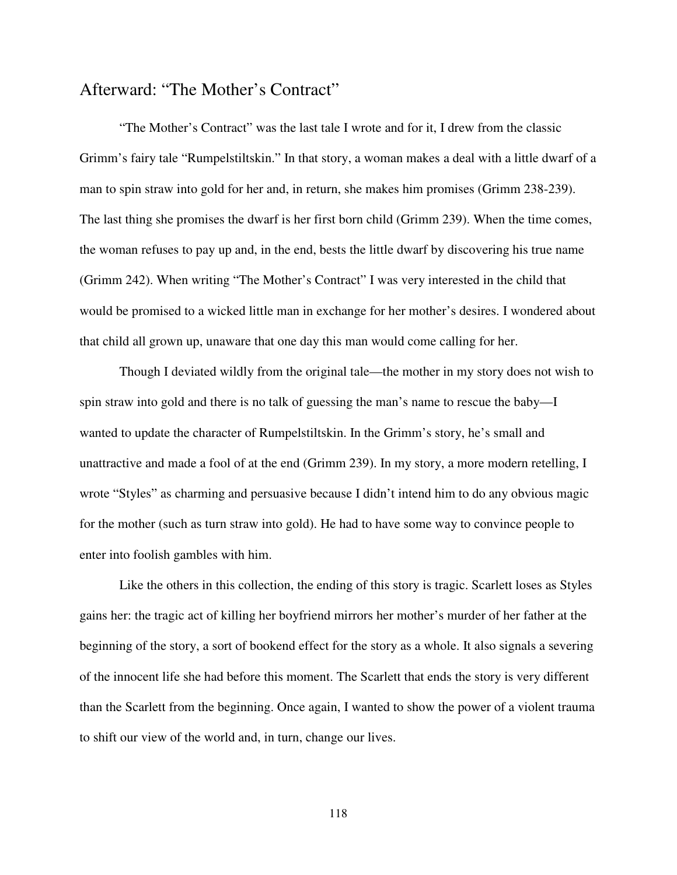## Afterward: "The Mother's Contract"

 "The Mother's Contract" was the last tale I wrote and for it, I drew from the classic Grimm's fairy tale "Rumpelstiltskin." In that story, a woman makes a deal with a little dwarf of a man to spin straw into gold for her and, in return, she makes him promises (Grimm 238-239). The last thing she promises the dwarf is her first born child (Grimm 239). When the time comes, the woman refuses to pay up and, in the end, bests the little dwarf by discovering his true name (Grimm 242). When writing "The Mother's Contract" I was very interested in the child that would be promised to a wicked little man in exchange for her mother's desires. I wondered about that child all grown up, unaware that one day this man would come calling for her.

 Though I deviated wildly from the original tale—the mother in my story does not wish to spin straw into gold and there is no talk of guessing the man's name to rescue the baby—I wanted to update the character of Rumpelstiltskin. In the Grimm's story, he's small and unattractive and made a fool of at the end (Grimm 239). In my story, a more modern retelling, I wrote "Styles" as charming and persuasive because I didn't intend him to do any obvious magic for the mother (such as turn straw into gold). He had to have some way to convince people to enter into foolish gambles with him.

 Like the others in this collection, the ending of this story is tragic. Scarlett loses as Styles gains her: the tragic act of killing her boyfriend mirrors her mother's murder of her father at the beginning of the story, a sort of bookend effect for the story as a whole. It also signals a severing of the innocent life she had before this moment. The Scarlett that ends the story is very different than the Scarlett from the beginning. Once again, I wanted to show the power of a violent trauma to shift our view of the world and, in turn, change our lives.